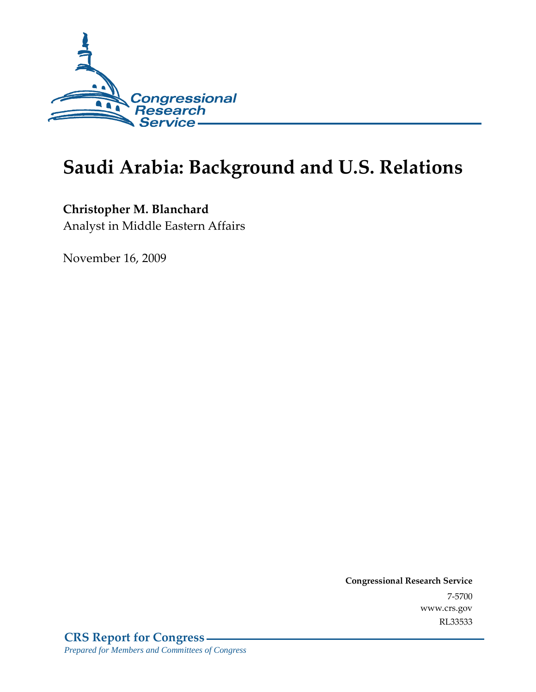

# **Saudi Arabia: Background and U.S. Relations**

## **Christopher M. Blanchard**

Analyst in Middle Eastern Affairs

November 16, 2009

**Congressional Research Service** 7-5700 www.crs.gov RL33533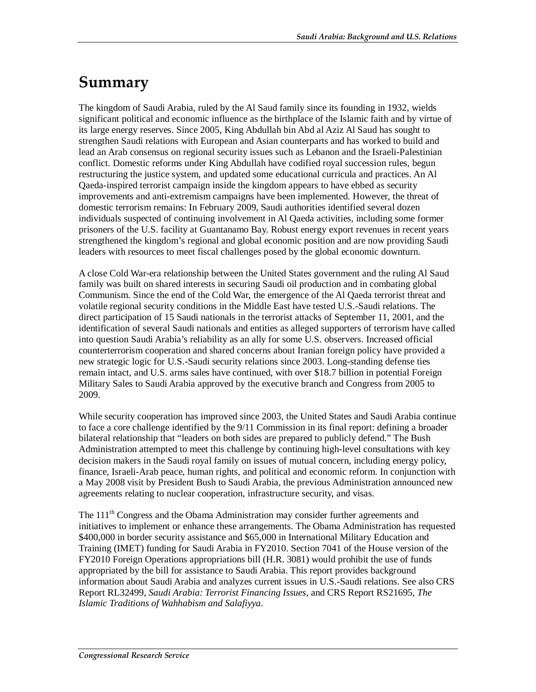# **Summary**

The kingdom of Saudi Arabia, ruled by the Al Saud family since its founding in 1932, wields significant political and economic influence as the birthplace of the Islamic faith and by virtue of its large energy reserves. Since 2005, King Abdullah bin Abd al Aziz Al Saud has sought to strengthen Saudi relations with European and Asian counterparts and has worked to build and lead an Arab consensus on regional security issues such as Lebanon and the Israeli-Palestinian conflict. Domestic reforms under King Abdullah have codified royal succession rules, begun restructuring the justice system, and updated some educational curricula and practices. An Al Qaeda-inspired terrorist campaign inside the kingdom appears to have ebbed as security improvements and anti-extremism campaigns have been implemented. However, the threat of domestic terrorism remains: In February 2009, Saudi authorities identified several dozen individuals suspected of continuing involvement in Al Qaeda activities, including some former prisoners of the U.S. facility at Guantanamo Bay. Robust energy export revenues in recent years strengthened the kingdom's regional and global economic position and are now providing Saudi leaders with resources to meet fiscal challenges posed by the global economic downturn.

A close Cold War-era relationship between the United States government and the ruling Al Saud family was built on shared interests in securing Saudi oil production and in combating global Communism. Since the end of the Cold War, the emergence of the Al Qaeda terrorist threat and volatile regional security conditions in the Middle East have tested U.S.-Saudi relations. The direct participation of 15 Saudi nationals in the terrorist attacks of September 11, 2001, and the identification of several Saudi nationals and entities as alleged supporters of terrorism have called into question Saudi Arabia's reliability as an ally for some U.S. observers. Increased official counterterrorism cooperation and shared concerns about Iranian foreign policy have provided a new strategic logic for U.S.-Saudi security relations since 2003. Long-standing defense ties remain intact, and U.S. arms sales have continued, with over \$18.7 billion in potential Foreign Military Sales to Saudi Arabia approved by the executive branch and Congress from 2005 to 2009.

While security cooperation has improved since 2003, the United States and Saudi Arabia continue to face a core challenge identified by the 9/11 Commission in its final report: defining a broader bilateral relationship that "leaders on both sides are prepared to publicly defend." The Bush Administration attempted to meet this challenge by continuing high-level consultations with key decision makers in the Saudi royal family on issues of mutual concern, including energy policy, finance, Israeli-Arab peace, human rights, and political and economic reform. In conjunction with a May 2008 visit by President Bush to Saudi Arabia, the previous Administration announced new agreements relating to nuclear cooperation, infrastructure security, and visas.

The 111<sup>th</sup> Congress and the Obama Administration may consider further agreements and initiatives to implement or enhance these arrangements. The Obama Administration has requested \$400,000 in border security assistance and \$65,000 in International Military Education and Training (IMET) funding for Saudi Arabia in FY2010. Section 7041 of the House version of the FY2010 Foreign Operations appropriations bill (H.R. 3081) would prohibit the use of funds appropriated by the bill for assistance to Saudi Arabia. This report provides background information about Saudi Arabia and analyzes current issues in U.S.-Saudi relations. See also CRS Report RL32499, *Saudi Arabia: Terrorist Financing Issues*, and CRS Report RS21695, *The Islamic Traditions of Wahhabism and Salafiyya*.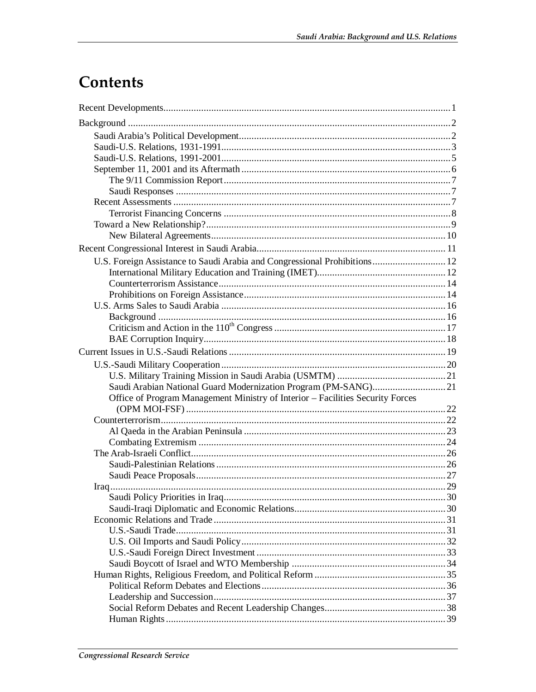# Contents

| U.S. Foreign Assistance to Saudi Arabia and Congressional Prohibitions 12      |  |
|--------------------------------------------------------------------------------|--|
|                                                                                |  |
|                                                                                |  |
|                                                                                |  |
|                                                                                |  |
|                                                                                |  |
|                                                                                |  |
|                                                                                |  |
|                                                                                |  |
|                                                                                |  |
|                                                                                |  |
|                                                                                |  |
| Office of Program Management Ministry of Interior - Facilities Security Forces |  |
|                                                                                |  |
|                                                                                |  |
|                                                                                |  |
|                                                                                |  |
|                                                                                |  |
|                                                                                |  |
|                                                                                |  |
|                                                                                |  |
|                                                                                |  |
|                                                                                |  |
|                                                                                |  |
|                                                                                |  |
|                                                                                |  |
|                                                                                |  |
|                                                                                |  |
|                                                                                |  |
|                                                                                |  |
|                                                                                |  |
|                                                                                |  |
|                                                                                |  |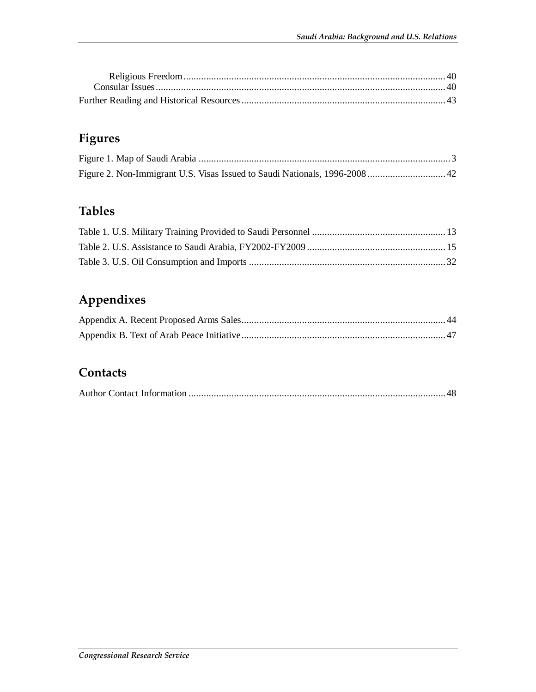## **Figures**

## **Tables**

## **Appendixes**

## **Contacts**

|--|--|--|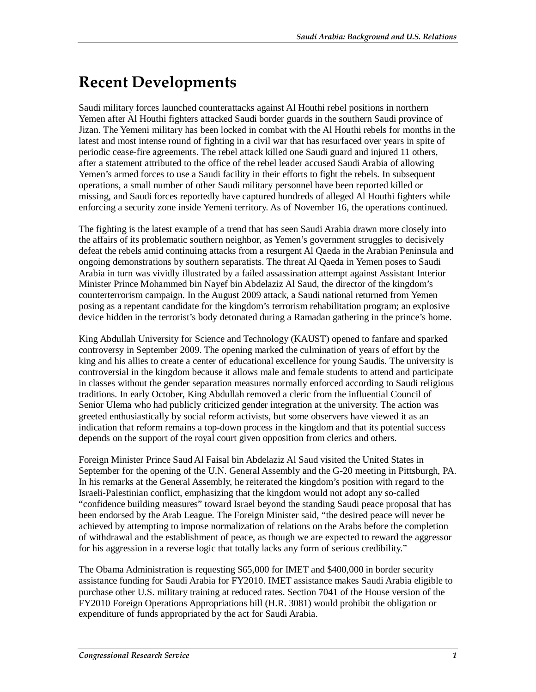# **Recent Developments**

Saudi military forces launched counterattacks against Al Houthi rebel positions in northern Yemen after Al Houthi fighters attacked Saudi border guards in the southern Saudi province of Jizan. The Yemeni military has been locked in combat with the Al Houthi rebels for months in the latest and most intense round of fighting in a civil war that has resurfaced over years in spite of periodic cease-fire agreements. The rebel attack killed one Saudi guard and injured 11 others, after a statement attributed to the office of the rebel leader accused Saudi Arabia of allowing Yemen's armed forces to use a Saudi facility in their efforts to fight the rebels. In subsequent operations, a small number of other Saudi military personnel have been reported killed or missing, and Saudi forces reportedly have captured hundreds of alleged Al Houthi fighters while enforcing a security zone inside Yemeni territory. As of November 16, the operations continued.

The fighting is the latest example of a trend that has seen Saudi Arabia drawn more closely into the affairs of its problematic southern neighbor, as Yemen's government struggles to decisively defeat the rebels amid continuing attacks from a resurgent Al Qaeda in the Arabian Peninsula and ongoing demonstrations by southern separatists. The threat Al Qaeda in Yemen poses to Saudi Arabia in turn was vividly illustrated by a failed assassination attempt against Assistant Interior Minister Prince Mohammed bin Nayef bin Abdelaziz Al Saud, the director of the kingdom's counterterrorism campaign. In the August 2009 attack, a Saudi national returned from Yemen posing as a repentant candidate for the kingdom's terrorism rehabilitation program; an explosive device hidden in the terrorist's body detonated during a Ramadan gathering in the prince's home.

King Abdullah University for Science and Technology (KAUST) opened to fanfare and sparked controversy in September 2009. The opening marked the culmination of years of effort by the king and his allies to create a center of educational excellence for young Saudis. The university is controversial in the kingdom because it allows male and female students to attend and participate in classes without the gender separation measures normally enforced according to Saudi religious traditions. In early October, King Abdullah removed a cleric from the influential Council of Senior Ulema who had publicly criticized gender integration at the university. The action was greeted enthusiastically by social reform activists, but some observers have viewed it as an indication that reform remains a top-down process in the kingdom and that its potential success depends on the support of the royal court given opposition from clerics and others.

Foreign Minister Prince Saud Al Faisal bin Abdelaziz Al Saud visited the United States in September for the opening of the U.N. General Assembly and the G-20 meeting in Pittsburgh, PA. In his remarks at the General Assembly, he reiterated the kingdom's position with regard to the Israeli-Palestinian conflict, emphasizing that the kingdom would not adopt any so-called "confidence building measures" toward Israel beyond the standing Saudi peace proposal that has been endorsed by the Arab League. The Foreign Minister said, "the desired peace will never be achieved by attempting to impose normalization of relations on the Arabs before the completion of withdrawal and the establishment of peace, as though we are expected to reward the aggressor for his aggression in a reverse logic that totally lacks any form of serious credibility."

The Obama Administration is requesting \$65,000 for IMET and \$400,000 in border security assistance funding for Saudi Arabia for FY2010. IMET assistance makes Saudi Arabia eligible to purchase other U.S. military training at reduced rates. Section 7041 of the House version of the FY2010 Foreign Operations Appropriations bill (H.R. 3081) would prohibit the obligation or expenditure of funds appropriated by the act for Saudi Arabia.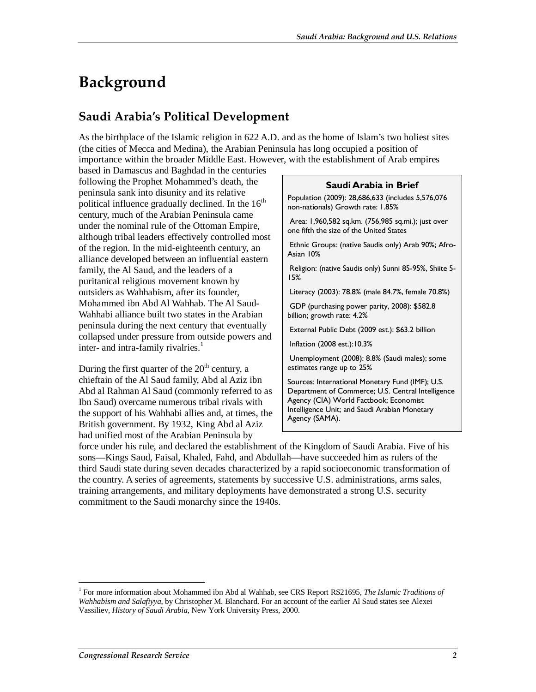# **Background**

## **Saudi Arabia's Political Development**

As the birthplace of the Islamic religion in 622 A.D. and as the home of Islam's two holiest sites (the cities of Mecca and Medina), the Arabian Peninsula has long occupied a position of importance within the broader Middle East. However, with the establishment of Arab empires

based in Damascus and Baghdad in the centuries following the Prophet Mohammed's death, the peninsula sank into disunity and its relative political influence gradually declined. In the  $16<sup>th</sup>$ century, much of the Arabian Peninsula came under the nominal rule of the Ottoman Empire, although tribal leaders effectively controlled most of the region. In the mid-eighteenth century, an alliance developed between an influential eastern family, the Al Saud, and the leaders of a puritanical religious movement known by outsiders as Wahhabism, after its founder, Mohammed ibn Abd Al Wahhab. The Al Saud-Wahhabi alliance built two states in the Arabian peninsula during the next century that eventually collapsed under pressure from outside powers and inter- and intra-family rivalries. $<sup>1</sup>$ </sup>

During the first quarter of the  $20<sup>th</sup>$  century, a chieftain of the Al Saud family, Abd al Aziz ibn Abd al Rahman Al Saud (commonly referred to as Ibn Saud) overcame numerous tribal rivals with the support of his Wahhabi allies and, at times, the British government. By 1932, King Abd al Aziz had unified most of the Arabian Peninsula by

#### **Saudi Arabia in Brief**

Population (2009): 28,686,633 (includes 5,576,076 non-nationals) Growth rate: 1.85%

 Area: 1,960,582 sq.km. (756,985 sq.mi.); just over one fifth the size of the United States

 Ethnic Groups: (native Saudis only) Arab 90%; Afro-Asian 10%

 Religion: (native Saudis only) Sunni 85-95%, Shiite 5- 15%

Literacy (2003): 78.8% (male 84.7%, female 70.8%)

 GDP (purchasing power parity, 2008): \$582.8 billion; growth rate: 4.2%

External Public Debt (2009 est.): \$63.2 billion

Inflation (2008 est.):10.3%

 Unemployment (2008): 8.8% (Saudi males); some estimates range up to 25%

Sources: International Monetary Fund (IMF); U.S. Department of Commerce; U.S. Central Intelligence Agency (CIA) World Factbook; Economist Intelligence Unit; and Saudi Arabian Monetary Agency (SAMA).

force under his rule, and declared the establishment of the Kingdom of Saudi Arabia. Five of his sons—Kings Saud, Faisal, Khaled, Fahd, and Abdullah—have succeeded him as rulers of the third Saudi state during seven decades characterized by a rapid socioeconomic transformation of the country. A series of agreements, statements by successive U.S. administrations, arms sales, training arrangements, and military deployments have demonstrated a strong U.S. security commitment to the Saudi monarchy since the 1940s.

-

<sup>&</sup>lt;sup>1</sup> For more information about Mohammed ibn Abd al Wahhab, see CRS Report RS21695, *The Islamic Traditions of Wahhabism and Salafiyya*, by Christopher M. Blanchard. For an account of the earlier Al Saud states see Alexei Vassiliev, *History of Saudi Arabia*, New York University Press, 2000.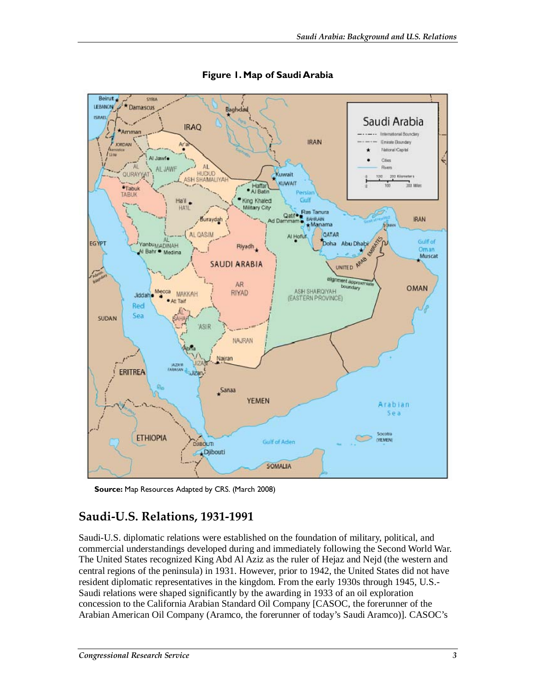

**Figure 1. Map of Saudi Arabia** 

**Source:** Map Resources Adapted by CRS. (March 2008)

### **Saudi-U.S. Relations, 1931-1991**

Saudi-U.S. diplomatic relations were established on the foundation of military, political, and commercial understandings developed during and immediately following the Second World War. The United States recognized King Abd Al Aziz as the ruler of Hejaz and Nejd (the western and central regions of the peninsula) in 1931. However, prior to 1942, the United States did not have resident diplomatic representatives in the kingdom. From the early 1930s through 1945, U.S.- Saudi relations were shaped significantly by the awarding in 1933 of an oil exploration concession to the California Arabian Standard Oil Company [CASOC, the forerunner of the Arabian American Oil Company (Aramco, the forerunner of today's Saudi Aramco)]. CASOC's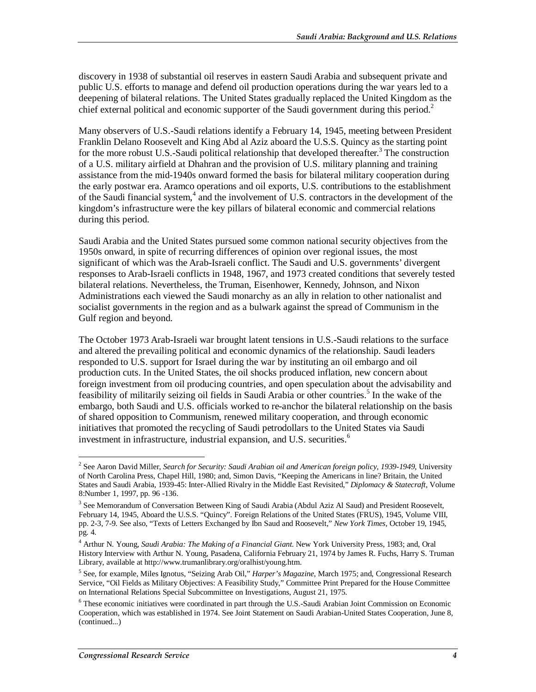discovery in 1938 of substantial oil reserves in eastern Saudi Arabia and subsequent private and public U.S. efforts to manage and defend oil production operations during the war years led to a deepening of bilateral relations. The United States gradually replaced the United Kingdom as the chief external political and economic supporter of the Saudi government during this period.<sup>2</sup>

Many observers of U.S.-Saudi relations identify a February 14, 1945, meeting between President Franklin Delano Roosevelt and King Abd al Aziz aboard the U.S.S. Quincy as the starting point for the more robust U.S.-Saudi political relationship that developed thereafter.<sup>3</sup> The construction of a U.S. military airfield at Dhahran and the provision of U.S. military planning and training assistance from the mid-1940s onward formed the basis for bilateral military cooperation during the early postwar era. Aramco operations and oil exports, U.S. contributions to the establishment of the Saudi financial system,<sup>4</sup> and the involvement of U.S. contractors in the development of the kingdom's infrastructure were the key pillars of bilateral economic and commercial relations during this period.

Saudi Arabia and the United States pursued some common national security objectives from the 1950s onward, in spite of recurring differences of opinion over regional issues, the most significant of which was the Arab-Israeli conflict. The Saudi and U.S. governments' divergent responses to Arab-Israeli conflicts in 1948, 1967, and 1973 created conditions that severely tested bilateral relations. Nevertheless, the Truman, Eisenhower, Kennedy, Johnson, and Nixon Administrations each viewed the Saudi monarchy as an ally in relation to other nationalist and socialist governments in the region and as a bulwark against the spread of Communism in the Gulf region and beyond.

The October 1973 Arab-Israeli war brought latent tensions in U.S.-Saudi relations to the surface and altered the prevailing political and economic dynamics of the relationship. Saudi leaders responded to U.S. support for Israel during the war by instituting an oil embargo and oil production cuts. In the United States, the oil shocks produced inflation, new concern about foreign investment from oil producing countries, and open speculation about the advisability and feasibility of militarily seizing oil fields in Saudi Arabia or other countries.<sup>5</sup> In the wake of the embargo, both Saudi and U.S. officials worked to re-anchor the bilateral relationship on the basis of shared opposition to Communism, renewed military cooperation, and through economic initiatives that promoted the recycling of Saudi petrodollars to the United States via Saudi investment in infrastructure, industrial expansion, and U.S. securities.<sup>6</sup>

 2 See Aaron David Miller, *Search for Security: Saudi Arabian oil and American foreign policy, 1939-1949*, University of North Carolina Press, Chapel Hill, 1980; and, Simon Davis, "Keeping the Americans in line? Britain, the United States and Saudi Arabia, 1939-45: Inter-Allied Rivalry in the Middle East Revisited," *Diplomacy & Statecraft*, Volume 8:Number 1, 1997, pp. 96 -136.

<sup>&</sup>lt;sup>3</sup> See Memorandum of Conversation Between King of Saudi Arabia (Abdul Aziz Al Saud) and President Roosevelt, February 14, 1945, Aboard the U.S.S. "Quincy". Foreign Relations of the United States (FRUS), 1945, Volume VIII, pp. 2-3, 7-9. See also, "Texts of Letters Exchanged by Ibn Saud and Roosevelt," *New York Times*, October 19, 1945, pg. 4.

<sup>4</sup> Arthur N. Young, *Saudi Arabia: The Making of a Financial Giant*. New York University Press, 1983; and, Oral History Interview with Arthur N. Young, Pasadena, California February 21, 1974 by James R. Fuchs, Harry S. Truman Library, available at http://www.trumanlibrary.org/oralhist/young.htm.

<sup>5</sup> See, for example, Miles Ignotus, "Seizing Arab Oil," *Harper's Magazine*, March 1975; and, Congressional Research Service, "Oil Fields as Military Objectives: A Feasibility Study," Committee Print Prepared for the House Committee on International Relations Special Subcommittee on Investigations, August 21, 1975.

<sup>&</sup>lt;sup>6</sup> These economic initiatives were coordinated in part through the U.S.-Saudi Arabian Joint Commission on Economic Cooperation, which was established in 1974. See Joint Statement on Saudi Arabian-United States Cooperation, June 8, (continued...)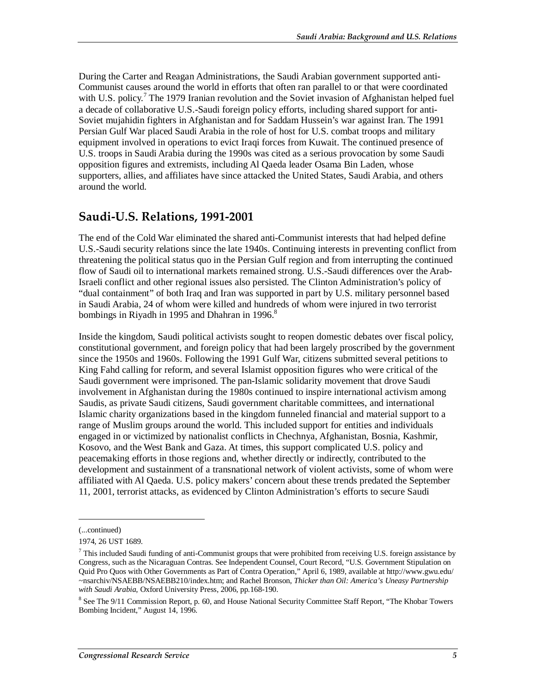During the Carter and Reagan Administrations, the Saudi Arabian government supported anti-Communist causes around the world in efforts that often ran parallel to or that were coordinated with U.S. policy.<sup>7</sup> The 1979 Iranian revolution and the Soviet invasion of Afghanistan helped fuel a decade of collaborative U.S.-Saudi foreign policy efforts, including shared support for anti-Soviet mujahidin fighters in Afghanistan and for Saddam Hussein's war against Iran. The 1991 Persian Gulf War placed Saudi Arabia in the role of host for U.S. combat troops and military equipment involved in operations to evict Iraqi forces from Kuwait. The continued presence of U.S. troops in Saudi Arabia during the 1990s was cited as a serious provocation by some Saudi opposition figures and extremists, including Al Qaeda leader Osama Bin Laden, whose supporters, allies, and affiliates have since attacked the United States, Saudi Arabia, and others around the world.

## **Saudi-U.S. Relations, 1991-2001**

The end of the Cold War eliminated the shared anti-Communist interests that had helped define U.S.-Saudi security relations since the late 1940s. Continuing interests in preventing conflict from threatening the political status quo in the Persian Gulf region and from interrupting the continued flow of Saudi oil to international markets remained strong. U.S.-Saudi differences over the Arab-Israeli conflict and other regional issues also persisted. The Clinton Administration's policy of "dual containment" of both Iraq and Iran was supported in part by U.S. military personnel based in Saudi Arabia, 24 of whom were killed and hundreds of whom were injured in two terrorist bombings in Riyadh in 1995 and Dhahran in 1996. $8^8$ 

Inside the kingdom, Saudi political activists sought to reopen domestic debates over fiscal policy, constitutional government, and foreign policy that had been largely proscribed by the government since the 1950s and 1960s. Following the 1991 Gulf War, citizens submitted several petitions to King Fahd calling for reform, and several Islamist opposition figures who were critical of the Saudi government were imprisoned. The pan-Islamic solidarity movement that drove Saudi involvement in Afghanistan during the 1980s continued to inspire international activism among Saudis, as private Saudi citizens, Saudi government charitable committees, and international Islamic charity organizations based in the kingdom funneled financial and material support to a range of Muslim groups around the world. This included support for entities and individuals engaged in or victimized by nationalist conflicts in Chechnya, Afghanistan, Bosnia, Kashmir, Kosovo, and the West Bank and Gaza. At times, this support complicated U.S. policy and peacemaking efforts in those regions and, whether directly or indirectly, contributed to the development and sustainment of a transnational network of violent activists, some of whom were affiliated with Al Qaeda. U.S. policy makers' concern about these trends predated the September 11, 2001, terrorist attacks, as evidenced by Clinton Administration's efforts to secure Saudi

1

<sup>(...</sup>continued)

<sup>1974, 26</sup> UST 1689.

 $7$  This included Saudi funding of anti-Communist groups that were prohibited from receiving U.S. foreign assistance by Congress, such as the Nicaraguan Contras. See Independent Counsel, Court Record, "U.S. Government Stipulation on Quid Pro Quos with Other Governments as Part of Contra Operation," April 6, 1989, available at http://www.gwu.edu/ ~nsarchiv/NSAEBB/NSAEBB210/index.htm; and Rachel Bronson, *Thicker than Oil: America's Uneasy Partnership with Saudi Arabia*, Oxford University Press, 2006, pp.168-190.

<sup>&</sup>lt;sup>8</sup> See The 9/11 Commission Report, p. 60, and House National Security Committee Staff Report, "The Khobar Towers Bombing Incident," August 14, 1996.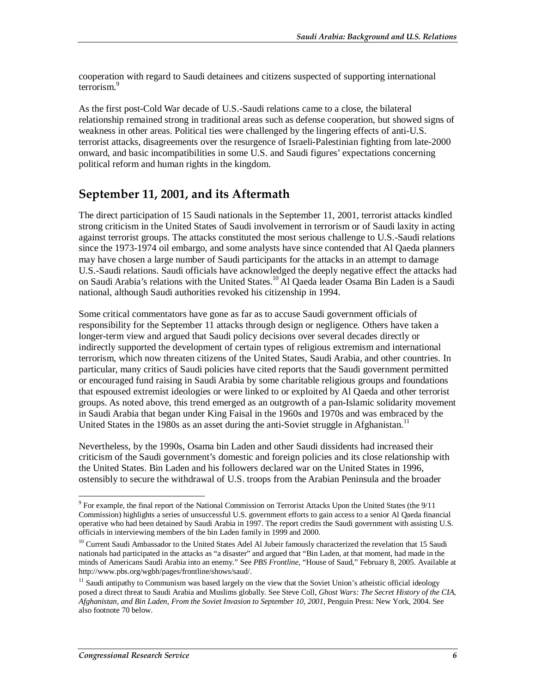cooperation with regard to Saudi detainees and citizens suspected of supporting international terrorism.<sup>9</sup>

As the first post-Cold War decade of U.S.-Saudi relations came to a close, the bilateral relationship remained strong in traditional areas such as defense cooperation, but showed signs of weakness in other areas. Political ties were challenged by the lingering effects of anti-U.S. terrorist attacks, disagreements over the resurgence of Israeli-Palestinian fighting from late-2000 onward, and basic incompatibilities in some U.S. and Saudi figures' expectations concerning political reform and human rights in the kingdom.

### **September 11, 2001, and its Aftermath**

The direct participation of 15 Saudi nationals in the September 11, 2001, terrorist attacks kindled strong criticism in the United States of Saudi involvement in terrorism or of Saudi laxity in acting against terrorist groups. The attacks constituted the most serious challenge to U.S.-Saudi relations since the 1973-1974 oil embargo, and some analysts have since contended that Al Qaeda planners may have chosen a large number of Saudi participants for the attacks in an attempt to damage U.S.-Saudi relations. Saudi officials have acknowledged the deeply negative effect the attacks had on Saudi Arabia's relations with the United States.10 Al Qaeda leader Osama Bin Laden is a Saudi national, although Saudi authorities revoked his citizenship in 1994.

Some critical commentators have gone as far as to accuse Saudi government officials of responsibility for the September 11 attacks through design or negligence. Others have taken a longer-term view and argued that Saudi policy decisions over several decades directly or indirectly supported the development of certain types of religious extremism and international terrorism, which now threaten citizens of the United States, Saudi Arabia, and other countries. In particular, many critics of Saudi policies have cited reports that the Saudi government permitted or encouraged fund raising in Saudi Arabia by some charitable religious groups and foundations that espoused extremist ideologies or were linked to or exploited by Al Qaeda and other terrorist groups. As noted above, this trend emerged as an outgrowth of a pan-Islamic solidarity movement in Saudi Arabia that began under King Faisal in the 1960s and 1970s and was embraced by the United States in the 1980s as an asset during the anti-Soviet struggle in Afghanistan.<sup>11</sup>

Nevertheless, by the 1990s, Osama bin Laden and other Saudi dissidents had increased their criticism of the Saudi government's domestic and foreign policies and its close relationship with the United States. Bin Laden and his followers declared war on the United States in 1996, ostensibly to secure the withdrawal of U.S. troops from the Arabian Peninsula and the broader

<sup>&</sup>lt;sup>9</sup> For example, the final report of the National Commission on Terrorist Attacks Upon the United States (the 9/11 Commission) highlights a series of unsuccessful U.S. government efforts to gain access to a senior Al Qaeda financial operative who had been detained by Saudi Arabia in 1997. The report credits the Saudi government with assisting U.S. officials in interviewing members of the bin Laden family in 1999 and 2000.

<sup>&</sup>lt;sup>10</sup> Current Saudi Ambassador to the United States Adel Al Jubeir famously characterized the revelation that 15 Saudi nationals had participated in the attacks as "a disaster" and argued that "Bin Laden, at that moment, had made in the minds of Americans Saudi Arabia into an enemy." See *PBS Frontline*, "House of Saud," February 8, 2005. Available at http://www.pbs.org/wgbh/pages/frontline/shows/saud/.

<sup>&</sup>lt;sup>11</sup> Saudi antipathy to Communism was based largely on the view that the Soviet Union's atheistic official ideology posed a direct threat to Saudi Arabia and Muslims globally. See Steve Coll, *Ghost Wars: The Secret History of the CIA, Afghanistan, and Bin Laden, From the Soviet Invasion to September 10, 2001*, Penguin Press: New York, 2004. See also footnote 70 below.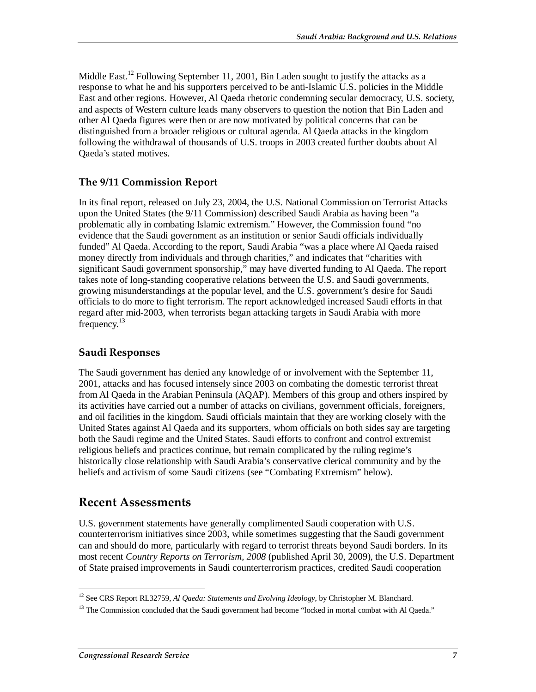Middle East.<sup>12</sup> Following September 11, 2001, Bin Laden sought to justify the attacks as a response to what he and his supporters perceived to be anti-Islamic U.S. policies in the Middle East and other regions. However, Al Qaeda rhetoric condemning secular democracy, U.S. society, and aspects of Western culture leads many observers to question the notion that Bin Laden and other Al Qaeda figures were then or are now motivated by political concerns that can be distinguished from a broader religious or cultural agenda. Al Qaeda attacks in the kingdom following the withdrawal of thousands of U.S. troops in 2003 created further doubts about Al Qaeda's stated motives.

#### **The 9/11 Commission Report**

In its final report, released on July 23, 2004, the U.S. National Commission on Terrorist Attacks upon the United States (the 9/11 Commission) described Saudi Arabia as having been "a problematic ally in combating Islamic extremism." However, the Commission found "no evidence that the Saudi government as an institution or senior Saudi officials individually funded" Al Qaeda. According to the report, Saudi Arabia "was a place where Al Qaeda raised money directly from individuals and through charities," and indicates that "charities with significant Saudi government sponsorship," may have diverted funding to Al Qaeda. The report takes note of long-standing cooperative relations between the U.S. and Saudi governments, growing misunderstandings at the popular level, and the U.S. government's desire for Saudi officials to do more to fight terrorism. The report acknowledged increased Saudi efforts in that regard after mid-2003, when terrorists began attacking targets in Saudi Arabia with more frequency.<sup>13</sup>

#### **Saudi Responses**

The Saudi government has denied any knowledge of or involvement with the September 11, 2001, attacks and has focused intensely since 2003 on combating the domestic terrorist threat from Al Qaeda in the Arabian Peninsula (AQAP). Members of this group and others inspired by its activities have carried out a number of attacks on civilians, government officials, foreigners, and oil facilities in the kingdom. Saudi officials maintain that they are working closely with the United States against Al Qaeda and its supporters, whom officials on both sides say are targeting both the Saudi regime and the United States. Saudi efforts to confront and control extremist religious beliefs and practices continue, but remain complicated by the ruling regime's historically close relationship with Saudi Arabia's conservative clerical community and by the beliefs and activism of some Saudi citizens (see "Combating Extremism" below).

### **Recent Assessments**

U.S. government statements have generally complimented Saudi cooperation with U.S. counterterrorism initiatives since 2003, while sometimes suggesting that the Saudi government can and should do more, particularly with regard to terrorist threats beyond Saudi borders. In its most recent *Country Reports on Terrorism, 2008* (published April 30, 2009), the U.S. Department of State praised improvements in Saudi counterterrorism practices, credited Saudi cooperation

 $\frac{1}{1}$ <sup>12</sup> See CRS Report RL32759, *Al Qaeda: Statements and Evolving Ideology*, by Christopher M. Blanchard.

 $13$  The Commission concluded that the Saudi government had become "locked in mortal combat with Al Qaeda."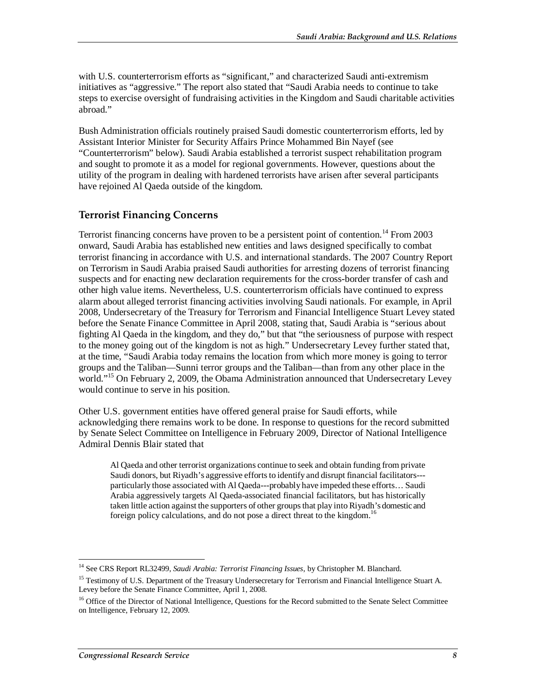with U.S. counterterrorism efforts as "significant," and characterized Saudi anti-extremism initiatives as "aggressive." The report also stated that "Saudi Arabia needs to continue to take steps to exercise oversight of fundraising activities in the Kingdom and Saudi charitable activities abroad."

Bush Administration officials routinely praised Saudi domestic counterterrorism efforts, led by Assistant Interior Minister for Security Affairs Prince Mohammed Bin Nayef (see "Counterterrorism" below). Saudi Arabia established a terrorist suspect rehabilitation program and sought to promote it as a model for regional governments. However, questions about the utility of the program in dealing with hardened terrorists have arisen after several participants have rejoined Al Qaeda outside of the kingdom.

#### **Terrorist Financing Concerns**

Terrorist financing concerns have proven to be a persistent point of contention.<sup>14</sup> From 2003 onward, Saudi Arabia has established new entities and laws designed specifically to combat terrorist financing in accordance with U.S. and international standards. The 2007 Country Report on Terrorism in Saudi Arabia praised Saudi authorities for arresting dozens of terrorist financing suspects and for enacting new declaration requirements for the cross-border transfer of cash and other high value items. Nevertheless, U.S. counterterrorism officials have continued to express alarm about alleged terrorist financing activities involving Saudi nationals. For example, in April 2008, Undersecretary of the Treasury for Terrorism and Financial Intelligence Stuart Levey stated before the Senate Finance Committee in April 2008, stating that, Saudi Arabia is "serious about fighting Al Qaeda in the kingdom, and they do," but that "the seriousness of purpose with respect to the money going out of the kingdom is not as high." Undersecretary Levey further stated that, at the time, "Saudi Arabia today remains the location from which more money is going to terror groups and the Taliban—Sunni terror groups and the Taliban—than from any other place in the world."<sup>15</sup> On February 2, 2009, the Obama Administration announced that Undersecretary Levey would continue to serve in his position.

Other U.S. government entities have offered general praise for Saudi efforts, while acknowledging there remains work to be done. In response to questions for the record submitted by Senate Select Committee on Intelligence in February 2009, Director of National Intelligence Admiral Dennis Blair stated that

Al Qaeda and other terrorist organizations continue to seek and obtain funding from private Saudi donors, but Riyadh's aggressive efforts to identify and disrupt financial facilitators-- particularly those associated with Al Qaeda---probably have impeded these efforts… Saudi Arabia aggressively targets Al Qaeda-associated financial facilitators, but has historically taken little action against the supporters of other groups that play into Riyadh's domestic and foreign policy calculations, and do not pose a direct threat to the kingdom.<sup>16</sup>

 $\frac{1}{1}$ <sup>14</sup> See CRS Report RL32499, Saudi Arabia: Terrorist Financing Issues, by Christopher M. Blanchard.

<sup>&</sup>lt;sup>15</sup> Testimony of U.S. Department of the Treasury Undersecretary for Terrorism and Financial Intelligence Stuart A. Levey before the Senate Finance Committee, April 1, 2008.

<sup>&</sup>lt;sup>16</sup> Office of the Director of National Intelligence, Questions for the Record submitted to the Senate Select Committee on Intelligence, February 12, 2009.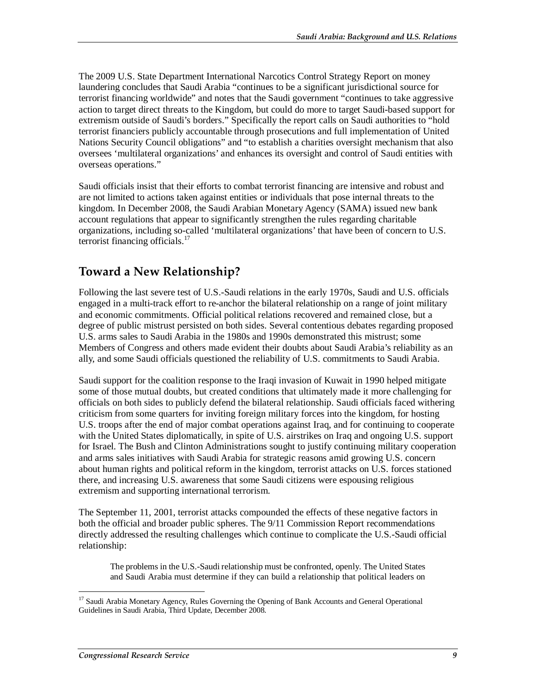The 2009 U.S. State Department International Narcotics Control Strategy Report on money laundering concludes that Saudi Arabia "continues to be a significant jurisdictional source for terrorist financing worldwide" and notes that the Saudi government "continues to take aggressive action to target direct threats to the Kingdom, but could do more to target Saudi-based support for extremism outside of Saudi's borders." Specifically the report calls on Saudi authorities to "hold terrorist financiers publicly accountable through prosecutions and full implementation of United Nations Security Council obligations" and "to establish a charities oversight mechanism that also oversees 'multilateral organizations' and enhances its oversight and control of Saudi entities with overseas operations."

Saudi officials insist that their efforts to combat terrorist financing are intensive and robust and are not limited to actions taken against entities or individuals that pose internal threats to the kingdom. In December 2008, the Saudi Arabian Monetary Agency (SAMA) issued new bank account regulations that appear to significantly strengthen the rules regarding charitable organizations, including so-called 'multilateral organizations' that have been of concern to U.S. terrorist financing officials. $^{17}$ 

## **Toward a New Relationship?**

Following the last severe test of U.S.-Saudi relations in the early 1970s, Saudi and U.S. officials engaged in a multi-track effort to re-anchor the bilateral relationship on a range of joint military and economic commitments. Official political relations recovered and remained close, but a degree of public mistrust persisted on both sides. Several contentious debates regarding proposed U.S. arms sales to Saudi Arabia in the 1980s and 1990s demonstrated this mistrust; some Members of Congress and others made evident their doubts about Saudi Arabia's reliability as an ally, and some Saudi officials questioned the reliability of U.S. commitments to Saudi Arabia.

Saudi support for the coalition response to the Iraqi invasion of Kuwait in 1990 helped mitigate some of those mutual doubts, but created conditions that ultimately made it more challenging for officials on both sides to publicly defend the bilateral relationship. Saudi officials faced withering criticism from some quarters for inviting foreign military forces into the kingdom, for hosting U.S. troops after the end of major combat operations against Iraq, and for continuing to cooperate with the United States diplomatically, in spite of U.S. airstrikes on Iraq and ongoing U.S. support for Israel. The Bush and Clinton Administrations sought to justify continuing military cooperation and arms sales initiatives with Saudi Arabia for strategic reasons amid growing U.S. concern about human rights and political reform in the kingdom, terrorist attacks on U.S. forces stationed there, and increasing U.S. awareness that some Saudi citizens were espousing religious extremism and supporting international terrorism.

The September 11, 2001, terrorist attacks compounded the effects of these negative factors in both the official and broader public spheres. The 9/11 Commission Report recommendations directly addressed the resulting challenges which continue to complicate the U.S.-Saudi official relationship:

The problems in the U.S.-Saudi relationship must be confronted, openly. The United States and Saudi Arabia must determine if they can build a relationship that political leaders on

-

<sup>&</sup>lt;sup>17</sup> Saudi Arabia Monetary Agency, Rules Governing the Opening of Bank Accounts and General Operational Guidelines in Saudi Arabia, Third Update, December 2008.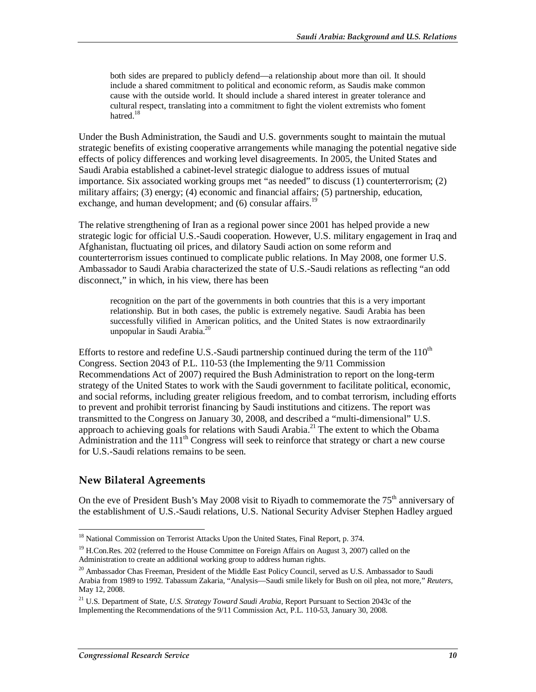both sides are prepared to publicly defend—a relationship about more than oil. It should include a shared commitment to political and economic reform, as Saudis make common cause with the outside world. It should include a shared interest in greater tolerance and cultural respect, translating into a commitment to fight the violent extremists who foment hatred.<sup>18</sup>

Under the Bush Administration, the Saudi and U.S. governments sought to maintain the mutual strategic benefits of existing cooperative arrangements while managing the potential negative side effects of policy differences and working level disagreements. In 2005, the United States and Saudi Arabia established a cabinet-level strategic dialogue to address issues of mutual importance. Six associated working groups met "as needed" to discuss (1) counterterrorism; (2) military affairs; (3) energy; (4) economic and financial affairs; (5) partnership, education, exchange, and human development; and (6) consular affairs.<sup>19</sup>

The relative strengthening of Iran as a regional power since 2001 has helped provide a new strategic logic for official U.S.-Saudi cooperation. However, U.S. military engagement in Iraq and Afghanistan, fluctuating oil prices, and dilatory Saudi action on some reform and counterterrorism issues continued to complicate public relations. In May 2008, one former U.S. Ambassador to Saudi Arabia characterized the state of U.S.-Saudi relations as reflecting "an odd disconnect," in which, in his view, there has been

recognition on the part of the governments in both countries that this is a very important relationship. But in both cases, the public is extremely negative. Saudi Arabia has been successfully vilified in American politics, and the United States is now extraordinarily unpopular in Saudi Arabia.<sup>20</sup>

Efforts to restore and redefine U.S.-Saudi partnership continued during the term of the  $110^{th}$ Congress. Section 2043 of P.L. 110-53 (the Implementing the 9/11 Commission Recommendations Act of 2007) required the Bush Administration to report on the long-term strategy of the United States to work with the Saudi government to facilitate political, economic, and social reforms, including greater religious freedom, and to combat terrorism, including efforts to prevent and prohibit terrorist financing by Saudi institutions and citizens. The report was transmitted to the Congress on January 30, 2008, and described a "multi-dimensional" U.S. approach to achieving goals for relations with Saudi Arabia.<sup>21</sup> The extent to which the Obama Administration and the  $111<sup>th</sup>$  Congress will seek to reinforce that strategy or chart a new course for U.S.-Saudi relations remains to be seen.

#### **New Bilateral Agreements**

On the eve of President Bush's May 2008 visit to Riyadh to commemorate the  $75<sup>th</sup>$  anniversary of the establishment of U.S.-Saudi relations, U.S. National Security Adviser Stephen Hadley argued

<sup>-</sup><sup>18</sup> National Commission on Terrorist Attacks Upon the United States, Final Report, p. 374.

<sup>&</sup>lt;sup>19</sup> H.Con.Res. 202 (referred to the House Committee on Foreign Affairs on August 3, 2007) called on the Administration to create an additional working group to address human rights.

<sup>&</sup>lt;sup>20</sup> Ambassador Chas Freeman, President of the Middle East Policy Council, served as U.S. Ambassador to Saudi Arabia from 1989 to 1992. Tabassum Zakaria, "Analysis—Saudi smile likely for Bush on oil plea, not more," *Reuters*, May 12, 2008.

<sup>21</sup> U.S. Department of State, *U.S. Strategy Toward Saudi Arabia*, Report Pursuant to Section 2043c of the Implementing the Recommendations of the 9/11 Commission Act, P.L. 110-53, January 30, 2008.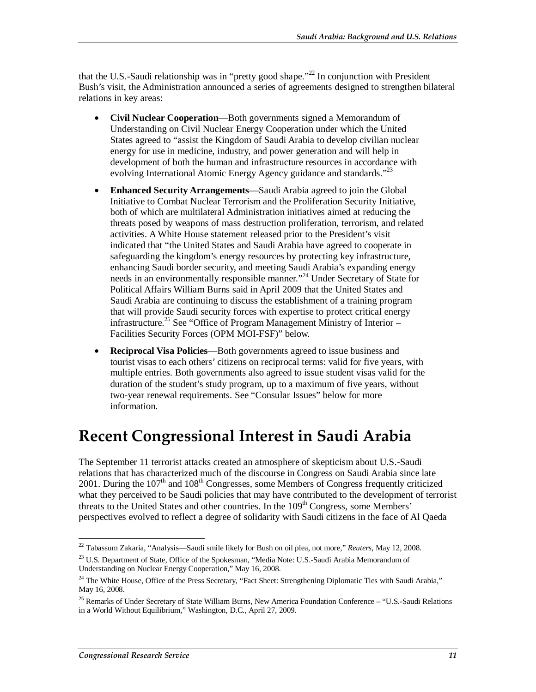that the U.S.-Saudi relationship was in "pretty good shape."<sup>22</sup> In conjunction with President Bush's visit, the Administration announced a series of agreements designed to strengthen bilateral relations in key areas:

- **Civil Nuclear Cooperation**—Both governments signed a Memorandum of Understanding on Civil Nuclear Energy Cooperation under which the United States agreed to "assist the Kingdom of Saudi Arabia to develop civilian nuclear energy for use in medicine, industry, and power generation and will help in development of both the human and infrastructure resources in accordance with evolving International Atomic Energy Agency guidance and standards."<sup>23</sup>
- **Enhanced Security Arrangements**—Saudi Arabia agreed to join the Global Initiative to Combat Nuclear Terrorism and the Proliferation Security Initiative, both of which are multilateral Administration initiatives aimed at reducing the threats posed by weapons of mass destruction proliferation, terrorism, and related activities. A White House statement released prior to the President's visit indicated that "the United States and Saudi Arabia have agreed to cooperate in safeguarding the kingdom's energy resources by protecting key infrastructure, enhancing Saudi border security, and meeting Saudi Arabia's expanding energy needs in an environmentally responsible manner."<sup>24</sup> Under Secretary of State for Political Affairs William Burns said in April 2009 that the United States and Saudi Arabia are continuing to discuss the establishment of a training program that will provide Saudi security forces with expertise to protect critical energy infrastructure.<sup>25</sup> See "Office of Program Management Ministry of Interior – Facilities Security Forces (OPM MOI-FSF)" below.
- **Reciprocal Visa Policies**—Both governments agreed to issue business and tourist visas to each others' citizens on reciprocal terms: valid for five years, with multiple entries. Both governments also agreed to issue student visas valid for the duration of the student's study program, up to a maximum of five years, without two-year renewal requirements. See "Consular Issues" below for more information.

## **Recent Congressional Interest in Saudi Arabia**

The September 11 terrorist attacks created an atmosphere of skepticism about U.S.-Saudi relations that has characterized much of the discourse in Congress on Saudi Arabia since late 2001. During the  $107<sup>th</sup>$  and  $108<sup>th</sup>$  Congresses, some Members of Congress frequently criticized what they perceived to be Saudi policies that may have contributed to the development of terrorist threats to the United States and other countries. In the  $109<sup>th</sup>$  Congress, some Members' perspectives evolved to reflect a degree of solidarity with Saudi citizens in the face of Al Qaeda

<sup>&</sup>lt;u>.</u> 22 Tabassum Zakaria, "Analysis—Saudi smile likely for Bush on oil plea, not more," *Reuters*, May 12, 2008.

<sup>&</sup>lt;sup>23</sup> U.S. Department of State, Office of the Spokesman, "Media Note: U.S.-Saudi Arabia Memorandum of Understanding on Nuclear Energy Cooperation," May 16, 2008.

<sup>&</sup>lt;sup>24</sup> The White House, Office of the Press Secretary, "Fact Sheet: Strengthening Diplomatic Ties with Saudi Arabia," May 16, 2008.

<sup>&</sup>lt;sup>25</sup> Remarks of Under Secretary of State William Burns, New America Foundation Conference – "U.S.-Saudi Relations in a World Without Equilibrium," Washington, D.C., April 27, 2009.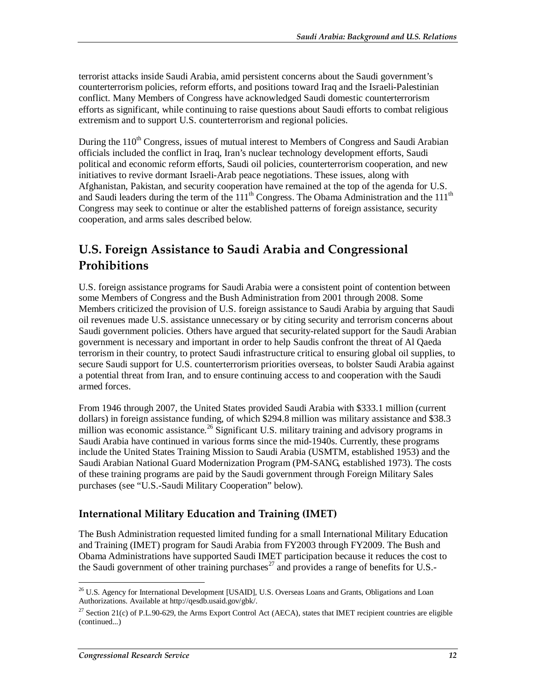terrorist attacks inside Saudi Arabia, amid persistent concerns about the Saudi government's counterterrorism policies, reform efforts, and positions toward Iraq and the Israeli-Palestinian conflict. Many Members of Congress have acknowledged Saudi domestic counterterrorism efforts as significant, while continuing to raise questions about Saudi efforts to combat religious extremism and to support U.S. counterterrorism and regional policies.

During the  $110<sup>th</sup>$  Congress, issues of mutual interest to Members of Congress and Saudi Arabian officials included the conflict in Iraq, Iran's nuclear technology development efforts, Saudi political and economic reform efforts, Saudi oil policies, counterterrorism cooperation, and new initiatives to revive dormant Israeli-Arab peace negotiations. These issues, along with Afghanistan, Pakistan, and security cooperation have remained at the top of the agenda for U.S. and Saudi leaders during the term of the 111<sup>th</sup> Congress. The Obama Administration and the 111<sup>th</sup> Congress may seek to continue or alter the established patterns of foreign assistance, security cooperation, and arms sales described below.

## **U.S. Foreign Assistance to Saudi Arabia and Congressional Prohibitions**

U.S. foreign assistance programs for Saudi Arabia were a consistent point of contention between some Members of Congress and the Bush Administration from 2001 through 2008. Some Members criticized the provision of U.S. foreign assistance to Saudi Arabia by arguing that Saudi oil revenues made U.S. assistance unnecessary or by citing security and terrorism concerns about Saudi government policies. Others have argued that security-related support for the Saudi Arabian government is necessary and important in order to help Saudis confront the threat of Al Qaeda terrorism in their country, to protect Saudi infrastructure critical to ensuring global oil supplies, to secure Saudi support for U.S. counterterrorism priorities overseas, to bolster Saudi Arabia against a potential threat from Iran, and to ensure continuing access to and cooperation with the Saudi armed forces.

From 1946 through 2007, the United States provided Saudi Arabia with \$333.1 million (current dollars) in foreign assistance funding, of which \$294.8 million was military assistance and \$38.3 million was economic assistance.<sup>26</sup> Significant U.S. military training and advisory programs in Saudi Arabia have continued in various forms since the mid-1940s. Currently, these programs include the United States Training Mission to Saudi Arabia (USMTM, established 1953) and the Saudi Arabian National Guard Modernization Program (PM-SANG, established 1973). The costs of these training programs are paid by the Saudi government through Foreign Military Sales purchases (see "U.S.-Saudi Military Cooperation" below).

#### **International Military Education and Training (IMET)**

The Bush Administration requested limited funding for a small International Military Education and Training (IMET) program for Saudi Arabia from FY2003 through FY2009. The Bush and Obama Administrations have supported Saudi IMET participation because it reduces the cost to the Saudi government of other training purchases<sup>27</sup> and provides a range of benefits for U.S.-

<sup>-</sup><sup>26</sup> U.S. Agency for International Development [USAID], U.S. Overseas Loans and Grants, Obligations and Loan Authorizations. Available at http://qesdb.usaid.gov/gbk/.

<sup>&</sup>lt;sup>27</sup> Section 21(c) of P.L.90-629, the Arms Export Control Act (AECA), states that IMET recipient countries are eligible (continued...)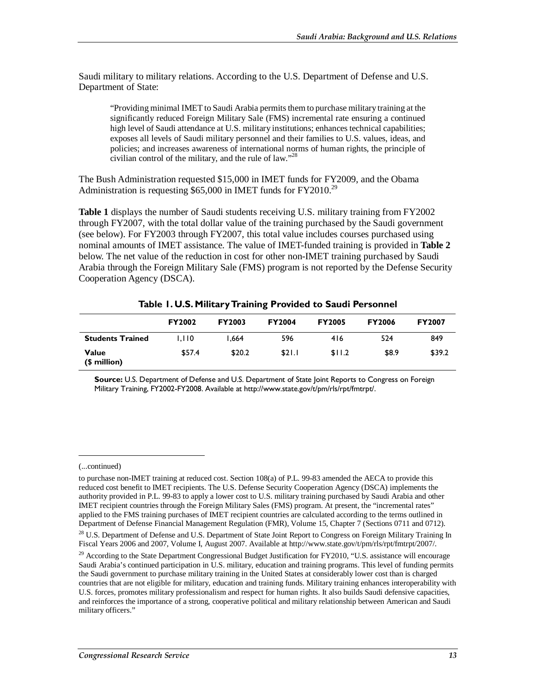Saudi military to military relations. According to the U.S. Department of Defense and U.S. Department of State:

"Providing minimal IMET to Saudi Arabia permits them to purchase military training at the significantly reduced Foreign Military Sale (FMS) incremental rate ensuring a continued high level of Saudi attendance at U.S. military institutions; enhances technical capabilities; exposes all levels of Saudi military personnel and their families to U.S. values, ideas, and policies; and increases awareness of international norms of human rights, the principle of civilian control of the military, and the rule of law."28

The Bush Administration requested \$15,000 in IMET funds for FY2009, and the Obama Administration is requesting \$65,000 in IMET funds for  $FY2010<sup>29</sup>$ 

**Table 1** displays the number of Saudi students receiving U.S. military training from FY2002 through FY2007, with the total dollar value of the training purchased by the Saudi government (see below). For FY2003 through FY2007, this total value includes courses purchased using nominal amounts of IMET assistance. The value of IMET-funded training is provided in **Table 2** below. The net value of the reduction in cost for other non-IMET training purchased by Saudi Arabia through the Foreign Military Sale (FMS) program is not reported by the Defense Security Cooperation Agency (DSCA).

|                              | <b>FY2002</b> | <b>FY2003</b> | <b>FY2004</b> | <b>FY2005</b> | <b>FY2006</b> | <b>FY2007</b> |
|------------------------------|---------------|---------------|---------------|---------------|---------------|---------------|
| <b>Students Trained</b>      | 1.110         | 1.664         | 596           | 416           | 524           | 849           |
| <b>Value</b><br>(\$ million) | \$57.4        | \$20.2        | \$21.1        | \$11.2        | \$8.9         | \$39.2        |

**Table 1. U.S. Military Training Provided to Saudi Personnel** 

**Source:** U.S. Department of Defense and U.S. Department of State Joint Reports to Congress on Foreign Military Training, FY2002-FY2008. Available at http://www.state.gov/t/pm/rls/rpt/fmtrpt/.

#### (...continued)

<u>.</u>

to purchase non-IMET training at reduced cost. Section 108(a) of P.L. 99-83 amended the AECA to provide this reduced cost benefit to IMET recipients. The U.S. Defense Security Cooperation Agency (DSCA) implements the authority provided in P.L. 99-83 to apply a lower cost to U.S. military training purchased by Saudi Arabia and other IMET recipient countries through the Foreign Military Sales (FMS) program. At present, the "incremental rates" applied to the FMS training purchases of IMET recipient countries are calculated according to the terms outlined in Department of Defense Financial Management Regulation (FMR), Volume 15, Chapter 7 (Sections 0711 and 0712).

<sup>&</sup>lt;sup>28</sup> U.S. Department of Defense and U.S. Department of State Joint Report to Congress on Foreign Military Training In Fiscal Years 2006 and 2007, Volume I, August 2007. Available at http://www.state.gov/t/pm/rls/rpt/fmtrpt/2007/.

<sup>&</sup>lt;sup>29</sup> According to the State Department Congressional Budget Justification for FY2010, "U.S. assistance will encourage Saudi Arabia's continued participation in U.S. military, education and training programs. This level of funding permits the Saudi government to purchase military training in the United States at considerably lower cost than is charged countries that are not eligible for military, education and training funds. Military training enhances interoperability with U.S. forces, promotes military professionalism and respect for human rights. It also builds Saudi defensive capacities, and reinforces the importance of a strong, cooperative political and military relationship between American and Saudi military officers."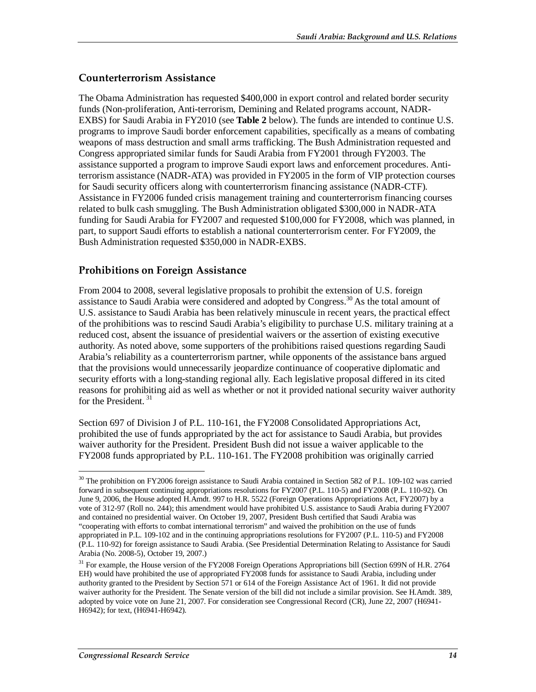#### **Counterterrorism Assistance**

The Obama Administration has requested \$400,000 in export control and related border security funds (Non-proliferation, Anti-terrorism, Demining and Related programs account, NADR-EXBS) for Saudi Arabia in FY2010 (see **Table 2** below). The funds are intended to continue U.S. programs to improve Saudi border enforcement capabilities, specifically as a means of combating weapons of mass destruction and small arms trafficking. The Bush Administration requested and Congress appropriated similar funds for Saudi Arabia from FY2001 through FY2003. The assistance supported a program to improve Saudi export laws and enforcement procedures. Antiterrorism assistance (NADR-ATA) was provided in FY2005 in the form of VIP protection courses for Saudi security officers along with counterterrorism financing assistance (NADR-CTF). Assistance in FY2006 funded crisis management training and counterterrorism financing courses related to bulk cash smuggling. The Bush Administration obligated \$300,000 in NADR-ATA funding for Saudi Arabia for FY2007 and requested \$100,000 for FY2008, which was planned, in part, to support Saudi efforts to establish a national counterterrorism center. For FY2009, the Bush Administration requested \$350,000 in NADR-EXBS.

#### **Prohibitions on Foreign Assistance**

From 2004 to 2008, several legislative proposals to prohibit the extension of U.S. foreign assistance to Saudi Arabia were considered and adopted by Congress.<sup>30</sup> As the total amount of U.S. assistance to Saudi Arabia has been relatively minuscule in recent years, the practical effect of the prohibitions was to rescind Saudi Arabia's eligibility to purchase U.S. military training at a reduced cost, absent the issuance of presidential waivers or the assertion of existing executive authority. As noted above, some supporters of the prohibitions raised questions regarding Saudi Arabia's reliability as a counterterrorism partner, while opponents of the assistance bans argued that the provisions would unnecessarily jeopardize continuance of cooperative diplomatic and security efforts with a long-standing regional ally. Each legislative proposal differed in its cited reasons for prohibiting aid as well as whether or not it provided national security waiver authority for the President.  $31$ 

Section 697 of Division J of P.L. 110-161, the FY2008 Consolidated Appropriations Act, prohibited the use of funds appropriated by the act for assistance to Saudi Arabia, but provides waiver authority for the President. President Bush did not issue a waiver applicable to the FY2008 funds appropriated by P.L. 110-161. The FY2008 prohibition was originally carried

<sup>&</sup>lt;u>.</u> <sup>30</sup> The prohibition on FY2006 foreign assistance to Saudi Arabia contained in Section 582 of P.L. 109-102 was carried forward in subsequent continuing appropriations resolutions for FY2007 (P.L. 110-5) and FY2008 (P.L. 110-92). On June 9, 2006, the House adopted H.Amdt. 997 to H.R. 5522 (Foreign Operations Appropriations Act, FY2007) by a vote of 312-97 (Roll no. 244); this amendment would have prohibited U.S. assistance to Saudi Arabia during FY2007 and contained no presidential waiver. On October 19, 2007, President Bush certified that Saudi Arabia was "cooperating with efforts to combat international terrorism" and waived the prohibition on the use of funds appropriated in P.L. 109-102 and in the continuing appropriations resolutions for FY2007 (P.L. 110-5) and FY2008 (P.L. 110-92) for foreign assistance to Saudi Arabia. (See Presidential Determination Relating to Assistance for Saudi Arabia (No. 2008-5), October 19, 2007.)

<sup>&</sup>lt;sup>31</sup> For example, the House version of the FY2008 Foreign Operations Appropriations bill (Section 699N of H.R. 2764 EH) would have prohibited the use of appropriated FY2008 funds for assistance to Saudi Arabia, including under authority granted to the President by Section 571 or 614 of the Foreign Assistance Act of 1961. It did not provide waiver authority for the President. The Senate version of the bill did not include a similar provision. See H.Amdt. 389, adopted by voice vote on June 21, 2007. For consideration see Congressional Record (CR), June 22, 2007 (H6941- H6942); for text, (H6941-H6942).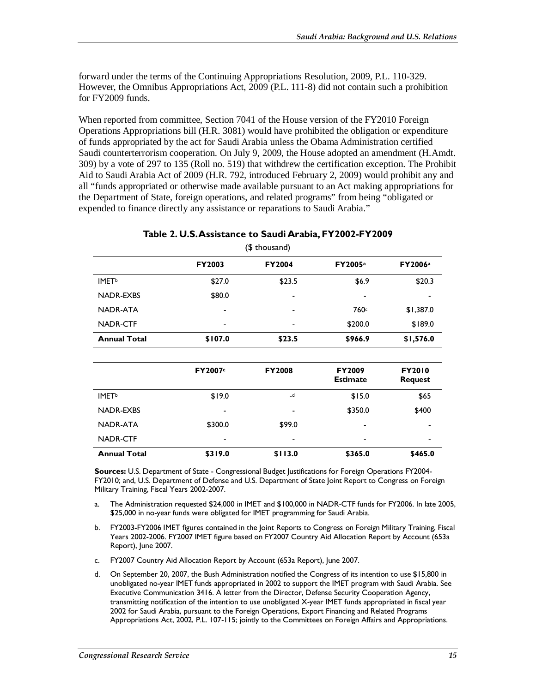forward under the terms of the Continuing Appropriations Resolution, 2009, P.L. 110-329. However, the Omnibus Appropriations Act, 2009 (P.L. 111-8) did not contain such a prohibition for FY2009 funds.

When reported from committee, Section 7041 of the House version of the FY2010 Foreign Operations Appropriations bill (H.R. 3081) would have prohibited the obligation or expenditure of funds appropriated by the act for Saudi Arabia unless the Obama Administration certified Saudi counterterrorism cooperation. On July 9, 2009, the House adopted an amendment (H.Amdt. 309) by a vote of 297 to 135 (Roll no. 519) that withdrew the certification exception. The Prohibit Aid to Saudi Arabia Act of 2009 (H.R. 792, introduced February 2, 2009) would prohibit any and all "funds appropriated or otherwise made available pursuant to an Act making appropriations for the Department of State, foreign operations, and related programs" from being "obligated or expended to finance directly any assistance or reparations to Saudi Arabia."

#### **Table 2. U.S. Assistance to Saudi Arabia, FY2002-FY2009**

|                          |         | <b>T</b><br>  |                                  |                                 |
|--------------------------|---------|---------------|----------------------------------|---------------------------------|
|                          | FY2003  | <b>FY2004</b> | FY2005a                          | FY2006a                         |
| <b>IMET</b> <sup>b</sup> | \$27.0  | \$23.5        | \$6.9                            | \$20.3                          |
| <b>NADR-EXBS</b>         | \$80.0  | ۰             | -                                |                                 |
| NADR-ATA                 |         |               | 760c                             | \$1,387.0                       |
| <b>NADR-CTF</b>          |         |               | \$200.0                          | \$189.0                         |
| <b>Annual Total</b>      | \$107.0 | \$23.5        | \$966.9                          | \$1,576.0                       |
|                          |         |               |                                  |                                 |
|                          | FY2007c | <b>FY2008</b> | <b>FY2009</b><br><b>Estimate</b> | <b>FY2010</b><br><b>Request</b> |
| <b>IMET</b> <sup>b</sup> | \$19.0  | $\mathsf{d}$  | \$15.0                           | \$65                            |
| <b>NADR-EXBS</b>         |         |               | \$350.0                          | \$400                           |
| NADR-ATA                 | \$300.0 | \$99.0<br>۰   |                                  |                                 |
| NADR-CTF                 |         |               |                                  |                                 |
| <b>Annual Total</b>      | \$319.0 | \$113.0       | \$365.0                          | \$465.0                         |

(\$ thousand)

**Sources:** U.S. Department of State - Congressional Budget Justifications for Foreign Operations FY2004- FY2010; and, U.S. Department of Defense and U.S. Department of State Joint Report to Congress on Foreign Military Training, Fiscal Years 2002-2007.

- a. The Administration requested \$24,000 in IMET and \$100,000 in NADR-CTF funds for FY2006. In late 2005, \$25,000 in no-year funds were obligated for IMET programming for Saudi Arabia.
- b. FY2003-FY2006 IMET figures contained in the Joint Reports to Congress on Foreign Military Training, Fiscal Years 2002-2006. FY2007 IMET figure based on FY2007 Country Aid Allocation Report by Account (653a Report), June 2007.
- c. FY2007 Country Aid Allocation Report by Account (653a Report), June 2007.
- d. On September 20, 2007, the Bush Administration notified the Congress of its intention to use \$15,800 in unobligated no-year IMET funds appropriated in 2002 to support the IMET program with Saudi Arabia. See Executive Communication 3416. A letter from the Director, Defense Security Cooperation Agency, transmitting notification of the intention to use unobligated X-year IMET funds appropriated in fiscal year 2002 for Saudi Arabia, pursuant to the Foreign Operations, Export Financing and Related Programs Appropriations Act, 2002, P.L. 107-115; jointly to the Committees on Foreign Affairs and Appropriations.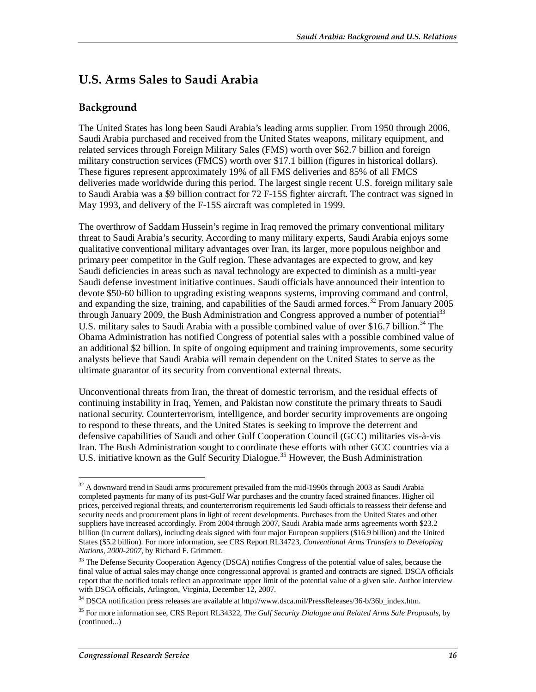## **U.S. Arms Sales to Saudi Arabia**

#### **Background**

The United States has long been Saudi Arabia's leading arms supplier. From 1950 through 2006, Saudi Arabia purchased and received from the United States weapons, military equipment, and related services through Foreign Military Sales (FMS) worth over \$62.7 billion and foreign military construction services (FMCS) worth over \$17.1 billion (figures in historical dollars). These figures represent approximately 19% of all FMS deliveries and 85% of all FMCS deliveries made worldwide during this period. The largest single recent U.S. foreign military sale to Saudi Arabia was a \$9 billion contract for 72 F-15S fighter aircraft. The contract was signed in May 1993, and delivery of the F-15S aircraft was completed in 1999.

The overthrow of Saddam Hussein's regime in Iraq removed the primary conventional military threat to Saudi Arabia's security. According to many military experts, Saudi Arabia enjoys some qualitative conventional military advantages over Iran, its larger, more populous neighbor and primary peer competitor in the Gulf region. These advantages are expected to grow, and key Saudi deficiencies in areas such as naval technology are expected to diminish as a multi-year Saudi defense investment initiative continues. Saudi officials have announced their intention to devote \$50-60 billion to upgrading existing weapons systems, improving command and control, and expanding the size, training, and capabilities of the Saudi armed forces.<sup>32</sup> From January 2005 through January 2009, the Bush Administration and Congress approved a number of potential<sup>33</sup> U.S. military sales to Saudi Arabia with a possible combined value of over \$16.7 billion.<sup>34</sup> The Obama Administration has notified Congress of potential sales with a possible combined value of an additional \$2 billion. In spite of ongoing equipment and training improvements, some security analysts believe that Saudi Arabia will remain dependent on the United States to serve as the ultimate guarantor of its security from conventional external threats.

Unconventional threats from Iran, the threat of domestic terrorism, and the residual effects of continuing instability in Iraq, Yemen, and Pakistan now constitute the primary threats to Saudi national security. Counterterrorism, intelligence, and border security improvements are ongoing to respond to these threats, and the United States is seeking to improve the deterrent and defensive capabilities of Saudi and other Gulf Cooperation Council (GCC) militaries vis-à-vis Iran. The Bush Administration sought to coordinate these efforts with other GCC countries via a U.S. initiative known as the Gulf Security Dialogue.<sup>35</sup> However, the Bush Administration

<sup>&</sup>lt;u>.</u>  $32$  A downward trend in Saudi arms procurement prevailed from the mid-1990s through 2003 as Saudi Arabia completed payments for many of its post-Gulf War purchases and the country faced strained finances. Higher oil prices, perceived regional threats, and counterterrorism requirements led Saudi officials to reassess their defense and security needs and procurement plans in light of recent developments. Purchases from the United States and other suppliers have increased accordingly. From 2004 through 2007, Saudi Arabia made arms agreements worth \$23.2 billion (in current dollars), including deals signed with four major European suppliers (\$16.9 billion) and the United States (\$5.2 billion). For more information, see CRS Report RL34723, *Conventional Arms Transfers to Developing Nations, 2000-2007*, by Richard F. Grimmett.

<sup>&</sup>lt;sup>33</sup> The Defense Security Cooperation Agency (DSCA) notifies Congress of the potential value of sales, because the final value of actual sales may change once congressional approval is granted and contracts are signed. DSCA officials report that the notified totals reflect an approximate upper limit of the potential value of a given sale. Author interview with DSCA officials, Arlington, Virginia, December 12, 2007.

<sup>&</sup>lt;sup>34</sup> DSCA notification press releases are available at http://www.dsca.mil/PressReleases/36-b/36b\_index.htm.

<sup>35</sup> For more information see, CRS Report RL34322, *The Gulf Security Dialogue and Related Arms Sale Proposals*, by (continued...)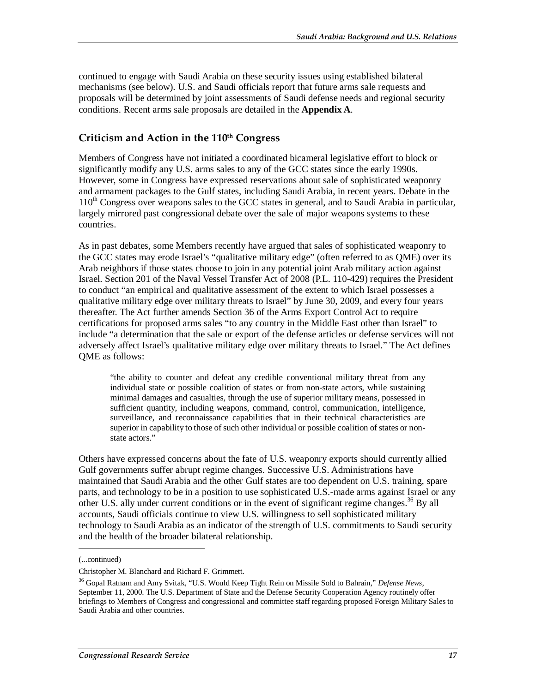continued to engage with Saudi Arabia on these security issues using established bilateral mechanisms (see below). U.S. and Saudi officials report that future arms sale requests and proposals will be determined by joint assessments of Saudi defense needs and regional security conditions. Recent arms sale proposals are detailed in the **Appendix A**.

#### **Criticism and Action in the 110th Congress**

Members of Congress have not initiated a coordinated bicameral legislative effort to block or significantly modify any U.S. arms sales to any of the GCC states since the early 1990s. However, some in Congress have expressed reservations about sale of sophisticated weaponry and armament packages to the Gulf states, including Saudi Arabia, in recent years. Debate in the  $110<sup>th</sup>$  Congress over weapons sales to the GCC states in general, and to Saudi Arabia in particular, largely mirrored past congressional debate over the sale of major weapons systems to these countries.

As in past debates, some Members recently have argued that sales of sophisticated weaponry to the GCC states may erode Israel's "qualitative military edge" (often referred to as QME) over its Arab neighbors if those states choose to join in any potential joint Arab military action against Israel. Section 201 of the Naval Vessel Transfer Act of 2008 (P.L. 110-429) requires the President to conduct "an empirical and qualitative assessment of the extent to which Israel possesses a qualitative military edge over military threats to Israel" by June 30, 2009, and every four years thereafter. The Act further amends Section 36 of the Arms Export Control Act to require certifications for proposed arms sales "to any country in the Middle East other than Israel" to include "a determination that the sale or export of the defense articles or defense services will not adversely affect Israel's qualitative military edge over military threats to Israel." The Act defines QME as follows:

"the ability to counter and defeat any credible conventional military threat from any individual state or possible coalition of states or from non-state actors, while sustaining minimal damages and casualties, through the use of superior military means, possessed in sufficient quantity, including weapons, command, control, communication, intelligence, surveillance, and reconnaissance capabilities that in their technical characteristics are superior in capability to those of such other individual or possible coalition of states or nonstate actors."

Others have expressed concerns about the fate of U.S. weaponry exports should currently allied Gulf governments suffer abrupt regime changes. Successive U.S. Administrations have maintained that Saudi Arabia and the other Gulf states are too dependent on U.S. training, spare parts, and technology to be in a position to use sophisticated U.S.-made arms against Israel or any other U.S. ally under current conditions or in the event of significant regime changes.<sup>36</sup> By all accounts, Saudi officials continue to view U.S. willingness to sell sophisticated military technology to Saudi Arabia as an indicator of the strength of U.S. commitments to Saudi security and the health of the broader bilateral relationship.

1

<sup>(...</sup>continued)

Christopher M. Blanchard and Richard F. Grimmett.

<sup>36</sup> Gopal Ratnam and Amy Svitak, "U.S. Would Keep Tight Rein on Missile Sold to Bahrain," *Defense News*, September 11, 2000. The U.S. Department of State and the Defense Security Cooperation Agency routinely offer briefings to Members of Congress and congressional and committee staff regarding proposed Foreign Military Sales to Saudi Arabia and other countries.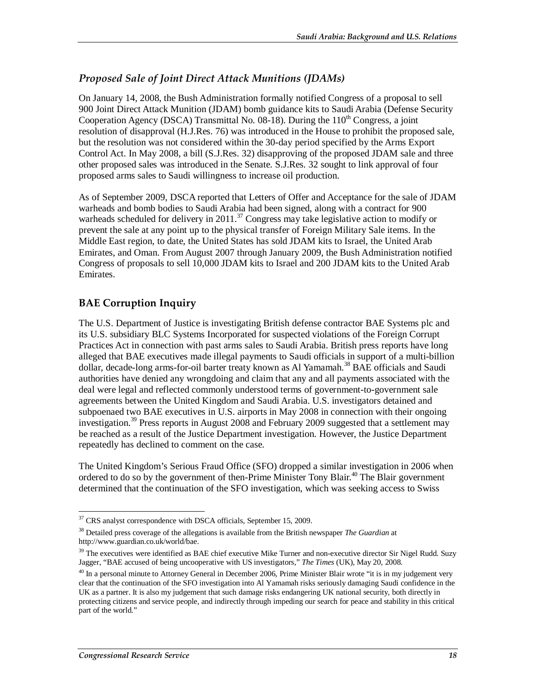#### *Proposed Sale of Joint Direct Attack Munitions (JDAMs)*

On January 14, 2008, the Bush Administration formally notified Congress of a proposal to sell 900 Joint Direct Attack Munition (JDAM) bomb guidance kits to Saudi Arabia (Defense Security Cooperation Agency (DSCA) Transmittal No.  $08-18$ ). During the  $110<sup>th</sup>$  Congress, a joint resolution of disapproval (H.J.Res. 76) was introduced in the House to prohibit the proposed sale, but the resolution was not considered within the 30-day period specified by the Arms Export Control Act. In May 2008, a bill (S.J.Res. 32) disapproving of the proposed JDAM sale and three other proposed sales was introduced in the Senate. S.J.Res. 32 sought to link approval of four proposed arms sales to Saudi willingness to increase oil production.

As of September 2009, DSCA reported that Letters of Offer and Acceptance for the sale of JDAM warheads and bomb bodies to Saudi Arabia had been signed, along with a contract for 900 warheads scheduled for delivery in 2011.<sup>37</sup> Congress may take legislative action to modify or prevent the sale at any point up to the physical transfer of Foreign Military Sale items. In the Middle East region, to date, the United States has sold JDAM kits to Israel, the United Arab Emirates, and Oman. From August 2007 through January 2009, the Bush Administration notified Congress of proposals to sell 10,000 JDAM kits to Israel and 200 JDAM kits to the United Arab Emirates.

#### **BAE Corruption Inquiry**

The U.S. Department of Justice is investigating British defense contractor BAE Systems plc and its U.S. subsidiary BLC Systems Incorporated for suspected violations of the Foreign Corrupt Practices Act in connection with past arms sales to Saudi Arabia. British press reports have long alleged that BAE executives made illegal payments to Saudi officials in support of a multi-billion dollar, decade-long arms-for-oil barter treaty known as Al Yamamah.<sup>38</sup> BAE officials and Saudi authorities have denied any wrongdoing and claim that any and all payments associated with the deal were legal and reflected commonly understood terms of government-to-government sale agreements between the United Kingdom and Saudi Arabia. U.S. investigators detained and subpoenaed two BAE executives in U.S. airports in May 2008 in connection with their ongoing investigation.<sup>39</sup> Press reports in August 2008 and February 2009 suggested that a settlement may be reached as a result of the Justice Department investigation. However, the Justice Department repeatedly has declined to comment on the case.

The United Kingdom's Serious Fraud Office (SFO) dropped a similar investigation in 2006 when ordered to do so by the government of then-Prime Minister Tony Blair.40 The Blair government determined that the continuation of the SFO investigation, which was seeking access to Swiss

<sup>-</sup><sup>37</sup> CRS analyst correspondence with DSCA officials, September 15, 2009.

<sup>38</sup> Detailed press coverage of the allegations is available from the British newspaper *The Guardian* at http://www.guardian.co.uk/world/bae.

<sup>&</sup>lt;sup>39</sup> The executives were identified as BAE chief executive Mike Turner and non-executive director Sir Nigel Rudd. Suzy Jagger, "BAE accused of being uncooperative with US investigators," *The Times* (UK), May 20, 2008.

 $^{40}$  In a personal minute to Attorney General in December 2006, Prime Minister Blair wrote "it is in my judgement very clear that the continuation of the SFO investigation into Al Yamamah risks seriously damaging Saudi confidence in the UK as a partner. It is also my judgement that such damage risks endangering UK national security, both directly in protecting citizens and service people, and indirectly through impeding our search for peace and stability in this critical part of the world."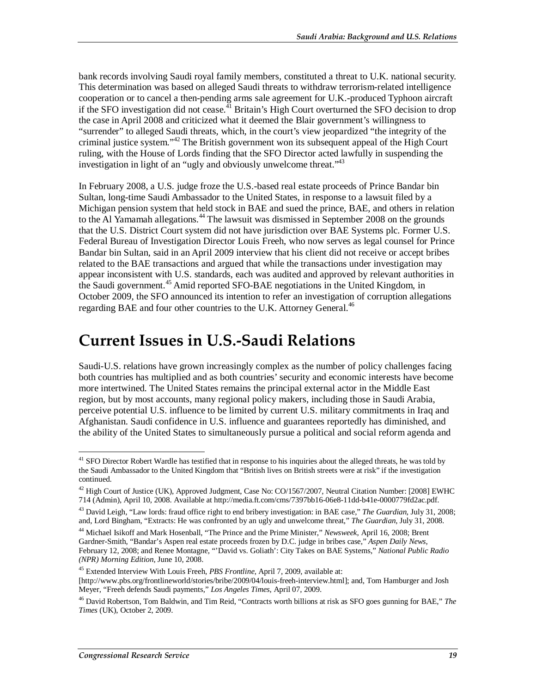bank records involving Saudi royal family members, constituted a threat to U.K. national security. This determination was based on alleged Saudi threats to withdraw terrorism-related intelligence cooperation or to cancel a then-pending arms sale agreement for U.K.-produced Typhoon aircraft if the SFO investigation did not cease.<sup>41</sup> Britain's High Court overturned the SFO decision to drop the case in April 2008 and criticized what it deemed the Blair government's willingness to "surrender" to alleged Saudi threats, which, in the court's view jeopardized "the integrity of the criminal justice system."<sup>42</sup> The British government won its subsequent appeal of the High Court ruling, with the House of Lords finding that the SFO Director acted lawfully in suspending the investigation in light of an "ugly and obviously unwelcome threat."<sup>43</sup>

In February 2008, a U.S. judge froze the U.S.-based real estate proceeds of Prince Bandar bin Sultan, long-time Saudi Ambassador to the United States, in response to a lawsuit filed by a Michigan pension system that held stock in BAE and sued the prince, BAE, and others in relation to the Al Yamamah allegations.<sup>44</sup> The lawsuit was dismissed in September 2008 on the grounds that the U.S. District Court system did not have jurisdiction over BAE Systems plc. Former U.S. Federal Bureau of Investigation Director Louis Freeh, who now serves as legal counsel for Prince Bandar bin Sultan, said in an April 2009 interview that his client did not receive or accept bribes related to the BAE transactions and argued that while the transactions under investigation may appear inconsistent with U.S. standards, each was audited and approved by relevant authorities in the Saudi government.<sup>45</sup> Amid reported SFO-BAE negotiations in the United Kingdom, in October 2009, the SFO announced its intention to refer an investigation of corruption allegations regarding BAE and four other countries to the U.K. Attorney General.<sup>46</sup>

## **Current Issues in U.S.-Saudi Relations**

Saudi-U.S. relations have grown increasingly complex as the number of policy challenges facing both countries has multiplied and as both countries' security and economic interests have become more intertwined. The United States remains the principal external actor in the Middle East region, but by most accounts, many regional policy makers, including those in Saudi Arabia, perceive potential U.S. influence to be limited by current U.S. military commitments in Iraq and Afghanistan. Saudi confidence in U.S. influence and guarantees reportedly has diminished, and the ability of the United States to simultaneously pursue a political and social reform agenda and

<sup>-</sup><sup>41</sup> SFO Director Robert Wardle has testified that in response to his inquiries about the alleged threats, he was told by the Saudi Ambassador to the United Kingdom that "British lives on British streets were at risk" if the investigation continued.

<sup>&</sup>lt;sup>42</sup> High Court of Justice (UK), Approved Judgment, Case No: CO/1567/2007, Neutral Citation Number: [2008] EWHC 714 (Admin), April 10, 2008. Available at http://media.ft.com/cms/7397bb16-06e8-11dd-b41e-0000779fd2ac.pdf.

<sup>43</sup> David Leigh, "Law lords: fraud office right to end bribery investigation: in BAE case," *The Guardian*, July 31, 2008; and, Lord Bingham, "Extracts: He was confronted by an ugly and unwelcome threat," *The Guardian*, July 31, 2008.

<sup>44</sup> Michael Isikoff and Mark Hosenball, "The Prince and the Prime Minister," *Newsweek*, April 16, 2008; Brent Gardner-Smith, "Bandar's Aspen real estate proceeds frozen by D.C. judge in bribes case," *Aspen Daily News*, February 12, 2008; and Renee Montagne, "'David vs. Goliath': City Takes on BAE Systems," *National Public Radio (NPR) Morning Edition*, June 10, 2008.

<sup>45</sup> Extended Interview With Louis Freeh, *PBS Frontline*, April 7, 2009, available at: [http://www.pbs.org/frontlineworld/stories/bribe/2009/04/louis-freeh-interview.html]; and, Tom Hamburger and Josh Meyer, "Freeh defends Saudi payments," *Los Angeles Times*, April 07, 2009.

<sup>46</sup> David Robertson, Tom Baldwin, and Tim Reid, "Contracts worth billions at risk as SFO goes gunning for BAE," *The Times* (UK), October 2, 2009.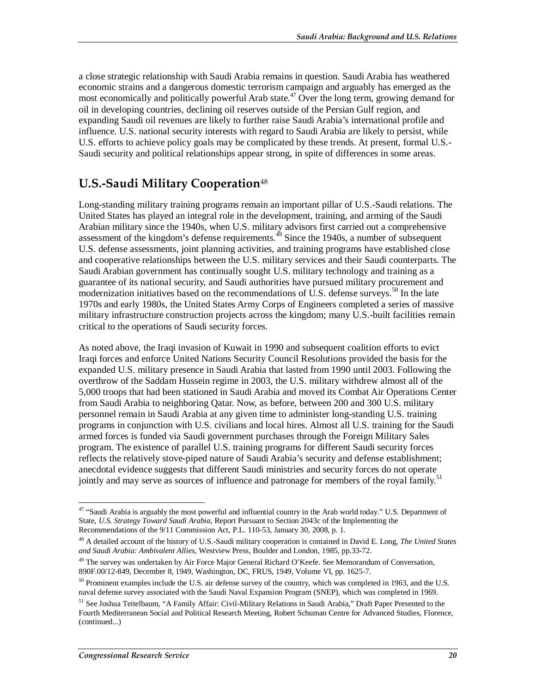a close strategic relationship with Saudi Arabia remains in question. Saudi Arabia has weathered economic strains and a dangerous domestic terrorism campaign and arguably has emerged as the most economically and politically powerful Arab state.<sup>47</sup> Over the long term, growing demand for oil in developing countries, declining oil reserves outside of the Persian Gulf region, and expanding Saudi oil revenues are likely to further raise Saudi Arabia's international profile and influence. U.S. national security interests with regard to Saudi Arabia are likely to persist, while U.S. efforts to achieve policy goals may be complicated by these trends. At present, formal U.S.- Saudi security and political relationships appear strong, in spite of differences in some areas.

### **U.S.-Saudi Military Cooperation**<sup>48</sup>

Long-standing military training programs remain an important pillar of U.S.-Saudi relations. The United States has played an integral role in the development, training, and arming of the Saudi Arabian military since the 1940s, when U.S. military advisors first carried out a comprehensive assessment of the kingdom's defense requirements.<sup> $49$ </sup> Since the 1940s, a number of subsequent U.S. defense assessments, joint planning activities, and training programs have established close and cooperative relationships between the U.S. military services and their Saudi counterparts. The Saudi Arabian government has continually sought U.S. military technology and training as a guarantee of its national security, and Saudi authorities have pursued military procurement and modernization initiatives based on the recommendations of U.S. defense surveys.<sup>50</sup> In the late 1970s and early 1980s, the United States Army Corps of Engineers completed a series of massive military infrastructure construction projects across the kingdom; many U.S.-built facilities remain critical to the operations of Saudi security forces.

As noted above, the Iraqi invasion of Kuwait in 1990 and subsequent coalition efforts to evict Iraqi forces and enforce United Nations Security Council Resolutions provided the basis for the expanded U.S. military presence in Saudi Arabia that lasted from 1990 until 2003. Following the overthrow of the Saddam Hussein regime in 2003, the U.S. military withdrew almost all of the 5,000 troops that had been stationed in Saudi Arabia and moved its Combat Air Operations Center from Saudi Arabia to neighboring Qatar. Now, as before, between 200 and 300 U.S. military personnel remain in Saudi Arabia at any given time to administer long-standing U.S. training programs in conjunction with U.S. civilians and local hires. Almost all U.S. training for the Saudi armed forces is funded via Saudi government purchases through the Foreign Military Sales program. The existence of parallel U.S. training programs for different Saudi security forces reflects the relatively stove-piped nature of Saudi Arabia's security and defense establishment; anecdotal evidence suggests that different Saudi ministries and security forces do not operate jointly and may serve as sources of influence and patronage for members of the royal family.<sup>51</sup>

<sup>-</sup><sup>47</sup> "Saudi Arabia is arguably the most powerful and influential country in the Arab world today." U.S. Department of State, *U.S. Strategy Toward Saudi Arabia*, Report Pursuant to Section 2043c of the Implementing the Recommendations of the 9/11 Commission Act, P.L. 110-53, January 30, 2008, p. 1.

<sup>48</sup> A detailed account of the history of U.S.-Saudi military cooperation is contained in David E. Long, *The United States and Saudi Arabia: Ambivalent Allies*, Westview Press, Boulder and London, 1985, pp.33-72.

<sup>&</sup>lt;sup>49</sup> The survey was undertaken by Air Force Major General Richard O'Keefe. See Memorandum of Conversation, 890F.00/12-849, December 8, 1949, Washington, DC, FRUS, 1949, Volume VI, pp. 1625-7.

<sup>&</sup>lt;sup>50</sup> Prominent examples include the U.S. air defense survey of the country, which was completed in 1963, and the U.S. naval defense survey associated with the Saudi Naval Expansion Program (SNEP), which was completed in 1969.

<sup>&</sup>lt;sup>51</sup> See Joshua Teitelbaum, "A Family Affair: Civil-Military Relations in Saudi Arabia," Draft Paper Presented to the Fourth Mediterranean Social and Political Research Meeting, Robert Schuman Centre for Advanced Studies, Florence, (continued...)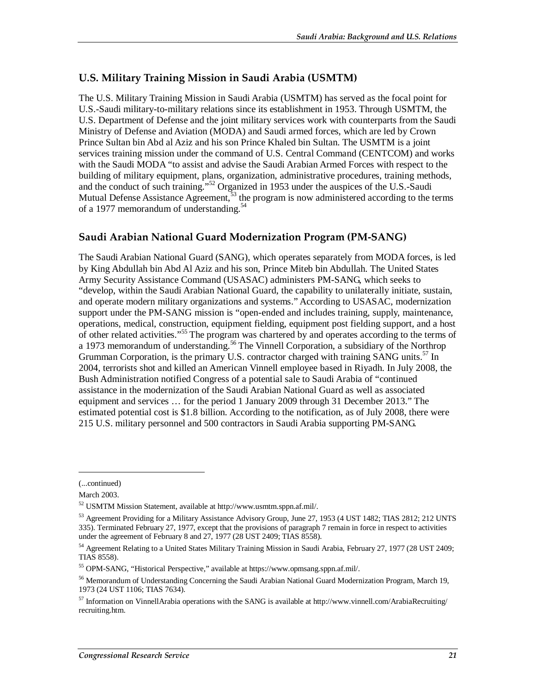#### **U.S. Military Training Mission in Saudi Arabia (USMTM)**

The U.S. Military Training Mission in Saudi Arabia (USMTM) has served as the focal point for U.S.-Saudi military-to-military relations since its establishment in 1953. Through USMTM, the U.S. Department of Defense and the joint military services work with counterparts from the Saudi Ministry of Defense and Aviation (MODA) and Saudi armed forces, which are led by Crown Prince Sultan bin Abd al Aziz and his son Prince Khaled bin Sultan. The USMTM is a joint services training mission under the command of U.S. Central Command (CENTCOM) and works with the Saudi MODA "to assist and advise the Saudi Arabian Armed Forces with respect to the building of military equipment, plans, organization, administrative procedures, training methods, and the conduct of such training."52 Organized in 1953 under the auspices of the U.S.-Saudi Mutual Defense Assistance Agreement,<sup>53</sup> the program is now administered according to the terms of a 1977 memorandum of understanding.<sup>54</sup>

#### **Saudi Arabian National Guard Modernization Program (PM-SANG)**

The Saudi Arabian National Guard (SANG), which operates separately from MODA forces, is led by King Abdullah bin Abd Al Aziz and his son, Prince Miteb bin Abdullah. The United States Army Security Assistance Command (USASAC) administers PM-SANG, which seeks to "develop, within the Saudi Arabian National Guard, the capability to unilaterally initiate, sustain, and operate modern military organizations and systems." According to USASAC, modernization support under the PM-SANG mission is "open-ended and includes training, supply, maintenance, operations, medical, construction, equipment fielding, equipment post fielding support, and a host of other related activities."<sup>55</sup> The program was chartered by and operates according to the terms of a 1973 memorandum of understanding.<sup>56</sup> The Vinnell Corporation, a subsidiary of the Northrop Grumman Corporation, is the primary U.S. contractor charged with training SANG units.<sup>57</sup> In 2004, terrorists shot and killed an American Vinnell employee based in Riyadh. In July 2008, the Bush Administration notified Congress of a potential sale to Saudi Arabia of "continued assistance in the modernization of the Saudi Arabian National Guard as well as associated equipment and services … for the period 1 January 2009 through 31 December 2013." The estimated potential cost is \$1.8 billion. According to the notification, as of July 2008, there were 215 U.S. military personnel and 500 contractors in Saudi Arabia supporting PM-SANG.

1

<sup>(...</sup>continued)

March 2003.

<sup>52</sup> USMTM Mission Statement, available at http://www.usmtm.sppn.af.mil/.

<sup>53</sup> Agreement Providing for a Military Assistance Advisory Group, June 27, 1953 (4 UST 1482; TIAS 2812; 212 UNTS 335). Terminated February 27, 1977, except that the provisions of paragraph 7 remain in force in respect to activities under the agreement of February 8 and 27, 1977 (28 UST 2409; TIAS 8558).

<sup>&</sup>lt;sup>54</sup> Agreement Relating to a United States Military Training Mission in Saudi Arabia, February 27, 1977 (28 UST 2409; TIAS 8558).

<sup>55</sup> OPM-SANG, "Historical Perspective," available at https://www.opmsang.sppn.af.mil/.

<sup>56</sup> Memorandum of Understanding Concerning the Saudi Arabian National Guard Modernization Program, March 19, 1973 (24 UST 1106; TIAS 7634).

<sup>57</sup> Information on VinnellArabia operations with the SANG is available at http://www.vinnell.com/ArabiaRecruiting/ recruiting.htm.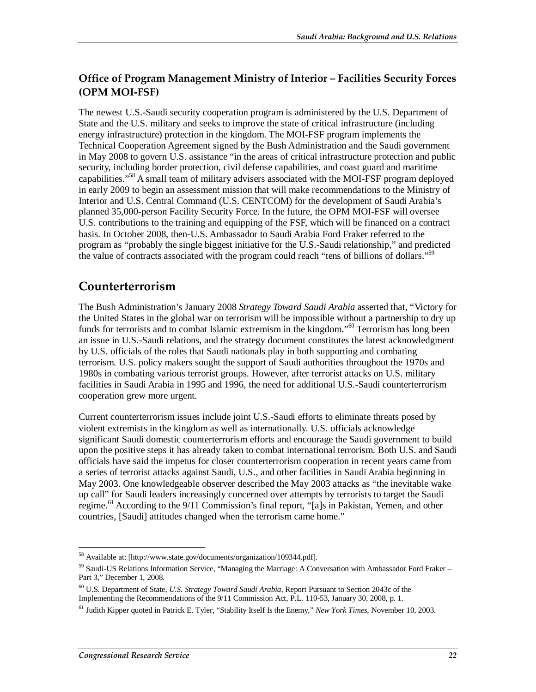#### **Office of Program Management Ministry of Interior – Facilities Security Forces (OPM MOI-FSF)**

The newest U.S.-Saudi security cooperation program is administered by the U.S. Department of State and the U.S. military and seeks to improve the state of critical infrastructure (including energy infrastructure) protection in the kingdom. The MOI-FSF program implements the Technical Cooperation Agreement signed by the Bush Administration and the Saudi government in May 2008 to govern U.S. assistance "in the areas of critical infrastructure protection and public security, including border protection, civil defense capabilities, and coast guard and maritime capabilities."<sup>58</sup> A small team of military advisers associated with the MOI-FSF program deployed in early 2009 to begin an assessment mission that will make recommendations to the Ministry of Interior and U.S. Central Command (U.S. CENTCOM) for the development of Saudi Arabia's planned 35,000-person Facility Security Force. In the future, the OPM MOI-FSF will oversee U.S. contributions to the training and equipping of the FSF, which will be financed on a contract basis. In October 2008, then-U.S. Ambassador to Saudi Arabia Ford Fraker referred to the program as "probably the single biggest initiative for the U.S.-Saudi relationship," and predicted the value of contracts associated with the program could reach "tens of billions of dollars."<sup>59</sup>

### **Counterterrorism**

The Bush Administration's January 2008 *Strategy Toward Saudi Arabia* asserted that, "Victory for the United States in the global war on terrorism will be impossible without a partnership to dry up funds for terrorists and to combat Islamic extremism in the kingdom."<sup>60</sup> Terrorism has long been an issue in U.S.-Saudi relations, and the strategy document constitutes the latest acknowledgment by U.S. officials of the roles that Saudi nationals play in both supporting and combating terrorism. U.S. policy makers sought the support of Saudi authorities throughout the 1970s and 1980s in combating various terrorist groups. However, after terrorist attacks on U.S. military facilities in Saudi Arabia in 1995 and 1996, the need for additional U.S.-Saudi counterterrorism cooperation grew more urgent.

Current counterterrorism issues include joint U.S.-Saudi efforts to eliminate threats posed by violent extremists in the kingdom as well as internationally. U.S. officials acknowledge significant Saudi domestic counterterrorism efforts and encourage the Saudi government to build upon the positive steps it has already taken to combat international terrorism. Both U.S. and Saudi officials have said the impetus for closer counterterrorism cooperation in recent years came from a series of terrorist attacks against Saudi, U.S., and other facilities in Saudi Arabia beginning in May 2003. One knowledgeable observer described the May 2003 attacks as "the inevitable wake up call" for Saudi leaders increasingly concerned over attempts by terrorists to target the Saudi regime.<sup>61</sup> According to the 9/11 Commission's final report, "[a]s in Pakistan, Yemen, and other countries, [Saudi] attitudes changed when the terrorism came home."

<sup>-</sup><sup>58</sup> Available at: [http://www.state.gov/documents/organization/109344.pdf].

<sup>59</sup> Saudi-US Relations Information Service, "Managing the Marriage: A Conversation with Ambassador Ford Fraker – Part 3," December 1, 2008.

<sup>60</sup> U.S. Department of State, *U.S. Strategy Toward Saudi Arabia*, Report Pursuant to Section 2043c of the Implementing the Recommendations of the 9/11 Commission Act, P.L. 110-53, January 30, 2008, p. 1.

<sup>61</sup> Judith Kipper quoted in Patrick E. Tyler, "Stability Itself Is the Enemy," *New York Times*, November 10, 2003.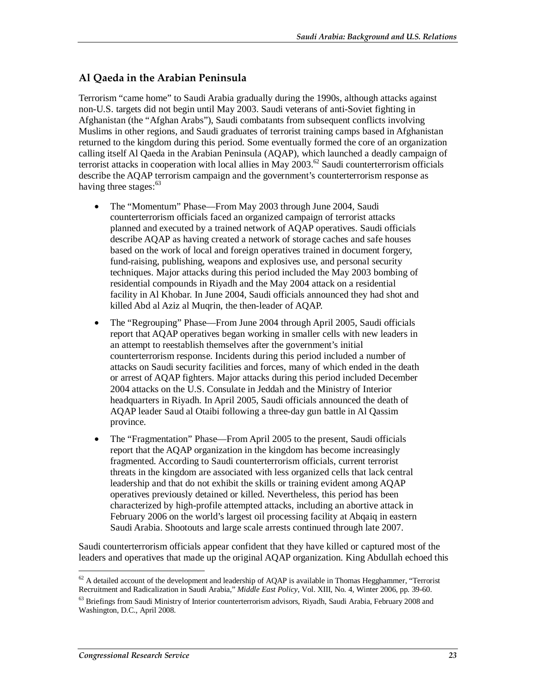#### **Al Qaeda in the Arabian Peninsula**

Terrorism "came home" to Saudi Arabia gradually during the 1990s, although attacks against non-U.S. targets did not begin until May 2003. Saudi veterans of anti-Soviet fighting in Afghanistan (the "Afghan Arabs"), Saudi combatants from subsequent conflicts involving Muslims in other regions, and Saudi graduates of terrorist training camps based in Afghanistan returned to the kingdom during this period. Some eventually formed the core of an organization calling itself Al Qaeda in the Arabian Peninsula (AQAP), which launched a deadly campaign of terrorist attacks in cooperation with local allies in May 2003.<sup>62</sup> Saudi counterterrorism officials describe the AQAP terrorism campaign and the government's counterterrorism response as having three stages:<sup>63</sup>

- The "Momentum" Phase—From May 2003 through June 2004, Saudi counterterrorism officials faced an organized campaign of terrorist attacks planned and executed by a trained network of AQAP operatives. Saudi officials describe AQAP as having created a network of storage caches and safe houses based on the work of local and foreign operatives trained in document forgery, fund-raising, publishing, weapons and explosives use, and personal security techniques. Major attacks during this period included the May 2003 bombing of residential compounds in Riyadh and the May 2004 attack on a residential facility in Al Khobar. In June 2004, Saudi officials announced they had shot and killed Abd al Aziz al Muqrin, the then-leader of AQAP.
- The "Regrouping" Phase—From June 2004 through April 2005, Saudi officials report that AQAP operatives began working in smaller cells with new leaders in an attempt to reestablish themselves after the government's initial counterterrorism response. Incidents during this period included a number of attacks on Saudi security facilities and forces, many of which ended in the death or arrest of AQAP fighters. Major attacks during this period included December 2004 attacks on the U.S. Consulate in Jeddah and the Ministry of Interior headquarters in Riyadh. In April 2005, Saudi officials announced the death of AQAP leader Saud al Otaibi following a three-day gun battle in Al Qassim province.
- The "Fragmentation" Phase—From April 2005 to the present, Saudi officials report that the AQAP organization in the kingdom has become increasingly fragmented. According to Saudi counterterrorism officials, current terrorist threats in the kingdom are associated with less organized cells that lack central leadership and that do not exhibit the skills or training evident among AQAP operatives previously detained or killed. Nevertheless, this period has been characterized by high-profile attempted attacks, including an abortive attack in February 2006 on the world's largest oil processing facility at Abqaiq in eastern Saudi Arabia. Shootouts and large scale arrests continued through late 2007.

Saudi counterterrorism officials appear confident that they have killed or captured most of the leaders and operatives that made up the original AQAP organization. King Abdullah echoed this

<sup>-</sup> $62$  A detailed account of the development and leadership of AQAP is available in Thomas Hegghammer, "Terrorist Recruitment and Radicalization in Saudi Arabia," *Middle East Policy*, Vol. XIII, No. 4, Winter 2006, pp. 39-60.

<sup>&</sup>lt;sup>63</sup> Briefings from Saudi Ministry of Interior counterterrorism advisors, Riyadh, Saudi Arabia, February 2008 and Washington, D.C., April 2008.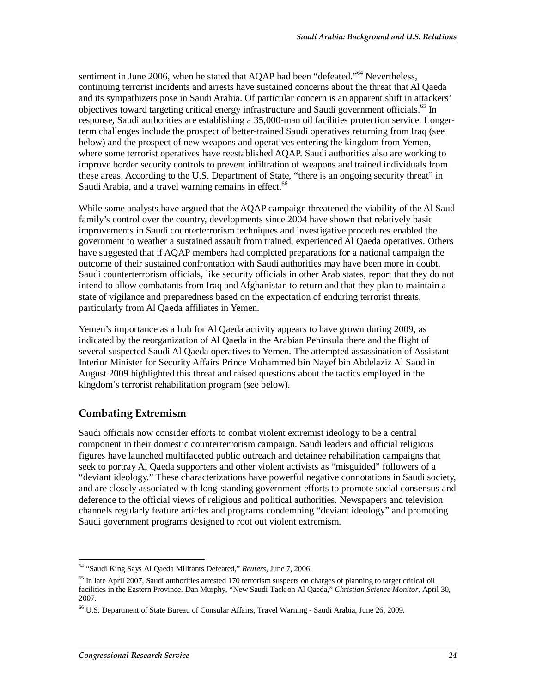sentiment in June 2006, when he stated that AQAP had been "defeated."<sup>64</sup> Nevertheless. continuing terrorist incidents and arrests have sustained concerns about the threat that Al Qaeda and its sympathizers pose in Saudi Arabia. Of particular concern is an apparent shift in attackers' objectives toward targeting critical energy infrastructure and Saudi government officials.<sup>65</sup> In response, Saudi authorities are establishing a 35,000-man oil facilities protection service. Longerterm challenges include the prospect of better-trained Saudi operatives returning from Iraq (see below) and the prospect of new weapons and operatives entering the kingdom from Yemen, where some terrorist operatives have reestablished AQAP. Saudi authorities also are working to improve border security controls to prevent infiltration of weapons and trained individuals from these areas. According to the U.S. Department of State, "there is an ongoing security threat" in Saudi Arabia, and a travel warning remains in effect.<sup>66</sup>

While some analysts have argued that the AQAP campaign threatened the viability of the Al Saud family's control over the country, developments since 2004 have shown that relatively basic improvements in Saudi counterterrorism techniques and investigative procedures enabled the government to weather a sustained assault from trained, experienced Al Qaeda operatives. Others have suggested that if AQAP members had completed preparations for a national campaign the outcome of their sustained confrontation with Saudi authorities may have been more in doubt. Saudi counterterrorism officials, like security officials in other Arab states, report that they do not intend to allow combatants from Iraq and Afghanistan to return and that they plan to maintain a state of vigilance and preparedness based on the expectation of enduring terrorist threats, particularly from Al Qaeda affiliates in Yemen.

Yemen's importance as a hub for Al Qaeda activity appears to have grown during 2009, as indicated by the reorganization of Al Qaeda in the Arabian Peninsula there and the flight of several suspected Saudi Al Qaeda operatives to Yemen. The attempted assassination of Assistant Interior Minister for Security Affairs Prince Mohammed bin Nayef bin Abdelaziz Al Saud in August 2009 highlighted this threat and raised questions about the tactics employed in the kingdom's terrorist rehabilitation program (see below).

#### **Combating Extremism**

Saudi officials now consider efforts to combat violent extremist ideology to be a central component in their domestic counterterrorism campaign. Saudi leaders and official religious figures have launched multifaceted public outreach and detainee rehabilitation campaigns that seek to portray Al Qaeda supporters and other violent activists as "misguided" followers of a "deviant ideology." These characterizations have powerful negative connotations in Saudi society, and are closely associated with long-standing government efforts to promote social consensus and deference to the official views of religious and political authorities. Newspapers and television channels regularly feature articles and programs condemning "deviant ideology" and promoting Saudi government programs designed to root out violent extremism.

 $\overline{a}$ 64 "Saudi King Says Al Qaeda Militants Defeated," *Reuters*, June 7, 2006.

 $<sup>65</sup>$  In late April 2007, Saudi authorities arrested 170 terrorism suspects on charges of planning to target critical oil</sup> facilities in the Eastern Province. Dan Murphy, "New Saudi Tack on Al Qaeda," *Christian Science Monitor*, April 30, 2007.

<sup>66</sup> U.S. Department of State Bureau of Consular Affairs, Travel Warning - Saudi Arabia, June 26, 2009.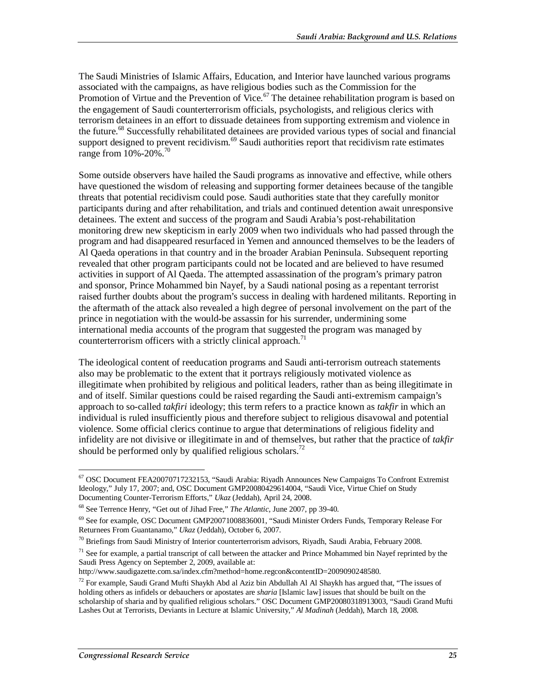The Saudi Ministries of Islamic Affairs, Education, and Interior have launched various programs associated with the campaigns, as have religious bodies such as the Commission for the Promotion of Virtue and the Prevention of Vice.<sup>67</sup> The detainee rehabilitation program is based on the engagement of Saudi counterterrorism officials, psychologists, and religious clerics with terrorism detainees in an effort to dissuade detainees from supporting extremism and violence in the future.<sup>68</sup> Successfully rehabilitated detainees are provided various types of social and financial support designed to prevent recidivism. $69$  Saudi authorities report that recidivism rate estimates range from  $10\% - 20\%$ .<sup>70</sup>

Some outside observers have hailed the Saudi programs as innovative and effective, while others have questioned the wisdom of releasing and supporting former detainees because of the tangible threats that potential recidivism could pose. Saudi authorities state that they carefully monitor participants during and after rehabilitation, and trials and continued detention await unresponsive detainees. The extent and success of the program and Saudi Arabia's post-rehabilitation monitoring drew new skepticism in early 2009 when two individuals who had passed through the program and had disappeared resurfaced in Yemen and announced themselves to be the leaders of Al Qaeda operations in that country and in the broader Arabian Peninsula. Subsequent reporting revealed that other program participants could not be located and are believed to have resumed activities in support of Al Qaeda. The attempted assassination of the program's primary patron and sponsor, Prince Mohammed bin Nayef, by a Saudi national posing as a repentant terrorist raised further doubts about the program's success in dealing with hardened militants. Reporting in the aftermath of the attack also revealed a high degree of personal involvement on the part of the prince in negotiation with the would-be assassin for his surrender, undermining some international media accounts of the program that suggested the program was managed by counterterrorism officers with a strictly clinical approach.<sup>71</sup>

The ideological content of reeducation programs and Saudi anti-terrorism outreach statements also may be problematic to the extent that it portrays religiously motivated violence as illegitimate when prohibited by religious and political leaders, rather than as being illegitimate in and of itself. Similar questions could be raised regarding the Saudi anti-extremism campaign's approach to so-called *takfiri* ideology; this term refers to a practice known as *takfir* in which an individual is ruled insufficiently pious and therefore subject to religious disavowal and potential violence. Some official clerics continue to argue that determinations of religious fidelity and infidelity are not divisive or illegitimate in and of themselves, but rather that the practice of *takfir* should be performed only by qualified religious scholars.<sup>72</sup>

<sup>-</sup>67 OSC Document FEA20070717232153, "Saudi Arabia: Riyadh Announces New Campaigns To Confront Extremist Ideology," July 17, 2007; and, OSC Document GMP20080429614004, "Saudi Vice, Virtue Chief on Study Documenting Counter-Terrorism Efforts," *Ukaz* (Jeddah), April 24, 2008.

<sup>68</sup> See Terrence Henry, "Get out of Jihad Free," *The Atlantic*, June 2007, pp 39-40.

 $69$  See for example, OSC Document GMP20071008836001, "Saudi Minister Orders Funds, Temporary Release For Returnees From Guantanamo," *Ukaz* (Jeddah), October 6, 2007.

 $^{70}$  Briefings from Saudi Ministry of Interior counterterrorism advisors, Riyadh, Saudi Arabia, February 2008.

 $71$  See for example, a partial transcript of call between the attacker and Prince Mohammed bin Nayef reprinted by the Saudi Press Agency on September 2, 2009, available at:

http://www.saudigazette.com.sa/index.cfm?method=home.regcon&contentID=2009090248580.

<sup>72</sup> For example, Saudi Grand Mufti Shaykh Abd al Aziz bin Abdullah Al Al Shaykh has argued that, "The issues of holding others as infidels or debauchers or apostates are *sharia* [Islamic law] issues that should be built on the scholarship of sharia and by qualified religious scholars." OSC Document GMP20080318913003, "Saudi Grand Mufti Lashes Out at Terrorists, Deviants in Lecture at Islamic University," *Al Madinah* (Jeddah), March 18, 2008.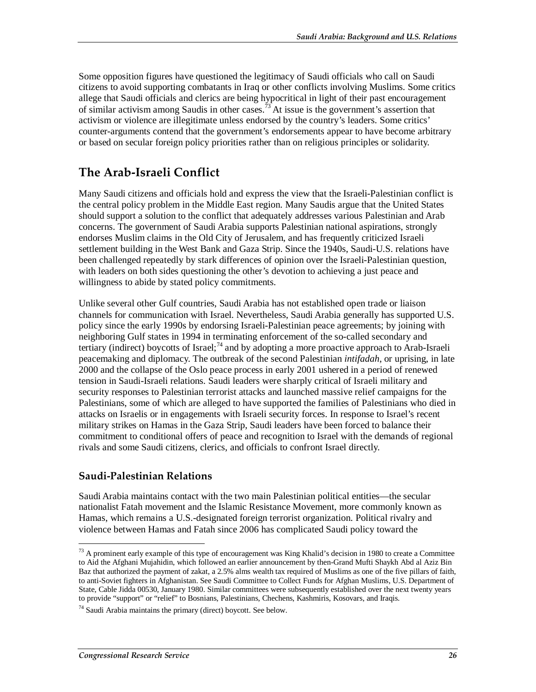Some opposition figures have questioned the legitimacy of Saudi officials who call on Saudi citizens to avoid supporting combatants in Iraq or other conflicts involving Muslims. Some critics allege that Saudi officials and clerics are being hypocritical in light of their past encouragement of similar activism among Saudis in other cases.<sup>73</sup> At issue is the government's assertion that activism or violence are illegitimate unless endorsed by the country's leaders. Some critics' counter-arguments contend that the government's endorsements appear to have become arbitrary or based on secular foreign policy priorities rather than on religious principles or solidarity.

## **The Arab-Israeli Conflict**

Many Saudi citizens and officials hold and express the view that the Israeli-Palestinian conflict is the central policy problem in the Middle East region. Many Saudis argue that the United States should support a solution to the conflict that adequately addresses various Palestinian and Arab concerns. The government of Saudi Arabia supports Palestinian national aspirations, strongly endorses Muslim claims in the Old City of Jerusalem, and has frequently criticized Israeli settlement building in the West Bank and Gaza Strip. Since the 1940s, Saudi-U.S. relations have been challenged repeatedly by stark differences of opinion over the Israeli-Palestinian question, with leaders on both sides questioning the other's devotion to achieving a just peace and willingness to abide by stated policy commitments.

Unlike several other Gulf countries, Saudi Arabia has not established open trade or liaison channels for communication with Israel. Nevertheless, Saudi Arabia generally has supported U.S. policy since the early 1990s by endorsing Israeli-Palestinian peace agreements; by joining with neighboring Gulf states in 1994 in terminating enforcement of the so-called secondary and tertiary (indirect) boycotts of Israel;<sup>74</sup> and by adopting a more proactive approach to Arab-Israeli peacemaking and diplomacy. The outbreak of the second Palestinian *intifadah*, or uprising, in late 2000 and the collapse of the Oslo peace process in early 2001 ushered in a period of renewed tension in Saudi-Israeli relations. Saudi leaders were sharply critical of Israeli military and security responses to Palestinian terrorist attacks and launched massive relief campaigns for the Palestinians, some of which are alleged to have supported the families of Palestinians who died in attacks on Israelis or in engagements with Israeli security forces. In response to Israel's recent military strikes on Hamas in the Gaza Strip, Saudi leaders have been forced to balance their commitment to conditional offers of peace and recognition to Israel with the demands of regional rivals and some Saudi citizens, clerics, and officials to confront Israel directly.

#### **Saudi-Palestinian Relations**

Saudi Arabia maintains contact with the two main Palestinian political entities—the secular nationalist Fatah movement and the Islamic Resistance Movement, more commonly known as Hamas, which remains a U.S.-designated foreign terrorist organization. Political rivalry and violence between Hamas and Fatah since 2006 has complicated Saudi policy toward the

<u>.</u>

 $73$  A prominent early example of this type of encouragement was King Khalid's decision in 1980 to create a Committee to Aid the Afghani Mujahidin, which followed an earlier announcement by then-Grand Mufti Shaykh Abd al Aziz Bin Baz that authorized the payment of zakat, a 2.5% alms wealth tax required of Muslims as one of the five pillars of faith, to anti-Soviet fighters in Afghanistan. See Saudi Committee to Collect Funds for Afghan Muslims, U.S. Department of State, Cable Jidda 00530, January 1980. Similar committees were subsequently established over the next twenty years to provide "support" or "relief" to Bosnians, Palestinians, Chechens, Kashmiris, Kosovars, and Iraqis.

<sup>74</sup> Saudi Arabia maintains the primary (direct) boycott. See below.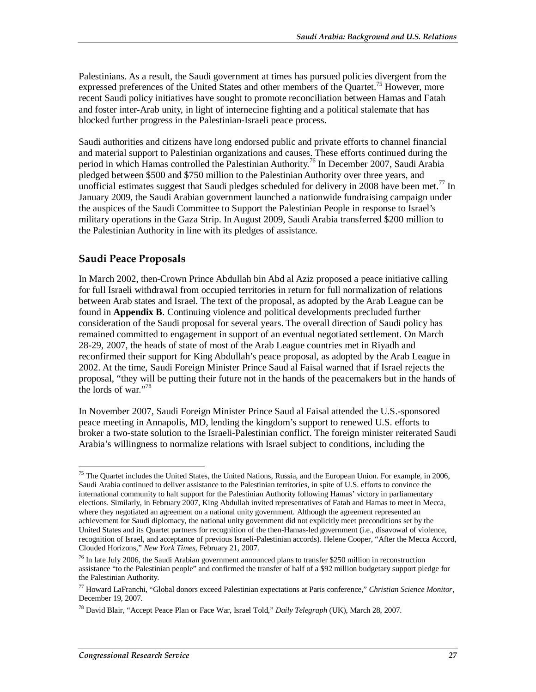Palestinians. As a result, the Saudi government at times has pursued policies divergent from the expressed preferences of the United States and other members of the Quartet.<sup>75</sup> However, more recent Saudi policy initiatives have sought to promote reconciliation between Hamas and Fatah and foster inter-Arab unity, in light of internecine fighting and a political stalemate that has blocked further progress in the Palestinian-Israeli peace process.

Saudi authorities and citizens have long endorsed public and private efforts to channel financial and material support to Palestinian organizations and causes. These efforts continued during the period in which Hamas controlled the Palestinian Authority.<sup>76</sup> In December 2007, Saudi Arabia pledged between \$500 and \$750 million to the Palestinian Authority over three years, and unofficial estimates suggest that Saudi pledges scheduled for delivery in 2008 have been met.<sup>77</sup> In January 2009, the Saudi Arabian government launched a nationwide fundraising campaign under the auspices of the Saudi Committee to Support the Palestinian People in response to Israel's military operations in the Gaza Strip. In August 2009, Saudi Arabia transferred \$200 million to the Palestinian Authority in line with its pledges of assistance.

#### **Saudi Peace Proposals**

In March 2002, then-Crown Prince Abdullah bin Abd al Aziz proposed a peace initiative calling for full Israeli withdrawal from occupied territories in return for full normalization of relations between Arab states and Israel. The text of the proposal, as adopted by the Arab League can be found in **Appendix B**. Continuing violence and political developments precluded further consideration of the Saudi proposal for several years. The overall direction of Saudi policy has remained committed to engagement in support of an eventual negotiated settlement. On March 28-29, 2007, the heads of state of most of the Arab League countries met in Riyadh and reconfirmed their support for King Abdullah's peace proposal, as adopted by the Arab League in 2002. At the time, Saudi Foreign Minister Prince Saud al Faisal warned that if Israel rejects the proposal, "they will be putting their future not in the hands of the peacemakers but in the hands of the lords of war."<sup>78</sup>

In November 2007, Saudi Foreign Minister Prince Saud al Faisal attended the U.S.-sponsored peace meeting in Annapolis, MD, lending the kingdom's support to renewed U.S. efforts to broker a two-state solution to the Israeli-Palestinian conflict. The foreign minister reiterated Saudi Arabia's willingness to normalize relations with Israel subject to conditions, including the

<sup>&</sup>lt;u>.</u> <sup>75</sup> The Quartet includes the United States, the United Nations, Russia, and the European Union. For example, in 2006, Saudi Arabia continued to deliver assistance to the Palestinian territories, in spite of U.S. efforts to convince the international community to halt support for the Palestinian Authority following Hamas' victory in parliamentary elections. Similarly, in February 2007, King Abdullah invited representatives of Fatah and Hamas to meet in Mecca, where they negotiated an agreement on a national unity government. Although the agreement represented an achievement for Saudi diplomacy, the national unity government did not explicitly meet preconditions set by the United States and its Quartet partners for recognition of the then-Hamas-led government (i.e., disavowal of violence, recognition of Israel, and acceptance of previous Israeli-Palestinian accords). Helene Cooper, "After the Mecca Accord, Clouded Horizons," *New York Times*, February 21, 2007.

<sup>76</sup> In late July 2006, the Saudi Arabian government announced plans to transfer \$250 million in reconstruction assistance "to the Palestinian people" and confirmed the transfer of half of a \$92 million budgetary support pledge for the Palestinian Authority.

<sup>77</sup> Howard LaFranchi, "Global donors exceed Palestinian expectations at Paris conference," *Christian Science Monitor*, December 19, 2007.

<sup>78</sup> David Blair, "Accept Peace Plan or Face War, Israel Told," *Daily Telegraph* (UK), March 28, 2007.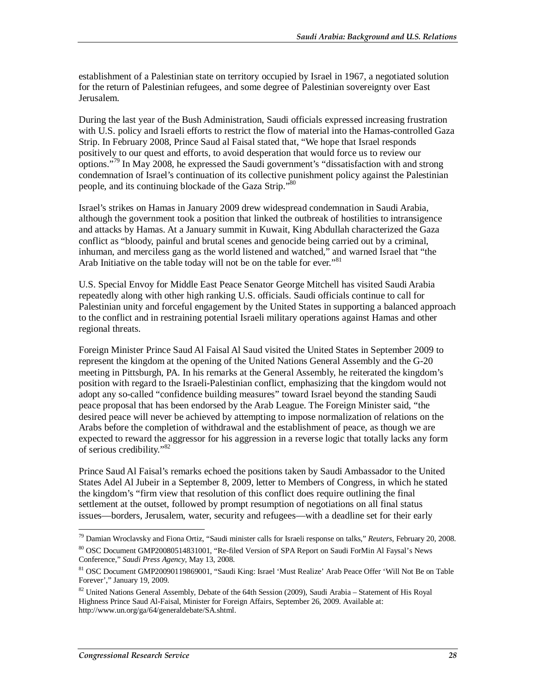establishment of a Palestinian state on territory occupied by Israel in 1967, a negotiated solution for the return of Palestinian refugees, and some degree of Palestinian sovereignty over East Jerusalem.

During the last year of the Bush Administration, Saudi officials expressed increasing frustration with U.S. policy and Israeli efforts to restrict the flow of material into the Hamas-controlled Gaza Strip. In February 2008, Prince Saud al Faisal stated that, "We hope that Israel responds positively to our quest and efforts, to avoid desperation that would force us to review our options."<sup>79</sup> In May 2008, he expressed the Saudi government's "dissatisfaction with and strong condemnation of Israel's continuation of its collective punishment policy against the Palestinian people, and its continuing blockade of the Gaza Strip."<sup>80</sup>

Israel's strikes on Hamas in January 2009 drew widespread condemnation in Saudi Arabia, although the government took a position that linked the outbreak of hostilities to intransigence and attacks by Hamas. At a January summit in Kuwait, King Abdullah characterized the Gaza conflict as "bloody, painful and brutal scenes and genocide being carried out by a criminal, inhuman, and merciless gang as the world listened and watched," and warned Israel that "the Arab Initiative on the table today will not be on the table for ever."<sup>81</sup>

U.S. Special Envoy for Middle East Peace Senator George Mitchell has visited Saudi Arabia repeatedly along with other high ranking U.S. officials. Saudi officials continue to call for Palestinian unity and forceful engagement by the United States in supporting a balanced approach to the conflict and in restraining potential Israeli military operations against Hamas and other regional threats.

Foreign Minister Prince Saud Al Faisal Al Saud visited the United States in September 2009 to represent the kingdom at the opening of the United Nations General Assembly and the G-20 meeting in Pittsburgh, PA. In his remarks at the General Assembly, he reiterated the kingdom's position with regard to the Israeli-Palestinian conflict, emphasizing that the kingdom would not adopt any so-called "confidence building measures" toward Israel beyond the standing Saudi peace proposal that has been endorsed by the Arab League. The Foreign Minister said, "the desired peace will never be achieved by attempting to impose normalization of relations on the Arabs before the completion of withdrawal and the establishment of peace, as though we are expected to reward the aggressor for his aggression in a reverse logic that totally lacks any form of serious credibility."82

Prince Saud Al Faisal's remarks echoed the positions taken by Saudi Ambassador to the United States Adel Al Jubeir in a September 8, 2009, letter to Members of Congress, in which he stated the kingdom's "firm view that resolution of this conflict does require outlining the final settlement at the outset, followed by prompt resumption of negotiations on all final status issues—borders, Jerusalem, water, security and refugees—with a deadline set for their early

-

<sup>79</sup> Damian Wroclavsky and Fiona Ortiz, "Saudi minister calls for Israeli response on talks," *Reuters*, February 20, 2008. 80 OSC Document GMP20080514831001, "Re-filed Version of SPA Report on Saudi ForMin Al Faysal's News

Conference," *Saudi Press Agency*, May 13, 2008.

<sup>81</sup> OSC Document GMP20090119869001, "Saudi King: Israel 'Must Realize' Arab Peace Offer 'Will Not Be on Table Forever'," January 19, 2009.

<sup>&</sup>lt;sup>82</sup> United Nations General Assembly, Debate of the 64th Session (2009), Saudi Arabia – Statement of His Royal Highness Prince Saud Al-Faisal, Minister for Foreign Affairs, September 26, 2009. Available at: http://www.un.org/ga/64/generaldebate/SA.shtml.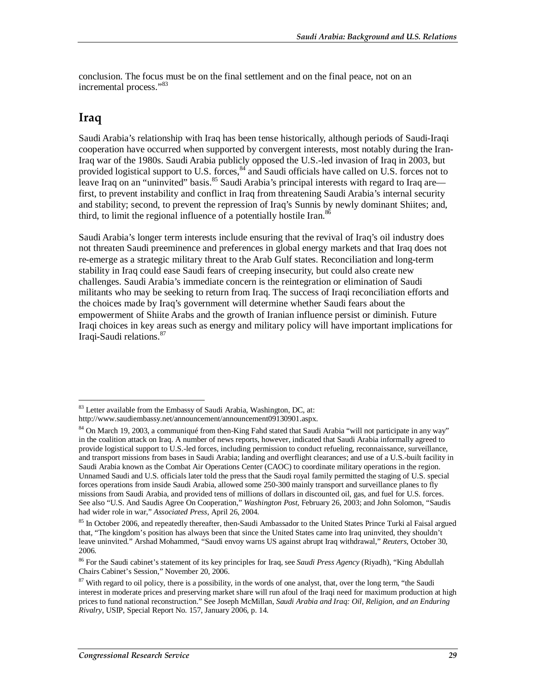conclusion. The focus must be on the final settlement and on the final peace, not on an incremental process."<sup>83</sup>

### **Iraq**

Saudi Arabia's relationship with Iraq has been tense historically, although periods of Saudi-Iraqi cooperation have occurred when supported by convergent interests, most notably during the Iran-Iraq war of the 1980s. Saudi Arabia publicly opposed the U.S.-led invasion of Iraq in 2003, but provided logistical support to U.S. forces,  $84$  and Saudi officials have called on U.S. forces not to leave Iraq on an "uninvited" basis.<sup>85</sup> Saudi Arabia's principal interests with regard to Iraq are first, to prevent instability and conflict in Iraq from threatening Saudi Arabia's internal security and stability; second, to prevent the repression of Iraq's Sunnis by newly dominant Shiites; and, third, to limit the regional influence of a potentially hostile Iran.<sup>86</sup>

Saudi Arabia's longer term interests include ensuring that the revival of Iraq's oil industry does not threaten Saudi preeminence and preferences in global energy markets and that Iraq does not re-emerge as a strategic military threat to the Arab Gulf states. Reconciliation and long-term stability in Iraq could ease Saudi fears of creeping insecurity, but could also create new challenges. Saudi Arabia's immediate concern is the reintegration or elimination of Saudi militants who may be seeking to return from Iraq. The success of Iraqi reconciliation efforts and the choices made by Iraq's government will determine whether Saudi fears about the empowerment of Shiite Arabs and the growth of Iranian influence persist or diminish. Future Iraqi choices in key areas such as energy and military policy will have important implications for Iraqi-Saudi relations.<sup>87</sup>

<sup>-</sup> $83$  Letter available from the Embassy of Saudi Arabia, Washington, DC, at:

http://www.saudiembassy.net/announcement/announcement09130901.aspx.

<sup>&</sup>lt;sup>84</sup> On March 19, 2003, a communiqué from then-King Fahd stated that Saudi Arabia "will not participate in any way" in the coalition attack on Iraq. A number of news reports, however, indicated that Saudi Arabia informally agreed to provide logistical support to U.S.-led forces, including permission to conduct refueling, reconnaissance, surveillance, and transport missions from bases in Saudi Arabia; landing and overflight clearances; and use of a U.S.-built facility in Saudi Arabia known as the Combat Air Operations Center (CAOC) to coordinate military operations in the region. Unnamed Saudi and U.S. officials later told the press that the Saudi royal family permitted the staging of U.S. special forces operations from inside Saudi Arabia, allowed some 250-300 mainly transport and surveillance planes to fly missions from Saudi Arabia, and provided tens of millions of dollars in discounted oil, gas, and fuel for U.S. forces. See also "U.S. And Saudis Agree On Cooperation," *Washington Post*, February 26, 2003; and John Solomon, "Saudis had wider role in war," *Associated Press*, April 26, 2004.

<sup>&</sup>lt;sup>85</sup> In October 2006, and repeatedly thereafter, then-Saudi Ambassador to the United States Prince Turki al Faisal argued that, "The kingdom's position has always been that since the United States came into Iraq uninvited, they shouldn't leave uninvited." Arshad Mohammed, "Saudi envoy warns US against abrupt Iraq withdrawal," *Reuters*, October 30, 2006.

<sup>86</sup> For the Saudi cabinet's statement of its key principles for Iraq, see *Saudi Press Agency* (Riyadh), "King Abdullah Chairs Cabinet's Session," November 20, 2006.

 $87$  With regard to oil policy, there is a possibility, in the words of one analyst, that, over the long term, "the Saudi interest in moderate prices and preserving market share will run afoul of the Iraqi need for maximum production at high prices to fund national reconstruction." See Joseph McMillan, *Saudi Arabia and Iraq: Oil, Religion, and an Enduring Rivalry*, USIP, Special Report No. 157, January 2006, p. 14.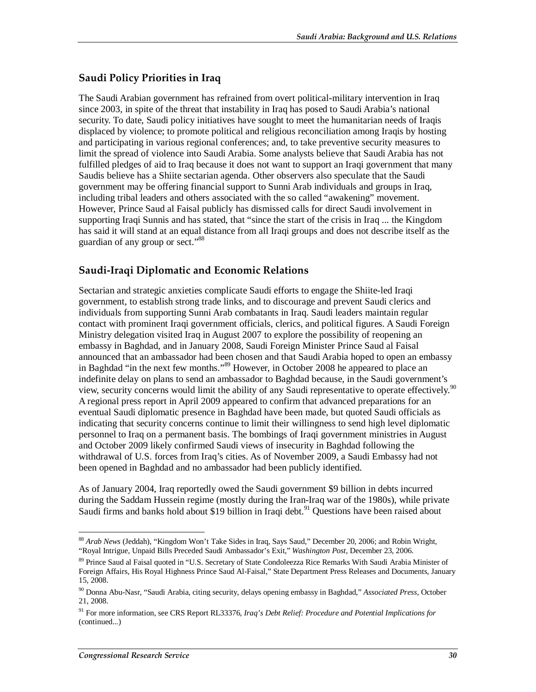#### **Saudi Policy Priorities in Iraq**

The Saudi Arabian government has refrained from overt political-military intervention in Iraq since 2003, in spite of the threat that instability in Iraq has posed to Saudi Arabia's national security. To date, Saudi policy initiatives have sought to meet the humanitarian needs of Iraqis displaced by violence; to promote political and religious reconciliation among Iraqis by hosting and participating in various regional conferences; and, to take preventive security measures to limit the spread of violence into Saudi Arabia. Some analysts believe that Saudi Arabia has not fulfilled pledges of aid to Iraq because it does not want to support an Iraqi government that many Saudis believe has a Shiite sectarian agenda. Other observers also speculate that the Saudi government may be offering financial support to Sunni Arab individuals and groups in Iraq, including tribal leaders and others associated with the so called "awakening" movement. However, Prince Saud al Faisal publicly has dismissed calls for direct Saudi involvement in supporting Iraqi Sunnis and has stated, that "since the start of the crisis in Iraq ... the Kingdom has said it will stand at an equal distance from all Iraqi groups and does not describe itself as the guardian of any group or sect."88

#### **Saudi-Iraqi Diplomatic and Economic Relations**

Sectarian and strategic anxieties complicate Saudi efforts to engage the Shiite-led Iraqi government, to establish strong trade links, and to discourage and prevent Saudi clerics and individuals from supporting Sunni Arab combatants in Iraq. Saudi leaders maintain regular contact with prominent Iraqi government officials, clerics, and political figures. A Saudi Foreign Ministry delegation visited Iraq in August 2007 to explore the possibility of reopening an embassy in Baghdad, and in January 2008, Saudi Foreign Minister Prince Saud al Faisal announced that an ambassador had been chosen and that Saudi Arabia hoped to open an embassy in Baghdad "in the next few months."<sup>89</sup> However, in October 2008 he appeared to place an indefinite delay on plans to send an ambassador to Baghdad because, in the Saudi government's view, security concerns would limit the ability of any Saudi representative to operate effectively.<sup>90</sup> A regional press report in April 2009 appeared to confirm that advanced preparations for an eventual Saudi diplomatic presence in Baghdad have been made, but quoted Saudi officials as indicating that security concerns continue to limit their willingness to send high level diplomatic personnel to Iraq on a permanent basis. The bombings of Iraqi government ministries in August and October 2009 likely confirmed Saudi views of insecurity in Baghdad following the withdrawal of U.S. forces from Iraq's cities. As of November 2009, a Saudi Embassy had not been opened in Baghdad and no ambassador had been publicly identified.

As of January 2004, Iraq reportedly owed the Saudi government \$9 billion in debts incurred during the Saddam Hussein regime (mostly during the Iran-Iraq war of the 1980s), while private Saudi firms and banks hold about \$19 billion in Iraqi debt.<sup>91</sup> Questions have been raised about

<sup>&</sup>lt;u>.</u> <sup>88</sup> *Arab News* (Jeddah), "Kingdom Won't Take Sides in Iraq, Says Saud," December 20, 2006; and Robin Wright, "Royal Intrigue, Unpaid Bills Preceded Saudi Ambassador's Exit," *Washington Post*, December 23, 2006.

<sup>&</sup>lt;sup>89</sup> Prince Saud al Faisal quoted in "U.S. Secretary of State Condoleezza Rice Remarks With Saudi Arabia Minister of Foreign Affairs, His Royal Highness Prince Saud Al-Faisal," State Department Press Releases and Documents, January 15, 2008.

<sup>90</sup> Donna Abu-Nasr, "Saudi Arabia, citing security, delays opening embassy in Baghdad," *Associated Press*, October 21, 2008.

<sup>91</sup> For more information, see CRS Report RL33376, *Iraq's Debt Relief: Procedure and Potential Implications for*  (continued...)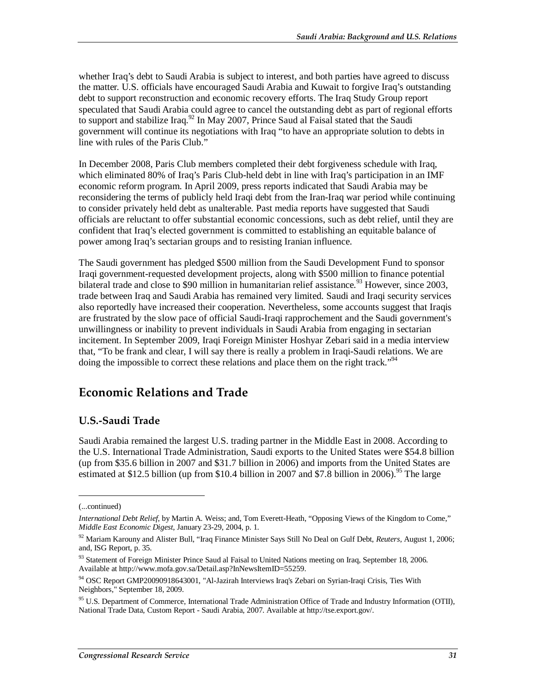whether Iraq's debt to Saudi Arabia is subject to interest, and both parties have agreed to discuss the matter. U.S. officials have encouraged Saudi Arabia and Kuwait to forgive Iraq's outstanding debt to support reconstruction and economic recovery efforts. The Iraq Study Group report speculated that Saudi Arabia could agree to cancel the outstanding debt as part of regional efforts to support and stabilize Iraq.<sup>92</sup> In May 2007, Prince Saud al Faisal stated that the Saudi government will continue its negotiations with Iraq "to have an appropriate solution to debts in line with rules of the Paris Club."

In December 2008, Paris Club members completed their debt forgiveness schedule with Iraq, which eliminated 80% of Iraq's Paris Club-held debt in line with Iraq's participation in an IMF economic reform program. In April 2009, press reports indicated that Saudi Arabia may be reconsidering the terms of publicly held Iraqi debt from the Iran-Iraq war period while continuing to consider privately held debt as unalterable. Past media reports have suggested that Saudi officials are reluctant to offer substantial economic concessions, such as debt relief, until they are confident that Iraq's elected government is committed to establishing an equitable balance of power among Iraq's sectarian groups and to resisting Iranian influence.

The Saudi government has pledged \$500 million from the Saudi Development Fund to sponsor Iraqi government-requested development projects, along with \$500 million to finance potential bilateral trade and close to \$90 million in humanitarian relief assistance.<sup>93</sup> However, since 2003, trade between Iraq and Saudi Arabia has remained very limited. Saudi and Iraqi security services also reportedly have increased their cooperation. Nevertheless, some accounts suggest that Iraqis are frustrated by the slow pace of official Saudi-Iraqi rapprochement and the Saudi government's unwillingness or inability to prevent individuals in Saudi Arabia from engaging in sectarian incitement. In September 2009, Iraqi Foreign Minister Hoshyar Zebari said in a media interview that, "To be frank and clear, I will say there is really a problem in Iraqi-Saudi relations. We are doing the impossible to correct these relations and place them on the right track."<sup>94</sup>

## **Economic Relations and Trade**

#### **U.S.-Saudi Trade**

Saudi Arabia remained the largest U.S. trading partner in the Middle East in 2008. According to the U.S. International Trade Administration, Saudi exports to the United States were \$54.8 billion (up from \$35.6 billion in 2007 and \$31.7 billion in 2006) and imports from the United States are estimated at \$12.5 billion (up from \$10.4 billion in 2007 and \$7.8 billion in 2006).<sup>95</sup> The large

1

<sup>(...</sup>continued)

*International Debt Relief*, by Martin A. Weiss; and, Tom Everett-Heath, "Opposing Views of the Kingdom to Come," *Middle East Economic Digest*, January 23-29, 2004, p. 1.

<sup>92</sup> Mariam Karouny and Alister Bull, "Iraq Finance Minister Says Still No Deal on Gulf Debt, *Reuters*, August 1, 2006; and, ISG Report, p. 35.

<sup>93</sup> Statement of Foreign Minister Prince Saud al Faisal to United Nations meeting on Iraq, September 18, 2006. Available at http://www.mofa.gov.sa/Detail.asp?InNewsItemID=55259.

<sup>&</sup>lt;sup>94</sup> OSC Report GMP20090918643001, "Al-Jazirah Interviews Iraq's Zebari on Syrian-Iraqi Crisis, Ties With Neighbors," September 18, 2009.

<sup>&</sup>lt;sup>95</sup> U.S. Department of Commerce, International Trade Administration Office of Trade and Industry Information (OTII), National Trade Data, Custom Report - Saudi Arabia, 2007. Available at http://tse.export.gov/.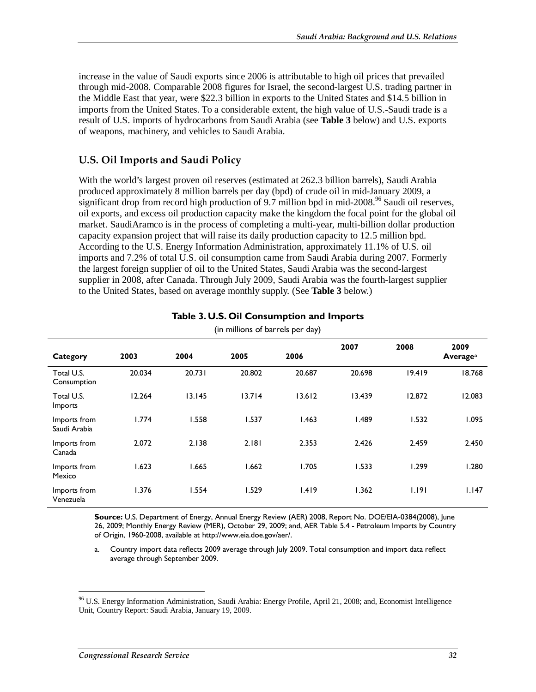increase in the value of Saudi exports since 2006 is attributable to high oil prices that prevailed through mid-2008. Comparable 2008 figures for Israel, the second-largest U.S. trading partner in the Middle East that year, were \$22.3 billion in exports to the United States and \$14.5 billion in imports from the United States. To a considerable extent, the high value of U.S.-Saudi trade is a result of U.S. imports of hydrocarbons from Saudi Arabia (see **Table 3** below) and U.S. exports of weapons, machinery, and vehicles to Saudi Arabia.

#### **U.S. Oil Imports and Saudi Policy**

With the world's largest proven oil reserves (estimated at 262.3 billion barrels), Saudi Arabia produced approximately 8 million barrels per day (bpd) of crude oil in mid-January 2009, a significant drop from record high production of 9.7 million bpd in mid-2008.<sup>96</sup> Saudi oil reserves, oil exports, and excess oil production capacity make the kingdom the focal point for the global oil market. SaudiAramco is in the process of completing a multi-year, multi-billion dollar production capacity expansion project that will raise its daily production capacity to 12.5 million bpd. According to the U.S. Energy Information Administration, approximately 11.1% of U.S. oil imports and 7.2% of total U.S. oil consumption came from Saudi Arabia during 2007. Formerly the largest foreign supplier of oil to the United States, Saudi Arabia was the second-largest supplier in 2008, after Canada. Through July 2009, Saudi Arabia was the fourth-largest supplier to the United States, based on average monthly supply. (See **Table 3** below.)

| Category                     | 2003   | 2004   | 2005   | 2006   | 2007   | 2008   | 2009<br>Average <sup>a</sup> |
|------------------------------|--------|--------|--------|--------|--------|--------|------------------------------|
| Total U.S.<br>Consumption    | 20.034 | 20.731 | 20.802 | 20.687 | 20.698 | 19.419 | 18.768                       |
| Total U.S.<br>Imports        | 12.264 | 13.145 | 13.714 | 13.612 | 13.439 | 12.872 | 12.083                       |
| Imports from<br>Saudi Arabia | 1.774  | 1.558  | 1.537  | 1.463  | .489   | 1.532  | 1.095                        |
| Imports from<br>Canada       | 2.072  | 2.138  | 2.181  | 2.353  | 2.426  | 2.459  | 2.450                        |
| Imports from<br>Mexico       | 1.623  | 1.665  | 1.662  | 1.705  | 1.533  | 1.299  | 1.280                        |
| Imports from<br>Venezuela    | 1.376  | 1.554  | 1.529  | 1.419  | 1.362  | 1.191  | 1.147                        |

#### **Table 3. U.S. Oil Consumption and Imports**

(in millions of barrels per day)

**Source:** U.S. Department of Energy, Annual Energy Review (AER) 2008, Report No. DOE/EIA-0384(2008), June 26, 2009; Monthly Energy Review (MER), October 29, 2009; and, AER Table 5.4 - Petroleum Imports by Country of Origin, 1960-2008, available at http://www.eia.doe.gov/aer/.

a. Country import data reflects 2009 average through July 2009. Total consumption and import data reflect average through September 2009.

-

<sup>96</sup> U.S. Energy Information Administration, Saudi Arabia: Energy Profile, April 21, 2008; and, Economist Intelligence Unit, Country Report: Saudi Arabia, January 19, 2009.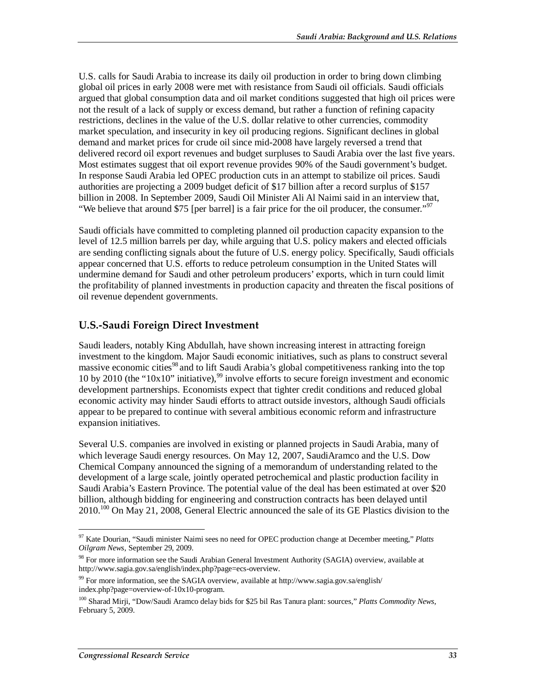U.S. calls for Saudi Arabia to increase its daily oil production in order to bring down climbing global oil prices in early 2008 were met with resistance from Saudi oil officials. Saudi officials argued that global consumption data and oil market conditions suggested that high oil prices were not the result of a lack of supply or excess demand, but rather a function of refining capacity restrictions, declines in the value of the U.S. dollar relative to other currencies, commodity market speculation, and insecurity in key oil producing regions. Significant declines in global demand and market prices for crude oil since mid-2008 have largely reversed a trend that delivered record oil export revenues and budget surpluses to Saudi Arabia over the last five years. Most estimates suggest that oil export revenue provides 90% of the Saudi government's budget. In response Saudi Arabia led OPEC production cuts in an attempt to stabilize oil prices. Saudi authorities are projecting a 2009 budget deficit of \$17 billion after a record surplus of \$157 billion in 2008. In September 2009, Saudi Oil Minister Ali Al Naimi said in an interview that, "We believe that around \$75 [per barrel] is a fair price for the oil producer, the consumer."<sup>97</sup>

Saudi officials have committed to completing planned oil production capacity expansion to the level of 12.5 million barrels per day, while arguing that U.S. policy makers and elected officials are sending conflicting signals about the future of U.S. energy policy. Specifically, Saudi officials appear concerned that U.S. efforts to reduce petroleum consumption in the United States will undermine demand for Saudi and other petroleum producers' exports, which in turn could limit the profitability of planned investments in production capacity and threaten the fiscal positions of oil revenue dependent governments.

#### **U.S.-Saudi Foreign Direct Investment**

Saudi leaders, notably King Abdullah, have shown increasing interest in attracting foreign investment to the kingdom. Major Saudi economic initiatives, such as plans to construct several massive economic cities<sup>98</sup> and to lift Saudi Arabia's global competitiveness ranking into the top 10 by 2010 (the "10x10" initiative),<sup>99</sup> involve efforts to secure foreign investment and economic development partnerships. Economists expect that tighter credit conditions and reduced global economic activity may hinder Saudi efforts to attract outside investors, although Saudi officials appear to be prepared to continue with several ambitious economic reform and infrastructure expansion initiatives.

Several U.S. companies are involved in existing or planned projects in Saudi Arabia, many of which leverage Saudi energy resources. On May 12, 2007, SaudiAramco and the U.S. Dow Chemical Company announced the signing of a memorandum of understanding related to the development of a large scale, jointly operated petrochemical and plastic production facility in Saudi Arabia's Eastern Province. The potential value of the deal has been estimated at over \$20 billion, although bidding for engineering and construction contracts has been delayed until 2010.100 On May 21, 2008, General Electric announced the sale of its GE Plastics division to the

<sup>-</sup>97 Kate Dourian, "Saudi minister Naimi sees no need for OPEC production change at December meeting," *Platts Oilgram News*, September 29, 2009.

<sup>&</sup>lt;sup>98</sup> For more information see the Saudi Arabian General Investment Authority (SAGIA) overview, available at http://www.sagia.gov.sa/english/index.php?page=ecs-overview.

<sup>99</sup> For more information, see the SAGIA overview, available at http://www.sagia.gov.sa/english/ index.php?page=overview-of-10x10-program.

<sup>100</sup> Sharad Mirji, "Dow/Saudi Aramco delay bids for \$25 bil Ras Tanura plant: sources," *Platts Commodity News*, February 5, 2009.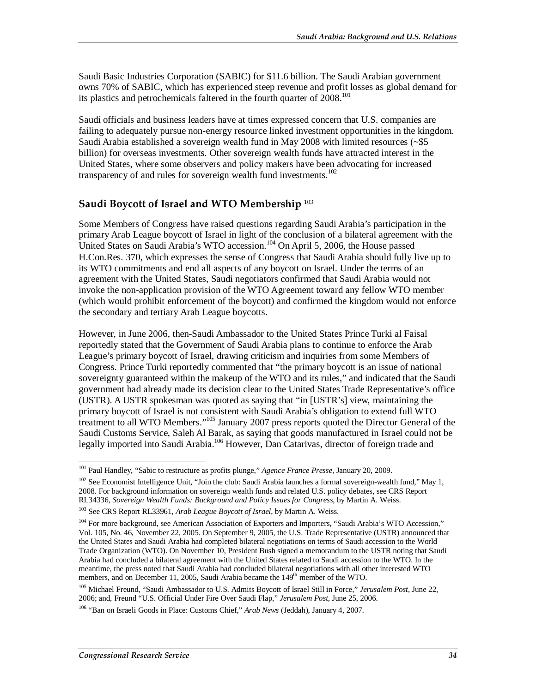Saudi Basic Industries Corporation (SABIC) for \$11.6 billion. The Saudi Arabian government owns 70% of SABIC, which has experienced steep revenue and profit losses as global demand for its plastics and petrochemicals faltered in the fourth quarter of  $2008$ <sup>101</sup>

Saudi officials and business leaders have at times expressed concern that U.S. companies are failing to adequately pursue non-energy resource linked investment opportunities in the kingdom. Saudi Arabia established a sovereign wealth fund in May 2008 with limited resources  $\langle \sim 55 \rangle$ billion) for overseas investments. Other sovereign wealth funds have attracted interest in the United States, where some observers and policy makers have been advocating for increased transparency of and rules for sovereign wealth fund investments.<sup>102</sup>

#### **Saudi Boycott of Israel and WTO Membership** <sup>103</sup>

Some Members of Congress have raised questions regarding Saudi Arabia's participation in the primary Arab League boycott of Israel in light of the conclusion of a bilateral agreement with the United States on Saudi Arabia's WTO accession.<sup>104</sup> On April 5, 2006, the House passed H.Con.Res. 370, which expresses the sense of Congress that Saudi Arabia should fully live up to its WTO commitments and end all aspects of any boycott on Israel. Under the terms of an agreement with the United States, Saudi negotiators confirmed that Saudi Arabia would not invoke the non-application provision of the WTO Agreement toward any fellow WTO member (which would prohibit enforcement of the boycott) and confirmed the kingdom would not enforce the secondary and tertiary Arab League boycotts.

However, in June 2006, then-Saudi Ambassador to the United States Prince Turki al Faisal reportedly stated that the Government of Saudi Arabia plans to continue to enforce the Arab League's primary boycott of Israel, drawing criticism and inquiries from some Members of Congress. Prince Turki reportedly commented that "the primary boycott is an issue of national sovereignty guaranteed within the makeup of the WTO and its rules," and indicated that the Saudi government had already made its decision clear to the United States Trade Representative's office (USTR). A USTR spokesman was quoted as saying that "in [USTR's] view, maintaining the primary boycott of Israel is not consistent with Saudi Arabia's obligation to extend full WTO treatment to all WTO Members."<sup>105</sup> January 2007 press reports quoted the Director General of the Saudi Customs Service, Saleh Al Barak, as saying that goods manufactured in Israel could not be legally imported into Saudi Arabia.<sup>106</sup> However, Dan Catarivas, director of foreign trade and

<sup>&</sup>lt;u>.</u> 101 Paul Handley, "Sabic to restructure as profits plunge," *Agence France Presse*, January 20, 2009.

<sup>&</sup>lt;sup>102</sup> See Economist Intelligence Unit, "Join the club: Saudi Arabia launches a formal sovereign-wealth fund," May 1, 2008. For background information on sovereign wealth funds and related U.S. policy debates, see CRS Report RL34336, *Sovereign Wealth Funds: Background and Policy Issues for Congress*, by Martin A. Weiss.

<sup>103</sup> See CRS Report RL33961, *Arab League Boycott of Israel*, by Martin A. Weiss.

<sup>&</sup>lt;sup>104</sup> For more background, see American Association of Exporters and Importers, "Saudi Arabia's WTO Accession," Vol. 105, No. 46, November 22, 2005. On September 9, 2005, the U.S. Trade Representative (USTR) announced that the United States and Saudi Arabia had completed bilateral negotiations on terms of Saudi accession to the World Trade Organization (WTO). On November 10, President Bush signed a memorandum to the USTR noting that Saudi Arabia had concluded a bilateral agreement with the United States related to Saudi accession to the WTO. In the meantime, the press noted that Saudi Arabia had concluded bilateral negotiations with all other interested WTO members, and on December 11, 2005, Saudi Arabia became the 149<sup>th</sup> member of the WTO.

<sup>105</sup> Michael Freund, "Saudi Ambassador to U.S. Admits Boycott of Israel Still in Force," *Jerusalem Post*, June 22, 2006; and, Freund "U.S. Official Under Fire Over Saudi Flap," *Jerusalem Post*, June 25, 2006.

<sup>106 &</sup>quot;Ban on Israeli Goods in Place: Customs Chief," *Arab News* (Jeddah), January 4, 2007.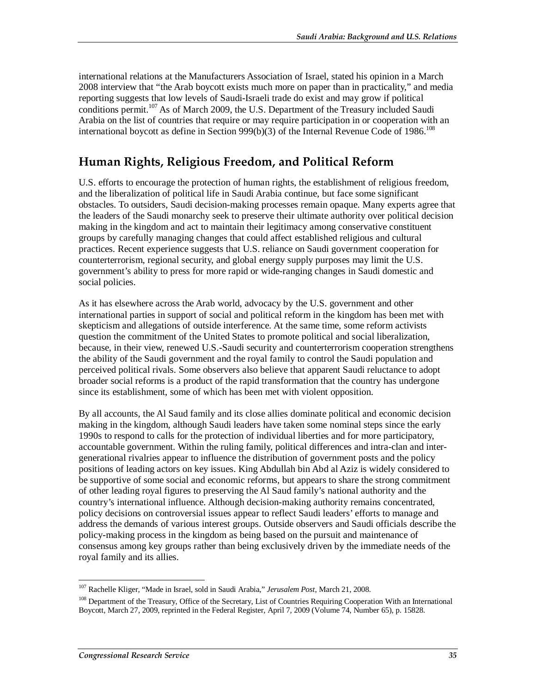international relations at the Manufacturers Association of Israel, stated his opinion in a March 2008 interview that "the Arab boycott exists much more on paper than in practicality," and media reporting suggests that low levels of Saudi-Israeli trade do exist and may grow if political conditions permit.<sup>107</sup> As of March 2009, the U.S. Department of the Treasury included Saudi Arabia on the list of countries that require or may require participation in or cooperation with an international boycott as define in Section 999(b)(3) of the Internal Revenue Code of 1986.<sup>108</sup>

## **Human Rights, Religious Freedom, and Political Reform**

U.S. efforts to encourage the protection of human rights, the establishment of religious freedom, and the liberalization of political life in Saudi Arabia continue, but face some significant obstacles. To outsiders, Saudi decision-making processes remain opaque. Many experts agree that the leaders of the Saudi monarchy seek to preserve their ultimate authority over political decision making in the kingdom and act to maintain their legitimacy among conservative constituent groups by carefully managing changes that could affect established religious and cultural practices. Recent experience suggests that U.S. reliance on Saudi government cooperation for counterterrorism, regional security, and global energy supply purposes may limit the U.S. government's ability to press for more rapid or wide-ranging changes in Saudi domestic and social policies.

As it has elsewhere across the Arab world, advocacy by the U.S. government and other international parties in support of social and political reform in the kingdom has been met with skepticism and allegations of outside interference. At the same time, some reform activists question the commitment of the United States to promote political and social liberalization, because, in their view, renewed U.S.-Saudi security and counterterrorism cooperation strengthens the ability of the Saudi government and the royal family to control the Saudi population and perceived political rivals. Some observers also believe that apparent Saudi reluctance to adopt broader social reforms is a product of the rapid transformation that the country has undergone since its establishment, some of which has been met with violent opposition.

By all accounts, the Al Saud family and its close allies dominate political and economic decision making in the kingdom, although Saudi leaders have taken some nominal steps since the early 1990s to respond to calls for the protection of individual liberties and for more participatory, accountable government. Within the ruling family, political differences and intra-clan and intergenerational rivalries appear to influence the distribution of government posts and the policy positions of leading actors on key issues. King Abdullah bin Abd al Aziz is widely considered to be supportive of some social and economic reforms, but appears to share the strong commitment of other leading royal figures to preserving the Al Saud family's national authority and the country's international influence. Although decision-making authority remains concentrated, policy decisions on controversial issues appear to reflect Saudi leaders' efforts to manage and address the demands of various interest groups. Outside observers and Saudi officials describe the policy-making process in the kingdom as being based on the pursuit and maintenance of consensus among key groups rather than being exclusively driven by the immediate needs of the royal family and its allies.

<sup>-</sup>107 Rachelle Kliger, "Made in Israel, sold in Saudi Arabia," *Jerusalem Post*, March 21, 2008.

<sup>&</sup>lt;sup>108</sup> Department of the Treasury, Office of the Secretary, List of Countries Requiring Cooperation With an International Boycott, March 27, 2009, reprinted in the Federal Register, April 7, 2009 (Volume 74, Number 65), p. 15828.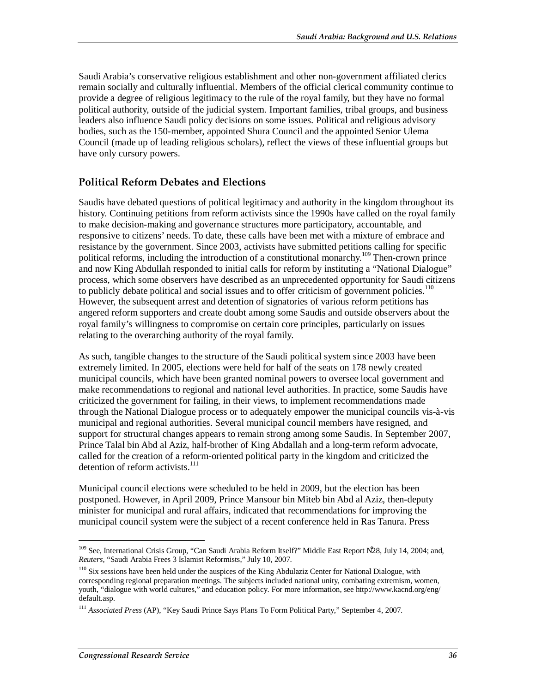Saudi Arabia's conservative religious establishment and other non-government affiliated clerics remain socially and culturally influential. Members of the official clerical community continue to provide a degree of religious legitimacy to the rule of the royal family, but they have no formal political authority, outside of the judicial system. Important families, tribal groups, and business leaders also influence Saudi policy decisions on some issues. Political and religious advisory bodies, such as the 150-member, appointed Shura Council and the appointed Senior Ulema Council (made up of leading religious scholars), reflect the views of these influential groups but have only cursory powers.

#### **Political Reform Debates and Elections**

Saudis have debated questions of political legitimacy and authority in the kingdom throughout its history. Continuing petitions from reform activists since the 1990s have called on the royal family to make decision-making and governance structures more participatory, accountable, and responsive to citizens' needs. To date, these calls have been met with a mixture of embrace and resistance by the government. Since 2003, activists have submitted petitions calling for specific political reforms, including the introduction of a constitutional monarchy.<sup>109</sup> Then-crown prince and now King Abdullah responded to initial calls for reform by instituting a "National Dialogue" process, which some observers have described as an unprecedented opportunity for Saudi citizens to publicly debate political and social issues and to offer criticism of government policies. $110$ However, the subsequent arrest and detention of signatories of various reform petitions has angered reform supporters and create doubt among some Saudis and outside observers about the royal family's willingness to compromise on certain core principles, particularly on issues relating to the overarching authority of the royal family.

As such, tangible changes to the structure of the Saudi political system since 2003 have been extremely limited. In 2005, elections were held for half of the seats on 178 newly created municipal councils, which have been granted nominal powers to oversee local government and make recommendations to regional and national level authorities. In practice, some Saudis have criticized the government for failing, in their views, to implement recommendations made through the National Dialogue process or to adequately empower the municipal councils vis-à-vis municipal and regional authorities. Several municipal council members have resigned, and support for structural changes appears to remain strong among some Saudis. In September 2007, Prince Talal bin Abd al Aziz, half-brother of King Abdallah and a long-term reform advocate, called for the creation of a reform-oriented political party in the kingdom and criticized the detention of reform activists. $^{111}$ 

Municipal council elections were scheduled to be held in 2009, but the election has been postponed. However, in April 2009, Prince Mansour bin Miteb bin Abd al Aziz, then-deputy minister for municipal and rural affairs, indicated that recommendations for improving the municipal council system were the subject of a recent conference held in Ras Tanura. Press

<sup>-</sup><sup>109</sup> See, International Crisis Group, "Can Saudi Arabia Reform Itself?" Middle East Report N28, July 14, 2004; and, *Reuters*, "Saudi Arabia Frees 3 Islamist Reformists," July 10, 2007.

<sup>&</sup>lt;sup>110</sup> Six sessions have been held under the auspices of the King Abdulaziz Center for National Dialogue, with corresponding regional preparation meetings. The subjects included national unity, combating extremism, women, youth, "dialogue with world cultures," and education policy. For more information, see http://www.kacnd.org/eng/ default.asp.

<sup>111</sup> *Associated Press* (AP), "Key Saudi Prince Says Plans To Form Political Party," September 4, 2007.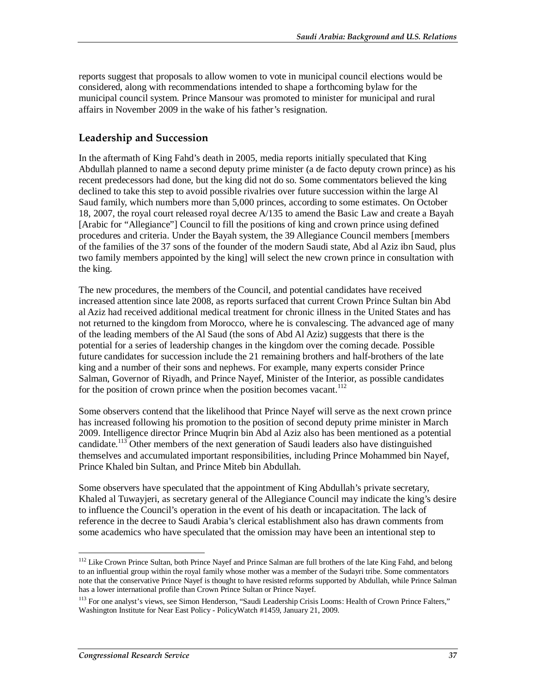reports suggest that proposals to allow women to vote in municipal council elections would be considered, along with recommendations intended to shape a forthcoming bylaw for the municipal council system. Prince Mansour was promoted to minister for municipal and rural affairs in November 2009 in the wake of his father's resignation.

#### **Leadership and Succession**

In the aftermath of King Fahd's death in 2005, media reports initially speculated that King Abdullah planned to name a second deputy prime minister (a de facto deputy crown prince) as his recent predecessors had done, but the king did not do so. Some commentators believed the king declined to take this step to avoid possible rivalries over future succession within the large Al Saud family, which numbers more than 5,000 princes, according to some estimates. On October 18, 2007, the royal court released royal decree A/135 to amend the Basic Law and create a Bayah [Arabic for "Allegiance"] Council to fill the positions of king and crown prince using defined procedures and criteria. Under the Bayah system, the 39 Allegiance Council members [members of the families of the 37 sons of the founder of the modern Saudi state, Abd al Aziz ibn Saud, plus two family members appointed by the king] will select the new crown prince in consultation with the king.

The new procedures, the members of the Council, and potential candidates have received increased attention since late 2008, as reports surfaced that current Crown Prince Sultan bin Abd al Aziz had received additional medical treatment for chronic illness in the United States and has not returned to the kingdom from Morocco, where he is convalescing. The advanced age of many of the leading members of the Al Saud (the sons of Abd Al Aziz) suggests that there is the potential for a series of leadership changes in the kingdom over the coming decade. Possible future candidates for succession include the 21 remaining brothers and half-brothers of the late king and a number of their sons and nephews. For example, many experts consider Prince Salman, Governor of Riyadh, and Prince Nayef, Minister of the Interior, as possible candidates for the position of crown prince when the position becomes vacant.<sup>112</sup>

Some observers contend that the likelihood that Prince Nayef will serve as the next crown prince has increased following his promotion to the position of second deputy prime minister in March 2009. Intelligence director Prince Muqrin bin Abd al Aziz also has been mentioned as a potential candidate.<sup>113</sup> Other members of the next generation of Saudi leaders also have distinguished themselves and accumulated important responsibilities, including Prince Mohammed bin Nayef, Prince Khaled bin Sultan, and Prince Miteb bin Abdullah.

Some observers have speculated that the appointment of King Abdullah's private secretary, Khaled al Tuwayjeri, as secretary general of the Allegiance Council may indicate the king's desire to influence the Council's operation in the event of his death or incapacitation. The lack of reference in the decree to Saudi Arabia's clerical establishment also has drawn comments from some academics who have speculated that the omission may have been an intentional step to

<sup>-</sup><sup>112</sup> Like Crown Prince Sultan, both Prince Nayef and Prince Salman are full brothers of the late King Fahd, and belong to an influential group within the royal family whose mother was a member of the Sudayri tribe. Some commentators note that the conservative Prince Nayef is thought to have resisted reforms supported by Abdullah, while Prince Salman has a lower international profile than Crown Prince Sultan or Prince Nayef.

<sup>&</sup>lt;sup>113</sup> For one analyst's views, see Simon Henderson, "Saudi Leadership Crisis Looms: Health of Crown Prince Falters," Washington Institute for Near East Policy - PolicyWatch #1459, January 21, 2009.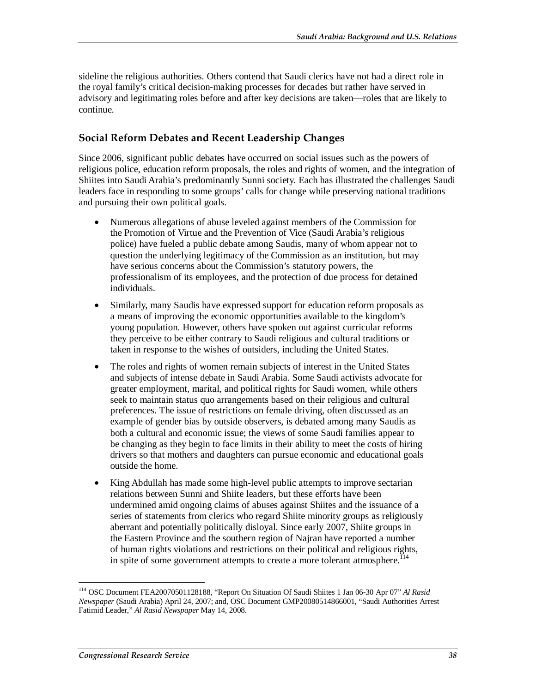sideline the religious authorities. Others contend that Saudi clerics have not had a direct role in the royal family's critical decision-making processes for decades but rather have served in advisory and legitimating roles before and after key decisions are taken—roles that are likely to continue.

#### **Social Reform Debates and Recent Leadership Changes**

Since 2006, significant public debates have occurred on social issues such as the powers of religious police, education reform proposals, the roles and rights of women, and the integration of Shiites into Saudi Arabia's predominantly Sunni society. Each has illustrated the challenges Saudi leaders face in responding to some groups' calls for change while preserving national traditions and pursuing their own political goals.

- Numerous allegations of abuse leveled against members of the Commission for the Promotion of Virtue and the Prevention of Vice (Saudi Arabia's religious police) have fueled a public debate among Saudis, many of whom appear not to question the underlying legitimacy of the Commission as an institution, but may have serious concerns about the Commission's statutory powers, the professionalism of its employees, and the protection of due process for detained individuals.
- Similarly, many Saudis have expressed support for education reform proposals as a means of improving the economic opportunities available to the kingdom's young population. However, others have spoken out against curricular reforms they perceive to be either contrary to Saudi religious and cultural traditions or taken in response to the wishes of outsiders, including the United States.
- The roles and rights of women remain subjects of interest in the United States and subjects of intense debate in Saudi Arabia. Some Saudi activists advocate for greater employment, marital, and political rights for Saudi women, while others seek to maintain status quo arrangements based on their religious and cultural preferences. The issue of restrictions on female driving, often discussed as an example of gender bias by outside observers, is debated among many Saudis as both a cultural and economic issue; the views of some Saudi families appear to be changing as they begin to face limits in their ability to meet the costs of hiring drivers so that mothers and daughters can pursue economic and educational goals outside the home.
- King Abdullah has made some high-level public attempts to improve sectarian relations between Sunni and Shiite leaders, but these efforts have been undermined amid ongoing claims of abuses against Shiites and the issuance of a series of statements from clerics who regard Shiite minority groups as religiously aberrant and potentially politically disloyal. Since early 2007, Shiite groups in the Eastern Province and the southern region of Najran have reported a number of human rights violations and restrictions on their political and religious rights, in spite of some government attempts to create a more tolerant atmosphere.<sup> $114$ </sup>

-

<sup>114</sup> OSC Document FEA20070501128188, "Report On Situation Of Saudi Shiites 1 Jan 06-30 Apr 07" *Al Rasid Newspaper* (Saudi Arabia) April 24, 2007; and, OSC Document GMP20080514866001, "Saudi Authorities Arrest Fatimid Leader," *Al Rasid Newspaper* May 14, 2008.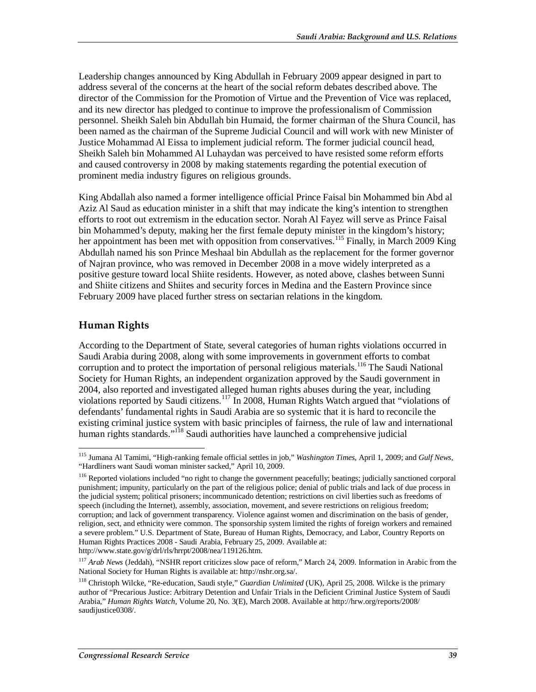Leadership changes announced by King Abdullah in February 2009 appear designed in part to address several of the concerns at the heart of the social reform debates described above. The director of the Commission for the Promotion of Virtue and the Prevention of Vice was replaced, and its new director has pledged to continue to improve the professionalism of Commission personnel. Sheikh Saleh bin Abdullah bin Humaid, the former chairman of the Shura Council, has been named as the chairman of the Supreme Judicial Council and will work with new Minister of Justice Mohammad Al Eissa to implement judicial reform. The former judicial council head, Sheikh Saleh bin Mohammed Al Luhaydan was perceived to have resisted some reform efforts and caused controversy in 2008 by making statements regarding the potential execution of prominent media industry figures on religious grounds.

King Abdallah also named a former intelligence official Prince Faisal bin Mohammed bin Abd al Aziz Al Saud as education minister in a shift that may indicate the king's intention to strengthen efforts to root out extremism in the education sector. Norah Al Fayez will serve as Prince Faisal bin Mohammed's deputy, making her the first female deputy minister in the kingdom's history; her appointment has been met with opposition from conservatives.<sup>115</sup> Finally, in March 2009 King Abdullah named his son Prince Meshaal bin Abdullah as the replacement for the former governor of Najran province, who was removed in December 2008 in a move widely interpreted as a positive gesture toward local Shiite residents. However, as noted above, clashes between Sunni and Shiite citizens and Shiites and security forces in Medina and the Eastern Province since February 2009 have placed further stress on sectarian relations in the kingdom.

#### **Human Rights**

According to the Department of State, several categories of human rights violations occurred in Saudi Arabia during 2008, along with some improvements in government efforts to combat corruption and to protect the importation of personal religious materials.<sup>116</sup> The Saudi National Society for Human Rights, an independent organization approved by the Saudi government in 2004, also reported and investigated alleged human rights abuses during the year, including violations reported by Saudi citizens.<sup>117</sup> In 2008, Human Rights Watch argued that "violations of defendants' fundamental rights in Saudi Arabia are so systemic that it is hard to reconcile the existing criminal justice system with basic principles of fairness, the rule of law and international human rights standards."<sup>118</sup> Saudi authorities have launched a comprehensive judicial

<sup>&</sup>lt;u>.</u> 115 Jumana Al Tamimi, "High-ranking female official settles in job," *Washington Times*, April 1, 2009; and *Gulf News*, "Hardliners want Saudi woman minister sacked," April 10, 2009.

<sup>&</sup>lt;sup>116</sup> Reported violations included "no right to change the government peacefully; beatings; judicially sanctioned corporal punishment; impunity, particularly on the part of the religious police; denial of public trials and lack of due process in the judicial system; political prisoners; incommunicado detention; restrictions on civil liberties such as freedoms of speech (including the Internet), assembly, association, movement, and severe restrictions on religious freedom; corruption; and lack of government transparency. Violence against women and discrimination on the basis of gender, religion, sect, and ethnicity were common. The sponsorship system limited the rights of foreign workers and remained a severe problem." U.S. Department of State, Bureau of Human Rights, Democracy, and Labor, Country Reports on Human Rights Practices 2008 - Saudi Arabia, February 25, 2009. Available at: http://www.state.gov/g/drl/rls/hrrpt/2008/nea/119126.htm.

<sup>&</sup>lt;sup>117</sup> Arab News (Jeddah), "NSHR report criticizes slow pace of reform," March 24, 2009. Information in Arabic from the National Society for Human Rights is available at: http://nshr.org.sa/.

<sup>118</sup> Christoph Wilcke, "Re-education, Saudi style," *Guardian Unlimited* (UK), April 25, 2008. Wilcke is the primary author of "Precarious Justice: Arbitrary Detention and Unfair Trials in the Deficient Criminal Justice System of Saudi Arabia," *Human Rights Watch*, Volume 20, No. 3(E), March 2008. Available at http://hrw.org/reports/2008/ saudijustice0308/.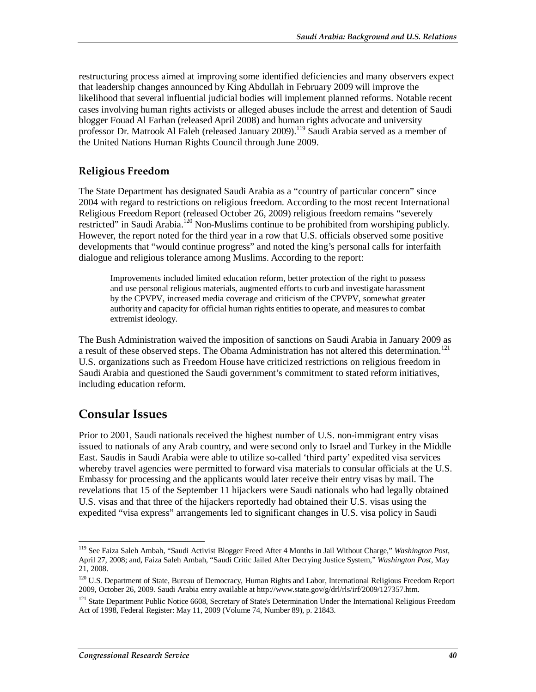restructuring process aimed at improving some identified deficiencies and many observers expect that leadership changes announced by King Abdullah in February 2009 will improve the likelihood that several influential judicial bodies will implement planned reforms. Notable recent cases involving human rights activists or alleged abuses include the arrest and detention of Saudi blogger Fouad Al Farhan (released April 2008) and human rights advocate and university professor Dr. Matrook Al Faleh (released January 2009).<sup>119</sup> Saudi Arabia served as a member of the United Nations Human Rights Council through June 2009.

#### **Religious Freedom**

The State Department has designated Saudi Arabia as a "country of particular concern" since 2004 with regard to restrictions on religious freedom. According to the most recent International Religious Freedom Report (released October 26, 2009) religious freedom remains "severely restricted" in Saudi Arabia.<sup>120</sup> Non-Muslims continue to be prohibited from worshiping publicly. However, the report noted for the third year in a row that U.S. officials observed some positive developments that "would continue progress" and noted the king's personal calls for interfaith dialogue and religious tolerance among Muslims. According to the report:

Improvements included limited education reform, better protection of the right to possess and use personal religious materials, augmented efforts to curb and investigate harassment by the CPVPV, increased media coverage and criticism of the CPVPV, somewhat greater authority and capacity for official human rights entities to operate, and measures to combat extremist ideology.

The Bush Administration waived the imposition of sanctions on Saudi Arabia in January 2009 as a result of these observed steps. The Obama Administration has not altered this determination.<sup>121</sup> U.S. organizations such as Freedom House have criticized restrictions on religious freedom in Saudi Arabia and questioned the Saudi government's commitment to stated reform initiatives, including education reform.

#### **Consular Issues**

Prior to 2001, Saudi nationals received the highest number of U.S. non-immigrant entry visas issued to nationals of any Arab country, and were second only to Israel and Turkey in the Middle East. Saudis in Saudi Arabia were able to utilize so-called 'third party' expedited visa services whereby travel agencies were permitted to forward visa materials to consular officials at the U.S. Embassy for processing and the applicants would later receive their entry visas by mail. The revelations that 15 of the September 11 hijackers were Saudi nationals who had legally obtained U.S. visas and that three of the hijackers reportedly had obtained their U.S. visas using the expedited "visa express" arrangements led to significant changes in U.S. visa policy in Saudi

<sup>-</sup>119 See Faiza Saleh Ambah, "Saudi Activist Blogger Freed After 4 Months in Jail Without Charge," *Washington Post*, April 27, 2008; and, Faiza Saleh Ambah, "Saudi Critic Jailed After Decrying Justice System," *Washington Post*, May 21, 2008.

<sup>&</sup>lt;sup>120</sup> U.S. Department of State, Bureau of Democracy, Human Rights and Labor, International Religious Freedom Report 2009, October 26, 2009. Saudi Arabia entry available at http://www.state.gov/g/drl/rls/irf/2009/127357.htm.

<sup>&</sup>lt;sup>121</sup> State Department Public Notice 6608, Secretary of State's Determination Under the International Religious Freedom Act of 1998, Federal Register: May 11, 2009 (Volume 74, Number 89), p. 21843.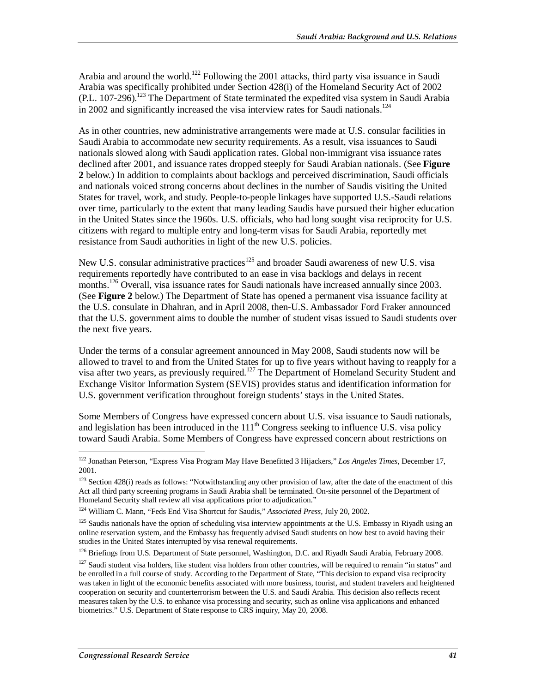Arabia and around the world.<sup>122</sup> Following the 2001 attacks, third party visa issuance in Saudi Arabia was specifically prohibited under Section 428(i) of the Homeland Security Act of 2002  $(PL. 107-296).$ <sup>123</sup> The Department of State terminated the expedited visa system in Saudi Arabia in 2002 and significantly increased the visa interview rates for Saudi nationals.<sup>124</sup>

As in other countries, new administrative arrangements were made at U.S. consular facilities in Saudi Arabia to accommodate new security requirements. As a result, visa issuances to Saudi nationals slowed along with Saudi application rates. Global non-immigrant visa issuance rates declined after 2001, and issuance rates dropped steeply for Saudi Arabian nationals. (See **Figure 2** below.) In addition to complaints about backlogs and perceived discrimination, Saudi officials and nationals voiced strong concerns about declines in the number of Saudis visiting the United States for travel, work, and study. People-to-people linkages have supported U.S.-Saudi relations over time, particularly to the extent that many leading Saudis have pursued their higher education in the United States since the 1960s. U.S. officials, who had long sought visa reciprocity for U.S. citizens with regard to multiple entry and long-term visas for Saudi Arabia, reportedly met resistance from Saudi authorities in light of the new U.S. policies.

New U.S. consular administrative practices<sup>125</sup> and broader Saudi awareness of new U.S. visa requirements reportedly have contributed to an ease in visa backlogs and delays in recent months.<sup>126</sup> Overall, visa issuance rates for Saudi nationals have increased annually since 2003. (See **Figure 2** below.) The Department of State has opened a permanent visa issuance facility at the U.S. consulate in Dhahran, and in April 2008, then-U.S. Ambassador Ford Fraker announced that the U.S. government aims to double the number of student visas issued to Saudi students over the next five years.

Under the terms of a consular agreement announced in May 2008, Saudi students now will be allowed to travel to and from the United States for up to five years without having to reapply for a visa after two years, as previously required.<sup>127</sup> The Department of Homeland Security Student and Exchange Visitor Information System (SEVIS) provides status and identification information for U.S. government verification throughout foreign students' stays in the United States.

Some Members of Congress have expressed concern about U.S. visa issuance to Saudi nationals, and legislation has been introduced in the  $111<sup>th</sup>$  Congress seeking to influence U.S. visa policy toward Saudi Arabia. Some Members of Congress have expressed concern about restrictions on

<sup>-</sup>122 Jonathan Peterson, "Express Visa Program May Have Benefitted 3 Hijackers," *Los Angeles Times*, December 17, 2001.

<sup>&</sup>lt;sup>123</sup> Section 428(i) reads as follows: "Notwithstanding any other provision of law, after the date of the enactment of this Act all third party screening programs in Saudi Arabia shall be terminated. On-site personnel of the Department of Homeland Security shall review all visa applications prior to adjudication."

<sup>124</sup> William C. Mann, "Feds End Visa Shortcut for Saudis," *Associated Press,* July 20, 2002.

<sup>&</sup>lt;sup>125</sup> Saudis nationals have the option of scheduling visa interview appointments at the U.S. Embassy in Riyadh using an online reservation system, and the Embassy has frequently advised Saudi students on how best to avoid having their studies in the United States interrupted by visa renewal requirements.

<sup>&</sup>lt;sup>126</sup> Briefings from U.S. Department of State personnel, Washington, D.C. and Riyadh Saudi Arabia, February 2008.

 $127$  Saudi student visa holders, like student visa holders from other countries, will be required to remain "in status" and be enrolled in a full course of study. According to the Department of State, "This decision to expand visa reciprocity was taken in light of the economic benefits associated with more business, tourist, and student travelers and heightened cooperation on security and counterterrorism between the U.S. and Saudi Arabia. This decision also reflects recent measures taken by the U.S. to enhance visa processing and security, such as online visa applications and enhanced biometrics." U.S. Department of State response to CRS inquiry, May 20, 2008.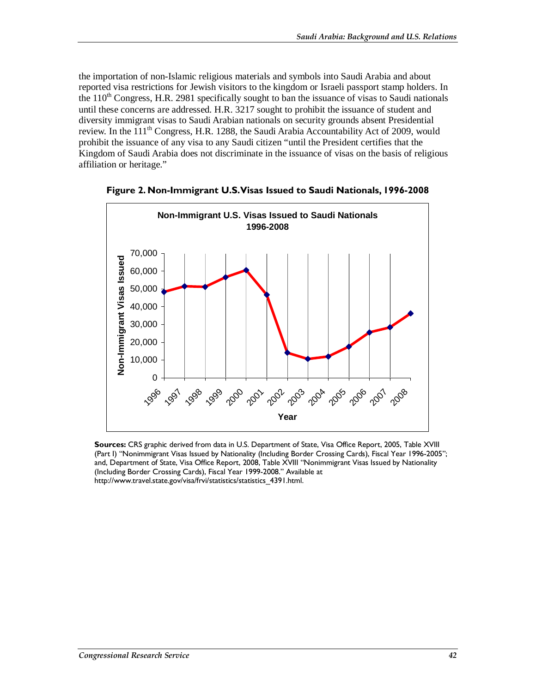the importation of non-Islamic religious materials and symbols into Saudi Arabia and about reported visa restrictions for Jewish visitors to the kingdom or Israeli passport stamp holders. In the  $110<sup>th</sup>$  Congress, H.R. 2981 specifically sought to ban the issuance of visas to Saudi nationals until these concerns are addressed. H.R. 3217 sought to prohibit the issuance of student and diversity immigrant visas to Saudi Arabian nationals on security grounds absent Presidential review. In the  $111^{th}$  Congress, H.R. 1288, the Saudi Arabia Accountability Act of 2009, would prohibit the issuance of any visa to any Saudi citizen "until the President certifies that the Kingdom of Saudi Arabia does not discriminate in the issuance of visas on the basis of religious affiliation or heritage."



**Figure 2. Non-Immigrant U.S. Visas Issued to Saudi Nationals, 1996-2008** 

**Sources:** CRS graphic derived from data in U.S. Department of State, Visa Office Report, 2005, Table XVIII (Part I) "Nonimmigrant Visas Issued by Nationality (Including Border Crossing Cards), Fiscal Year 1996-2005"; and, Department of State, Visa Office Report, 2008, Table XVIII "Nonimmigrant Visas Issued by Nationality (Including Border Crossing Cards), Fiscal Year 1999-2008." Available at http://www.travel.state.gov/visa/frvi/statistics/statistics\_4391.html.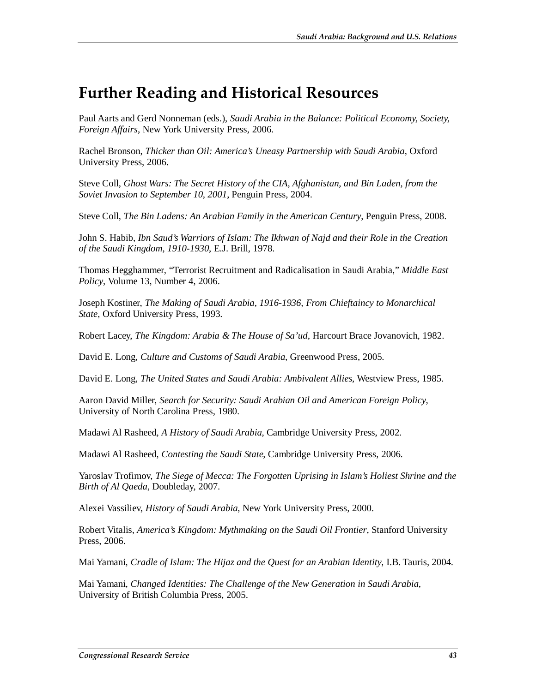# **Further Reading and Historical Resources**

Paul Aarts and Gerd Nonneman (eds.), *Saudi Arabia in the Balance: Political Economy, Society, Foreign Affairs*, New York University Press, 2006.

Rachel Bronson, *Thicker than Oil: America's Uneasy Partnership with Saudi Arabia*, Oxford University Press, 2006.

Steve Coll, *Ghost Wars: The Secret History of the CIA, Afghanistan, and Bin Laden, from the Soviet Invasion to September 10, 2001*, Penguin Press, 2004.

Steve Coll, *The Bin Ladens: An Arabian Family in the American Century*, Penguin Press, 2008.

John S. Habib, *Ibn Saud's Warriors of Islam: The Ikhwan of Najd and their Role in the Creation of the Saudi Kingdom, 1910-1930*, E.J. Brill, 1978.

Thomas Hegghammer, "Terrorist Recruitment and Radicalisation in Saudi Arabia," *Middle East Policy*, Volume 13, Number 4, 2006.

Joseph Kostiner, *The Making of Saudi Arabia, 1916-1936, From Chieftaincy to Monarchical State*, Oxford University Press, 1993.

Robert Lacey, *The Kingdom: Arabia & The House of Sa'ud*, Harcourt Brace Jovanovich, 1982.

David E. Long, *Culture and Customs of Saudi Arabia*, Greenwood Press, 2005.

David E. Long, *The United States and Saudi Arabia: Ambivalent Allies*, Westview Press, 1985.

Aaron David Miller, *Search for Security: Saudi Arabian Oil and American Foreign Policy*, University of North Carolina Press, 1980.

Madawi Al Rasheed, *A History of Saudi Arabia*, Cambridge University Press, 2002.

Madawi Al Rasheed, *Contesting the Saudi State*, Cambridge University Press, 2006.

Yaroslav Trofimov, *The Siege of Mecca: The Forgotten Uprising in Islam's Holiest Shrine and the Birth of Al Qaeda*, Doubleday, 2007.

Alexei Vassiliev, *History of Saudi Arabia*, New York University Press, 2000.

Robert Vitalis, *America's Kingdom: Mythmaking on the Saudi Oil Frontier*, Stanford University Press, 2006.

Mai Yamani, *Cradle of Islam: The Hijaz and the Quest for an Arabian Identity*, I.B. Tauris, 2004.

Mai Yamani, *Changed Identities: The Challenge of the New Generation in Saudi Arabia*, University of British Columbia Press, 2005.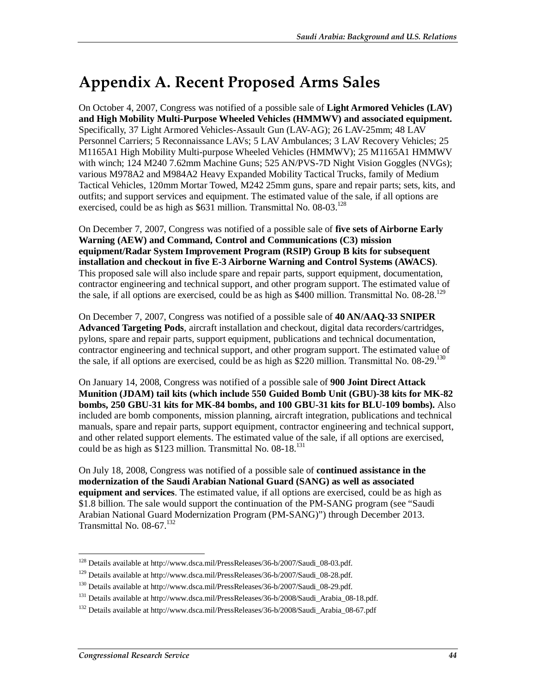# **Appendix A. Recent Proposed Arms Sales**

On October 4, 2007, Congress was notified of a possible sale of **Light Armored Vehicles (LAV) and High Mobility Multi-Purpose Wheeled Vehicles (HMMWV) and associated equipment.** Specifically, 37 Light Armored Vehicles-Assault Gun (LAV-AG); 26 LAV-25mm; 48 LAV Personnel Carriers; 5 Reconnaissance LAVs; 5 LAV Ambulances; 3 LAV Recovery Vehicles; 25 M1165A1 High Mobility Multi-purpose Wheeled Vehicles (HMMWV); 25 M1165A1 HMMWV with winch; 124 M240 7.62mm Machine Guns; 525 AN/PVS-7D Night Vision Goggles (NVGs); various M978A2 and M984A2 Heavy Expanded Mobility Tactical Trucks, family of Medium Tactical Vehicles, 120mm Mortar Towed, M242 25mm guns, spare and repair parts; sets, kits, and outfits; and support services and equipment. The estimated value of the sale, if all options are exercised, could be as high as  $$631$  million. Transmittal No. 08-03.<sup>128</sup>

On December 7, 2007, Congress was notified of a possible sale of **five sets of Airborne Early Warning (AEW) and Command, Control and Communications (C3) mission equipment/Radar System Improvement Program (RSIP) Group B kits for subsequent installation and checkout in five E-3 Airborne Warning and Control Systems (AWACS)**. This proposed sale will also include spare and repair parts, support equipment, documentation, contractor engineering and technical support, and other program support. The estimated value of the sale, if all options are exercised, could be as high as \$400 million. Transmittal No.  $08-28$ .<sup>129</sup>

On December 7, 2007, Congress was notified of a possible sale of **40 AN/AAQ-33 SNIPER Advanced Targeting Pods**, aircraft installation and checkout, digital data recorders/cartridges, pylons, spare and repair parts, support equipment, publications and technical documentation, contractor engineering and technical support, and other program support. The estimated value of the sale, if all options are exercised, could be as high as  $$220$  million. Transmittal No. 08-29.<sup>130</sup>

On January 14, 2008, Congress was notified of a possible sale of **900 Joint Direct Attack Munition (JDAM) tail kits (which include 550 Guided Bomb Unit (GBU)-38 kits for MK-82 bombs, 250 GBU-31 kits for MK-84 bombs, and 100 GBU-31 kits for BLU-109 bombs).** Also included are bomb components, mission planning, aircraft integration, publications and technical manuals, spare and repair parts, support equipment, contractor engineering and technical support, and other related support elements. The estimated value of the sale, if all options are exercised, could be as high as  $\hat{\$123}$  million. Transmittal No. 08-18.<sup>131</sup>

On July 18, 2008, Congress was notified of a possible sale of **continued assistance in the modernization of the Saudi Arabian National Guard (SANG) as well as associated equipment and services**. The estimated value, if all options are exercised, could be as high as \$1.8 billion. The sale would support the continuation of the PM-SANG program (see "Saudi Arabian National Guard Modernization Program (PM-SANG)") through December 2013. Transmittal No.  $08-67$ <sup>132</sup>

 $\frac{1}{1}$ <sup>128</sup> Details available at http://www.dsca.mil/PressReleases/36-b/2007/Saudi\_08-03.pdf.

<sup>&</sup>lt;sup>129</sup> Details available at http://www.dsca.mil/PressReleases/36-b/2007/Saudi\_08-28.pdf.

<sup>130</sup> Details available at http://www.dsca.mil/PressReleases/36-b/2007/Saudi\_08-29.pdf.

<sup>&</sup>lt;sup>131</sup> Details available at http://www.dsca.mil/PressReleases/36-b/2008/Saudi\_Arabia\_08-18.pdf.

<sup>&</sup>lt;sup>132</sup> Details available at http://www.dsca.mil/PressReleases/36-b/2008/Saudi\_Arabia\_08-67.pdf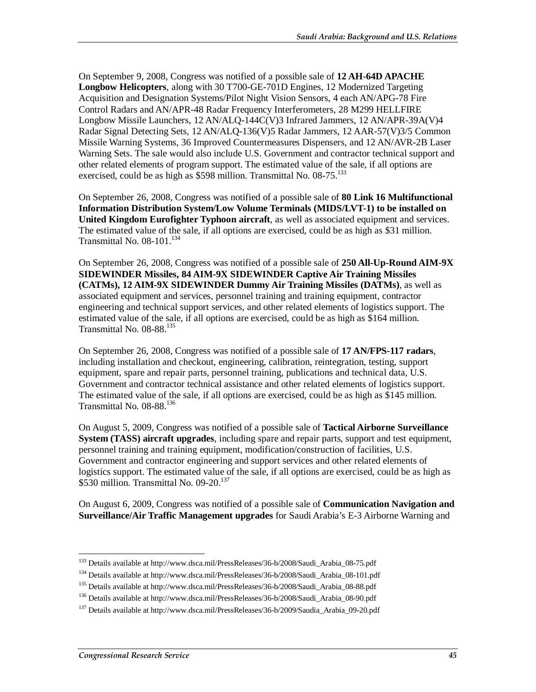On September 9, 2008, Congress was notified of a possible sale of **12 AH-64D APACHE Longbow Helicopters**, along with 30 T700-GE-701D Engines, 12 Modernized Targeting Acquisition and Designation Systems/Pilot Night Vision Sensors, 4 each AN/APG-78 Fire Control Radars and AN/APR-48 Radar Frequency Interferometers, 28 M299 HELLFIRE Longbow Missile Launchers, 12 AN/ALQ-144C(V)3 Infrared Jammers, 12 AN/APR-39A(V)4 Radar Signal Detecting Sets, 12 AN/ALQ-136(V)5 Radar Jammers, 12 AAR-57(V)3/5 Common Missile Warning Systems, 36 Improved Countermeasures Dispensers, and 12 AN/AVR-2B Laser Warning Sets. The sale would also include U.S. Government and contractor technical support and other related elements of program support. The estimated value of the sale, if all options are exercised, could be as high as  $$598$  million. Transmittal No.  $08-75$ <sup>133</sup>

On September 26, 2008, Congress was notified of a possible sale of **80 Link 16 Multifunctional Information Distribution System/Low Volume Terminals (MIDS/LVT-1) to be installed on United Kingdom Eurofighter Typhoon aircraft**, as well as associated equipment and services. The estimated value of the sale, if all options are exercised, could be as high as \$31 million. Transmittal No. 08-101.<sup>134</sup>

On September 26, 2008, Congress was notified of a possible sale of **250 All-Up-Round AIM-9X SIDEWINDER Missiles, 84 AIM-9X SIDEWINDER Captive Air Training Missiles (CATMs), 12 AIM-9X SIDEWINDER Dummy Air Training Missiles (DATMs)**, as well as associated equipment and services, personnel training and training equipment, contractor engineering and technical support services, and other related elements of logistics support. The estimated value of the sale, if all options are exercised, could be as high as \$164 million. Transmittal No.  $08-88$ <sup>135</sup>

On September 26, 2008, Congress was notified of a possible sale of **17 AN/FPS-117 radars**, including installation and checkout, engineering, calibration, reintegration, testing, support equipment, spare and repair parts, personnel training, publications and technical data, U.S. Government and contractor technical assistance and other related elements of logistics support. The estimated value of the sale, if all options are exercised, could be as high as \$145 million. Transmittal No. 08-88.136

On August 5, 2009, Congress was notified of a possible sale of **Tactical Airborne Surveillance System (TASS) aircraft upgrades**, including spare and repair parts, support and test equipment, personnel training and training equipment, modification/construction of facilities, U.S. Government and contractor engineering and support services and other related elements of logistics support. The estimated value of the sale, if all options are exercised, could be as high as \$530 million. Transmittal No.  $09-20$ .<sup>137</sup>

On August 6, 2009, Congress was notified of a possible sale of **Communication Navigation and Surveillance/Air Traffic Management upgrades** for Saudi Arabia's E-3 Airborne Warning and

 $\frac{1}{1}$ <sup>133</sup> Details available at http://www.dsca.mil/PressReleases/36-b/2008/Saudi\_Arabia\_08-75.pdf

<sup>134</sup> Details available at http://www.dsca.mil/PressReleases/36-b/2008/Saudi\_Arabia\_08-101.pdf

<sup>135</sup> Details available at http://www.dsca.mil/PressReleases/36-b/2008/Saudi\_Arabia\_08-88.pdf

<sup>&</sup>lt;sup>136</sup> Details available at http://www.dsca.mil/PressReleases/36-b/2008/Saudi\_Arabia\_08-90.pdf

<sup>&</sup>lt;sup>137</sup> Details available at http://www.dsca.mil/PressReleases/36-b/2009/Saudia\_Arabia\_09-20.pdf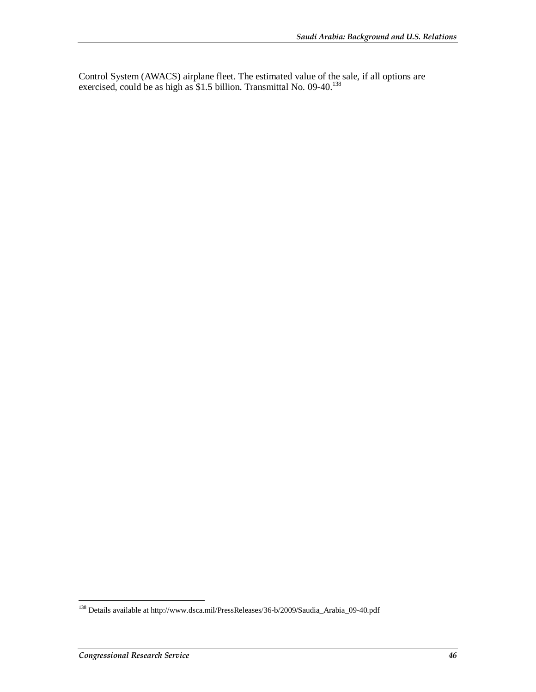Control System (AWACS) airplane fleet. The estimated value of the sale, if all options are exercised, could be as high as \$1.5 billion. Transmittal No. 09-40.<sup>138</sup>

<sup>-</sup><sup>138</sup> Details available at http://www.dsca.mil/PressReleases/36-b/2009/Saudia\_Arabia\_09-40.pdf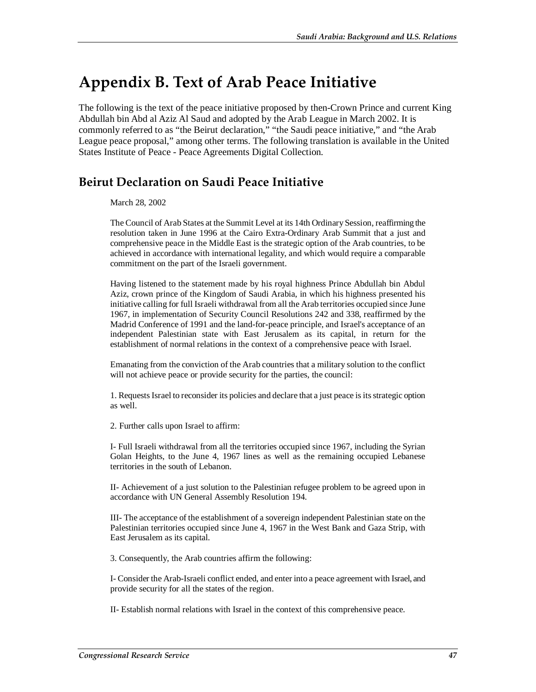## **Appendix B. Text of Arab Peace Initiative**

The following is the text of the peace initiative proposed by then-Crown Prince and current King Abdullah bin Abd al Aziz Al Saud and adopted by the Arab League in March 2002. It is commonly referred to as "the Beirut declaration," "the Saudi peace initiative," and "the Arab League peace proposal," among other terms. The following translation is available in the United States Institute of Peace - Peace Agreements Digital Collection.

### **Beirut Declaration on Saudi Peace Initiative**

March 28, 2002

The Council of Arab States at the Summit Level at its 14th Ordinary Session, reaffirming the resolution taken in June 1996 at the Cairo Extra-Ordinary Arab Summit that a just and comprehensive peace in the Middle East is the strategic option of the Arab countries, to be achieved in accordance with international legality, and which would require a comparable commitment on the part of the Israeli government.

Having listened to the statement made by his royal highness Prince Abdullah bin Abdul Aziz, crown prince of the Kingdom of Saudi Arabia, in which his highness presented his initiative calling for full Israeli withdrawal from all the Arab territories occupied since June 1967, in implementation of Security Council Resolutions 242 and 338, reaffirmed by the Madrid Conference of 1991 and the land-for-peace principle, and Israel's acceptance of an independent Palestinian state with East Jerusalem as its capital, in return for the establishment of normal relations in the context of a comprehensive peace with Israel.

Emanating from the conviction of the Arab countries that a military solution to the conflict will not achieve peace or provide security for the parties, the council:

1. Requests Israel to reconsider its policies and declare that a just peace is its strategic option as well.

2. Further calls upon Israel to affirm:

I- Full Israeli withdrawal from all the territories occupied since 1967, including the Syrian Golan Heights, to the June 4, 1967 lines as well as the remaining occupied Lebanese territories in the south of Lebanon.

II- Achievement of a just solution to the Palestinian refugee problem to be agreed upon in accordance with UN General Assembly Resolution 194.

III- The acceptance of the establishment of a sovereign independent Palestinian state on the Palestinian territories occupied since June 4, 1967 in the West Bank and Gaza Strip, with East Jerusalem as its capital.

3. Consequently, the Arab countries affirm the following:

I- Consider the Arab-Israeli conflict ended, and enter into a peace agreement with Israel, and provide security for all the states of the region.

II- Establish normal relations with Israel in the context of this comprehensive peace.